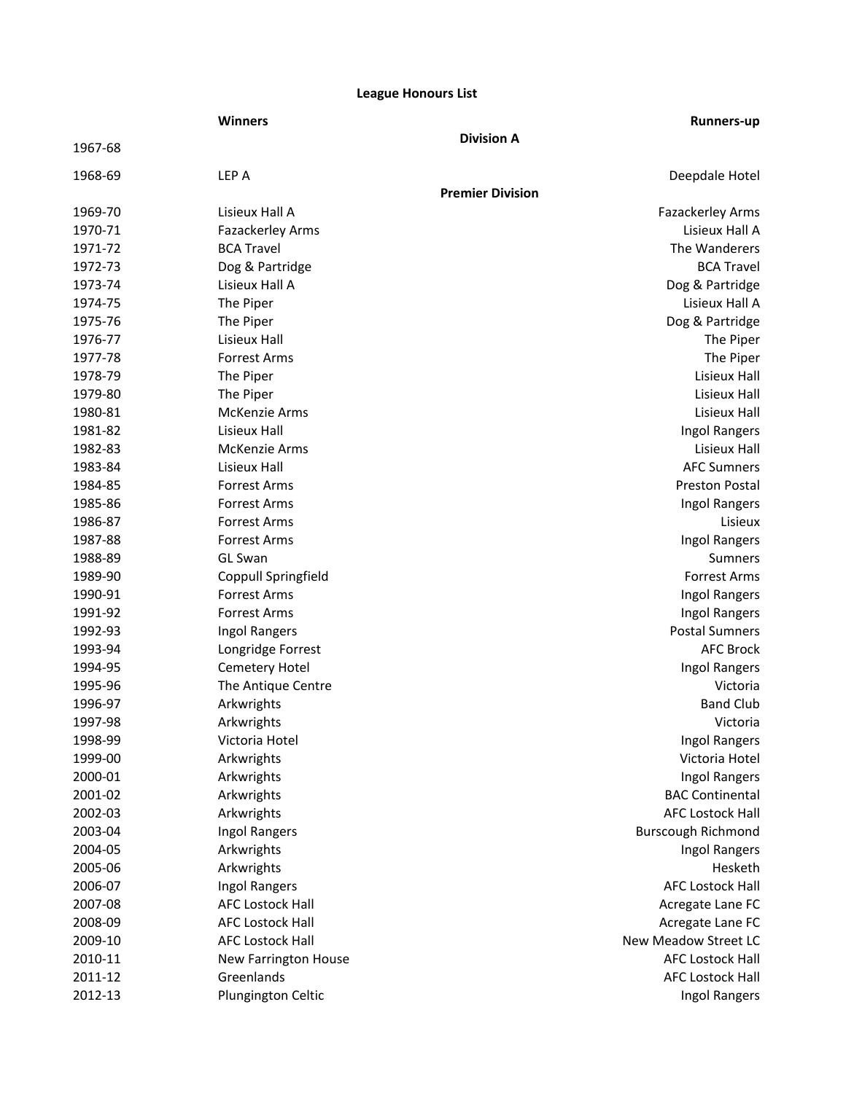# **League Honours List**

|         | <b>Winners</b>          |                         | <b>Runners-up</b>         |
|---------|-------------------------|-------------------------|---------------------------|
| 1967-68 |                         | <b>Division A</b>       |                           |
| 1968-69 | LEP A                   |                         | Deepdale Hotel            |
|         |                         | <b>Premier Division</b> |                           |
| 1969-70 | Lisieux Hall A          |                         | Fazackerley Arms          |
| 1970-71 | Fazackerley Arms        |                         | Lisieux Hall A            |
| 1971-72 | <b>BCA Travel</b>       |                         | The Wanderers             |
| 1972-73 | Dog & Partridge         |                         | <b>BCA Travel</b>         |
| 1973-74 | Lisieux Hall A          |                         | Dog & Partridge           |
| 1974-75 | The Piper               |                         | Lisieux Hall A            |
| 1975-76 | The Piper               |                         | Dog & Partridge           |
| 1976-77 | Lisieux Hall            |                         | The Piper                 |
| 1977-78 | <b>Forrest Arms</b>     |                         | The Piper                 |
| 1978-79 | The Piper               |                         | Lisieux Hall              |
| 1979-80 | The Piper               |                         | Lisieux Hall              |
| 1980-81 | <b>McKenzie Arms</b>    |                         | Lisieux Hall              |
| 1981-82 | Lisieux Hall            |                         | Ingol Rangers             |
| 1982-83 | <b>McKenzie Arms</b>    |                         | Lisieux Hall              |
| 1983-84 | Lisieux Hall            |                         | <b>AFC Sumners</b>        |
| 1984-85 | <b>Forrest Arms</b>     |                         | <b>Preston Postal</b>     |
| 1985-86 | <b>Forrest Arms</b>     |                         | Ingol Rangers             |
| 1986-87 | <b>Forrest Arms</b>     |                         | Lisieux                   |
| 1987-88 | <b>Forrest Arms</b>     |                         | Ingol Rangers             |
| 1988-89 | GL Swan                 |                         | Sumners                   |
| 1989-90 | Coppull Springfield     |                         | <b>Forrest Arms</b>       |
| 1990-91 | <b>Forrest Arms</b>     |                         | Ingol Rangers             |
| 1991-92 | <b>Forrest Arms</b>     |                         | Ingol Rangers             |
| 1992-93 | Ingol Rangers           |                         | <b>Postal Sumners</b>     |
| 1993-94 | Longridge Forrest       |                         | <b>AFC Brock</b>          |
| 1994-95 | Cemetery Hotel          |                         | Ingol Rangers             |
| 1995-96 | The Antique Centre      |                         | Victoria                  |
| 1996-97 | Arkwrights              |                         | <b>Band Club</b>          |
| 1997-98 | Arkwrights              |                         | Victoria                  |
| 1998-99 | Victoria Hotel          |                         | Ingol Rangers             |
| 1999-00 | Arkwrights              |                         | Victoria Hotel            |
| 2000-01 | Arkwrights              |                         | <b>Ingol Rangers</b>      |
| 2001-02 | Arkwrights              |                         | <b>BAC Continental</b>    |
| 2002-03 | Arkwrights              |                         | <b>AFC Lostock Hall</b>   |
| 2003-04 | Ingol Rangers           |                         | <b>Burscough Richmond</b> |
| 2004-05 | Arkwrights              |                         | Ingol Rangers             |
| 2005-06 | Arkwrights              |                         | Hesketh                   |
| 2006-07 | Ingol Rangers           |                         | <b>AFC Lostock Hall</b>   |
| 2007-08 | <b>AFC Lostock Hall</b> |                         | Acregate Lane FC          |
| 2008-09 | <b>AFC Lostock Hall</b> |                         | Acregate Lane FC          |
| 2009-10 | <b>AFC Lostock Hall</b> |                         | New Meadow Street LC      |
| 2010-11 | New Farrington House    |                         | <b>AFC Lostock Hall</b>   |
| 2011-12 | Greenlands              |                         | <b>AFC Lostock Hall</b>   |
| 2012-13 | Plungington Celtic      |                         | Ingol Rangers             |
|         |                         |                         |                           |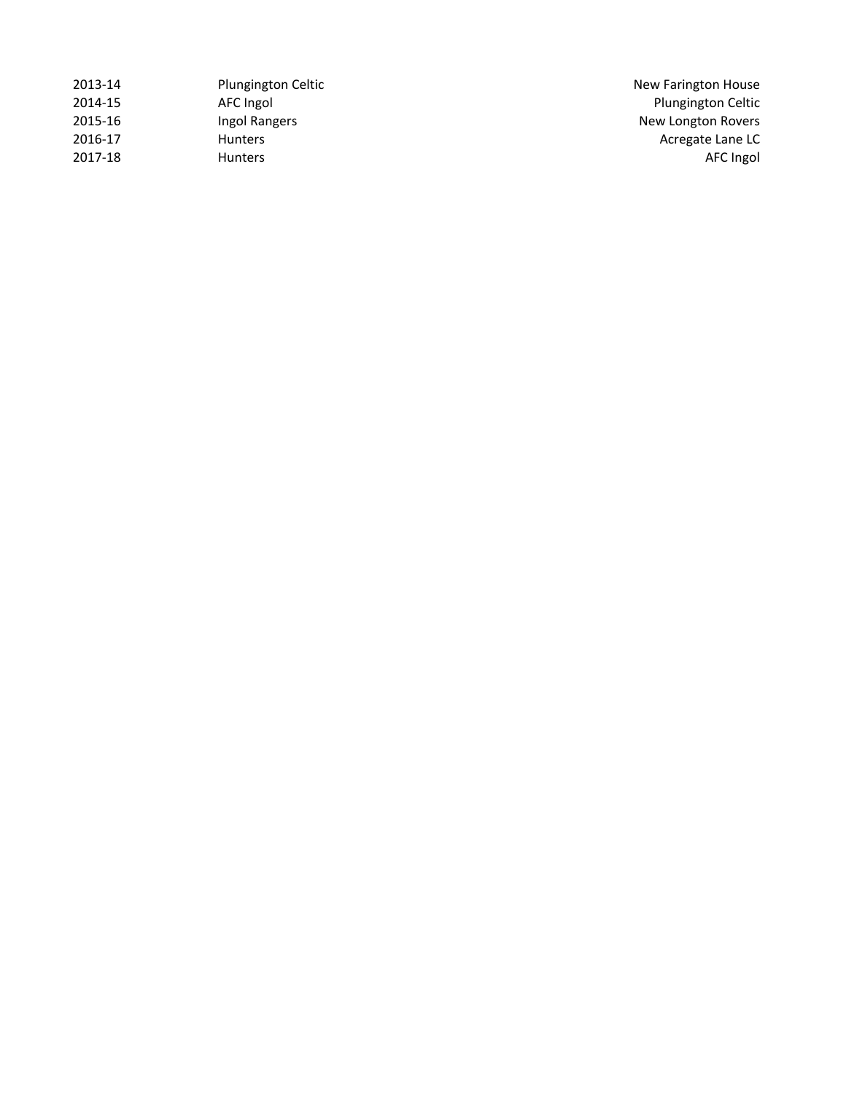| 2013-14 | <b>Plungington Celtic</b> | New Farington House       |
|---------|---------------------------|---------------------------|
| 2014-15 | AFC Ingol                 | <b>Plungington Celtic</b> |
| 2015-16 | Ingol Rangers             | New Longton Rovers        |
| 2016-17 | <b>Hunters</b>            | Acregate Lane LC          |
| 2017-18 | <b>Hunters</b>            | AFC Ingol                 |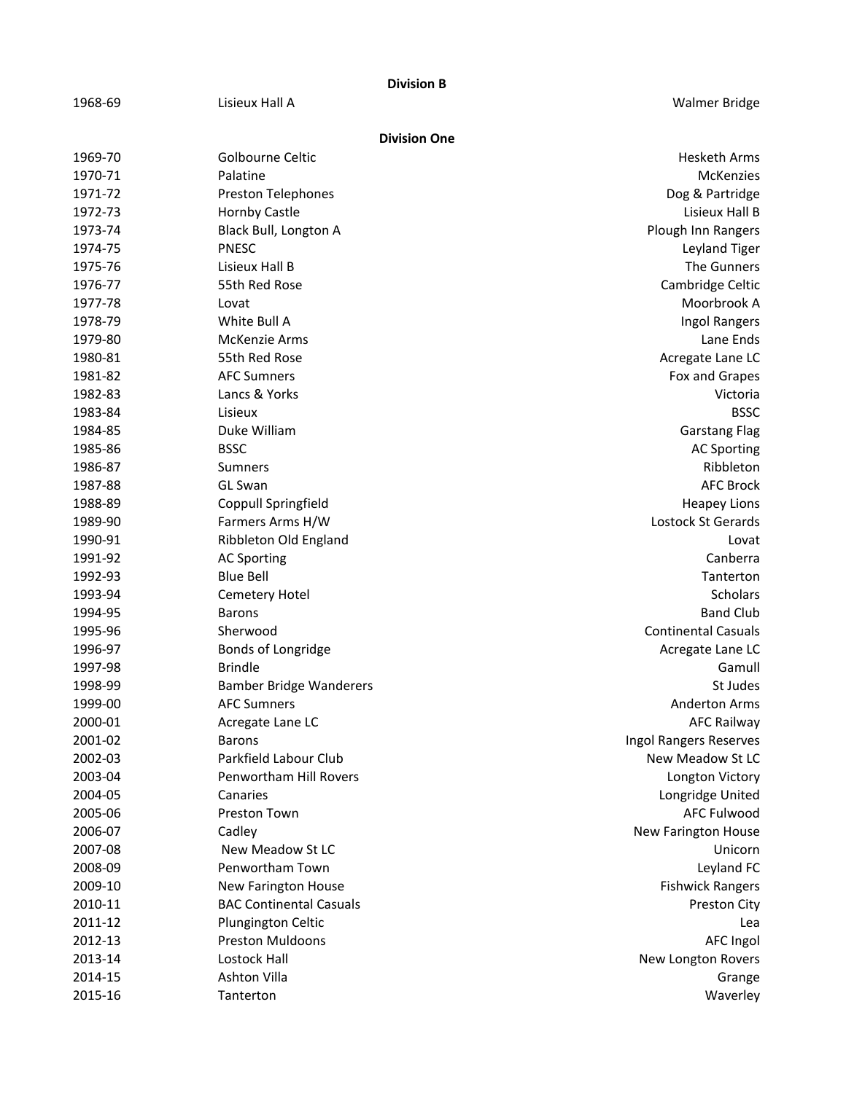|         |                                | <b>Division B</b>   |                            |
|---------|--------------------------------|---------------------|----------------------------|
| 1968-69 | Lisieux Hall A                 |                     | <b>Walmer Bridge</b>       |
|         |                                | <b>Division One</b> |                            |
| 1969-70 | Golbourne Celtic               |                     | <b>Hesketh Arms</b>        |
| 1970-71 | Palatine                       |                     | <b>McKenzies</b>           |
| 1971-72 | <b>Preston Telephones</b>      |                     | Dog & Partridge            |
| 1972-73 | Hornby Castle                  |                     | Lisieux Hall B             |
| 1973-74 | Black Bull, Longton A          |                     | Plough Inn Rangers         |
| 1974-75 | <b>PNESC</b>                   |                     | Leyland Tiger              |
| 1975-76 | Lisieux Hall B                 |                     | The Gunners                |
| 1976-77 | 55th Red Rose                  |                     | Cambridge Celtic           |
| 1977-78 | Lovat                          |                     | Moorbrook A                |
| 1978-79 | White Bull A                   |                     | Ingol Rangers              |
| 1979-80 | McKenzie Arms                  |                     | Lane Ends                  |
| 1980-81 | 55th Red Rose                  |                     | Acregate Lane LC           |
| 1981-82 | <b>AFC Sumners</b>             |                     | Fox and Grapes             |
| 1982-83 | Lancs & Yorks                  |                     | Victoria                   |
| 1983-84 | Lisieux                        |                     | <b>BSSC</b>                |
| 1984-85 | Duke William                   |                     | <b>Garstang Flag</b>       |
| 1985-86 | <b>BSSC</b>                    |                     | <b>AC Sporting</b>         |
| 1986-87 | Sumners                        |                     | Ribbleton                  |
| 1987-88 | <b>GL Swan</b>                 |                     | <b>AFC Brock</b>           |
| 1988-89 | Coppull Springfield            |                     | <b>Heapey Lions</b>        |
| 1989-90 | Farmers Arms H/W               |                     | Lostock St Gerards         |
| 1990-91 | Ribbleton Old England          |                     | Lovat                      |
| 1991-92 | <b>AC Sporting</b>             |                     | Canberra                   |
| 1992-93 | <b>Blue Bell</b>               |                     | Tanterton                  |
| 1993-94 | Cemetery Hotel                 |                     | <b>Scholars</b>            |
| 1994-95 | <b>Barons</b>                  |                     | <b>Band Club</b>           |
| 1995-96 | Sherwood                       |                     | <b>Continental Casuals</b> |
| 1996-97 | Bonds of Longridge             |                     | Acregate Lane LC           |
| 1997-98 | <b>Brindle</b>                 |                     | Gamull                     |
| 1998-99 | <b>Bamber Bridge Wanderers</b> |                     | St Judes                   |
| 1999-00 | <b>AFC Sumners</b>             |                     | <b>Anderton Arms</b>       |
| 2000-01 | Acregate Lane LC               |                     | <b>AFC Railway</b>         |
| 2001-02 | Barons                         |                     | Ingol Rangers Reserves     |
| 2002-03 | Parkfield Labour Club          |                     | New Meadow St LC           |
| 2003-04 | Penwortham Hill Rovers         |                     | Longton Victory            |
| 2004-05 | Canaries                       |                     | Longridge United           |
| 2005-06 | Preston Town                   |                     | <b>AFC Fulwood</b>         |
| 2006-07 | Cadley                         |                     | New Farington House        |
| 2007-08 | New Meadow St LC               |                     | Unicorn                    |
| 2008-09 | Penwortham Town                |                     | Leyland FC                 |
| 2009-10 | New Farington House            |                     | <b>Fishwick Rangers</b>    |
| 2010-11 | <b>BAC Continental Casuals</b> |                     | Preston City               |
| 2011-12 | Plungington Celtic             |                     | Lea                        |
| 2012-13 | <b>Preston Muldoons</b>        |                     | <b>AFC Ingol</b>           |
| 2013-14 | Lostock Hall                   |                     | New Longton Rovers         |
| 2014-15 | Ashton Villa                   |                     | Grange                     |
| 2015-16 | Tanterton                      |                     | Waverley                   |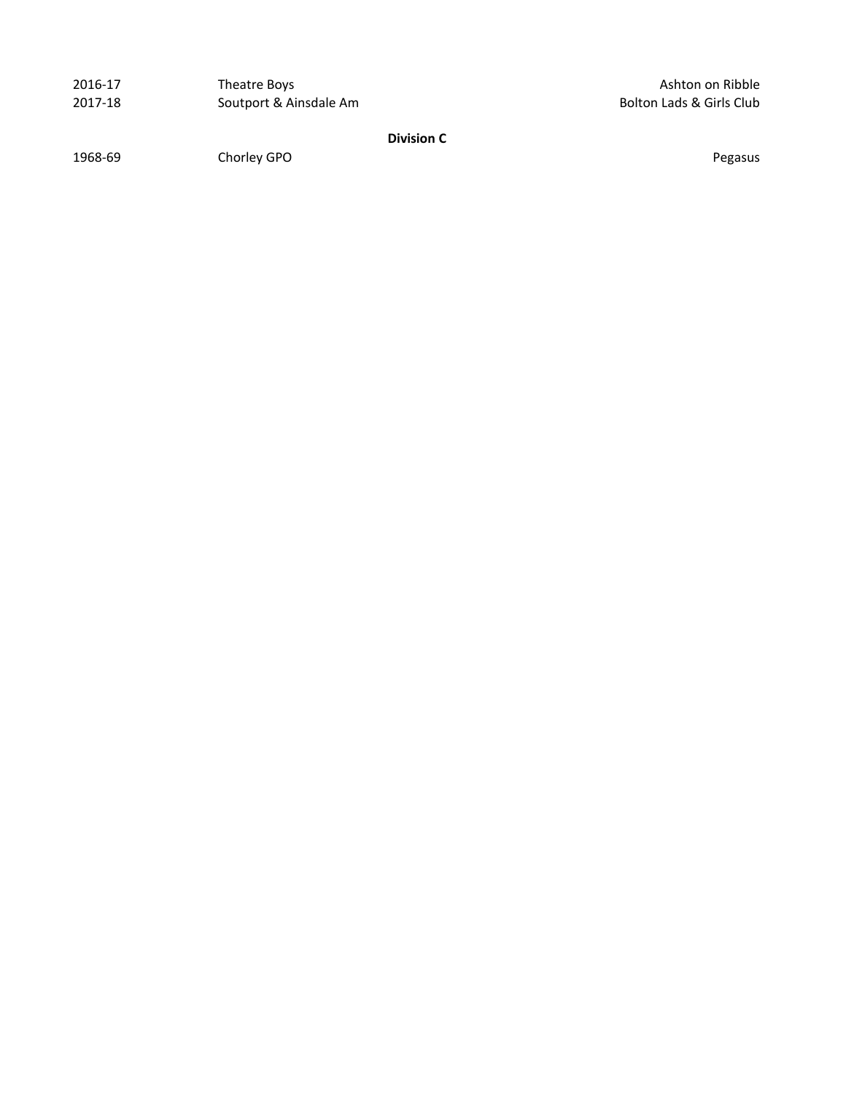| 2016-17 | Theatre Boys           |
|---------|------------------------|
| 2017-18 | Soutport & Ainsdale Am |

Ashton on Ribble Bolton Lads & Girls Club

**Division C**

1968-69 Chorley GPO **Channel Chorley GPO Pegasus**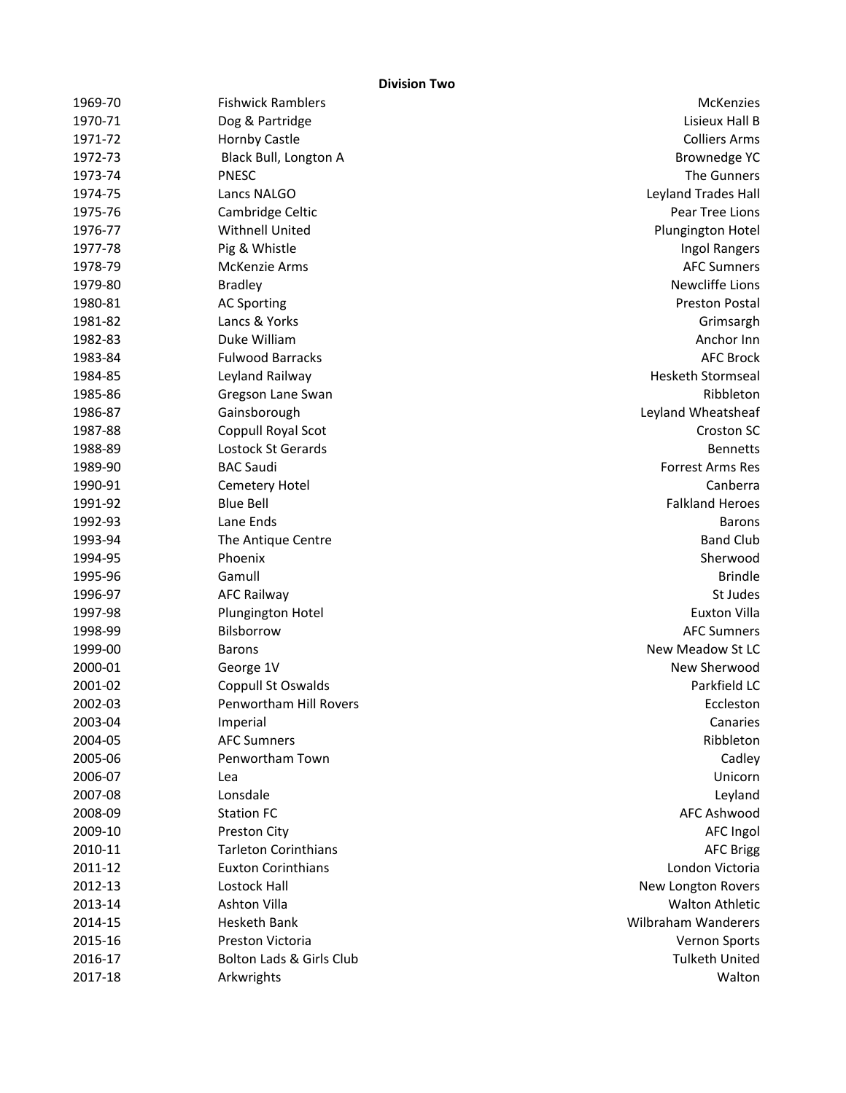**Division Two**

| 1969-70 | <b>Fishwick Ramblers</b>    | McKenzies                  |
|---------|-----------------------------|----------------------------|
| 1970-71 | Dog & Partridge             | Lisieux Hall B             |
| 1971-72 | Hornby Castle               | <b>Colliers Arms</b>       |
| 1972-73 | Black Bull, Longton A       | <b>Brownedge YC</b>        |
| 1973-74 | <b>PNESC</b>                | The Gunners                |
| 1974-75 | Lancs NALGO                 | Leyland Trades Hall        |
| 1975-76 | Cambridge Celtic            | Pear Tree Lions            |
| 1976-77 | Withnell United             | Plungington Hotel          |
| 1977-78 | Pig & Whistle               | Ingol Rangers              |
| 1978-79 | <b>McKenzie Arms</b>        | <b>AFC Sumners</b>         |
| 1979-80 | <b>Bradley</b>              | <b>Newcliffe Lions</b>     |
| 1980-81 | <b>AC Sporting</b>          | <b>Preston Postal</b>      |
| 1981-82 | Lancs & Yorks               | Grimsargh                  |
| 1982-83 | Duke William                | Anchor Inn                 |
| 1983-84 | <b>Fulwood Barracks</b>     | <b>AFC Brock</b>           |
| 1984-85 | Leyland Railway             | <b>Hesketh Stormseal</b>   |
| 1985-86 | Gregson Lane Swan           | Ribbleton                  |
| 1986-87 | Gainsborough                | Leyland Wheatsheaf         |
| 1987-88 | Coppull Royal Scot          | Croston SC                 |
| 1988-89 | Lostock St Gerards          | <b>Bennetts</b>            |
| 1989-90 | <b>BAC Saudi</b>            | <b>Forrest Arms Res</b>    |
| 1990-91 | Cemetery Hotel              | Canberra                   |
| 1991-92 | <b>Blue Bell</b>            | <b>Falkland Heroes</b>     |
| 1992-93 | Lane Ends                   | <b>Barons</b>              |
| 1993-94 | The Antique Centre          | <b>Band Club</b>           |
| 1994-95 | Phoenix                     | Sherwood                   |
| 1995-96 | Gamull                      | <b>Brindle</b>             |
| 1996-97 | <b>AFC Railway</b>          | St Judes                   |
| 1997-98 | Plungington Hotel           | <b>Euxton Villa</b>        |
| 1998-99 | Bilsborrow                  | <b>AFC Sumners</b>         |
| 1999-00 | <b>Barons</b>               | New Meadow St LC           |
| 2000-01 | George 1V                   | New Sherwood               |
| 2001-02 | Coppull St Oswalds          | Parkfield LC               |
| 2002-03 | Penwortham Hill Rovers      | Eccleston                  |
| 2003-04 | Imperial                    | Canaries                   |
| 2004-05 | <b>AFC Sumners</b>          | Ribbleton                  |
| 2005-06 | Penwortham Town             | Cadley                     |
| 2006-07 | Lea                         | Unicorn                    |
| 2007-08 | Lonsdale                    | Leyland                    |
| 2008-09 | <b>Station FC</b>           | <b>AFC Ashwood</b>         |
| 2009-10 | Preston City                | <b>AFC Ingol</b>           |
| 2010-11 | <b>Tarleton Corinthians</b> | <b>AFC Brigg</b>           |
| 2011-12 | <b>Euxton Corinthians</b>   | London Victoria            |
| 2012-13 | Lostock Hall                | New Longton Rovers         |
| 2013-14 | Ashton Villa                | <b>Walton Athletic</b>     |
| 2014-15 | Hesketh Bank                | <b>Wilbraham Wanderers</b> |
| 2015-16 | Preston Victoria            | Vernon Sports              |
| 2016-17 | Bolton Lads & Girls Club    | <b>Tulketh United</b>      |
| 2017-18 | Arkwrights                  | Walton                     |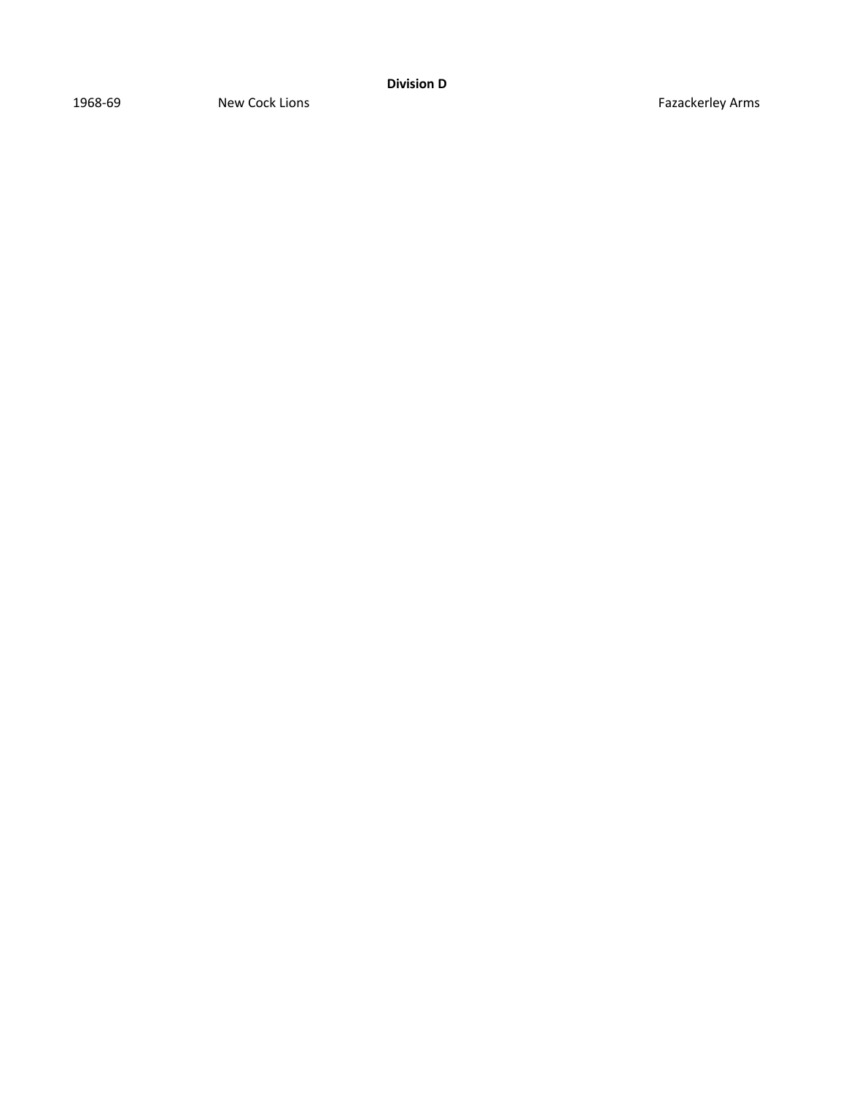1968-69 New Cock Lions **New Cock Lions Fazackerley Arms**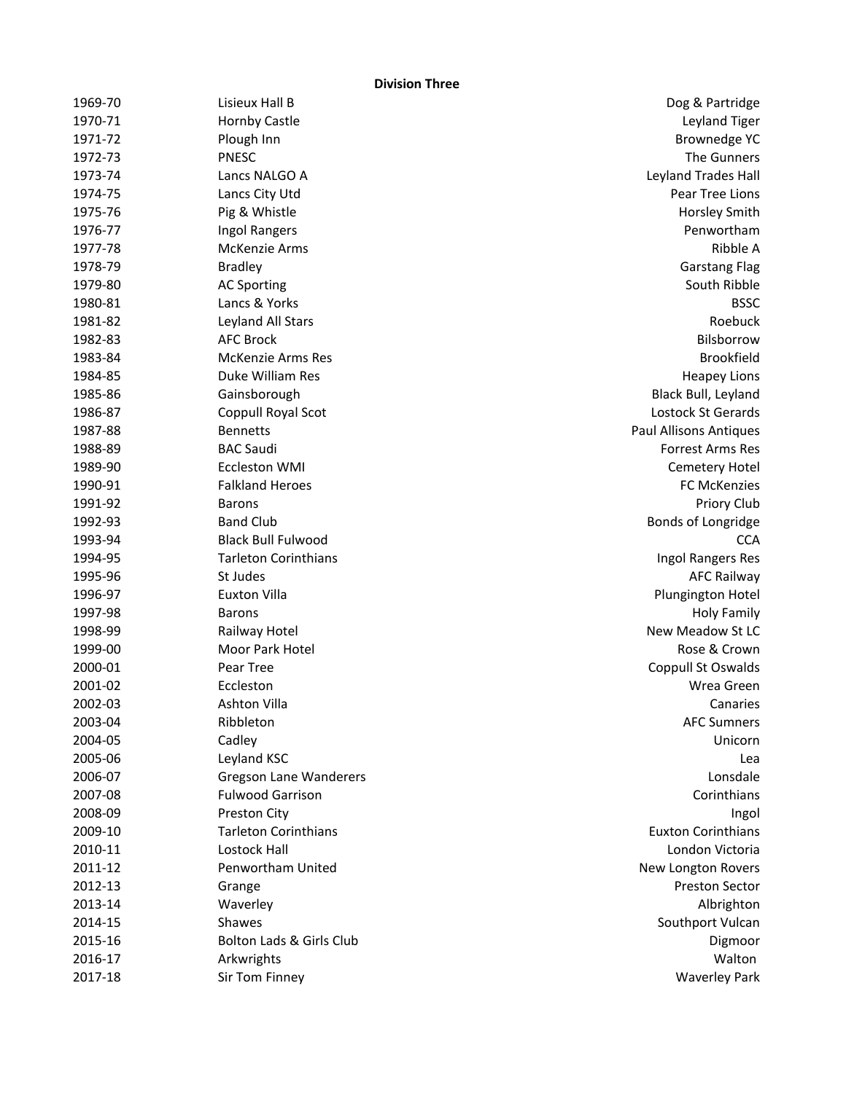**Division Three**

| 1969-70 | Lisieux Hall B                | Dog & Partridge                |
|---------|-------------------------------|--------------------------------|
| 1970-71 | <b>Hornby Castle</b>          | Leyland Tiger                  |
| 1971-72 | Plough Inn                    | <b>Brownedge YC</b>            |
| 1972-73 | <b>PNESC</b>                  | The Gunners                    |
| 1973-74 | Lancs NALGO A                 | Leyland Trades Hall            |
| 1974-75 | Lancs City Utd                | Pear Tree Lions                |
| 1975-76 | Pig & Whistle                 | Horsley Smith                  |
| 1976-77 | Ingol Rangers                 | Penwortham                     |
| 1977-78 | McKenzie Arms                 | Ribble A                       |
| 1978-79 | <b>Bradley</b>                | <b>Garstang Flag</b>           |
| 1979-80 | <b>AC Sporting</b>            | South Ribble                   |
| 1980-81 | Lancs & Yorks                 | <b>BSSC</b>                    |
| 1981-82 | Leyland All Stars             | Roebuck                        |
| 1982-83 | <b>AFC Brock</b>              | Bilsborrow                     |
| 1983-84 | <b>McKenzie Arms Res</b>      | <b>Brookfield</b>              |
| 1984-85 | Duke William Res              | <b>Heapey Lions</b>            |
| 1985-86 | Gainsborough                  | Black Bull, Leyland            |
| 1986-87 | Coppull Royal Scot            | Lostock St Gerards             |
| 1987-88 | <b>Bennetts</b>               | <b>Paul Allisons Antiques</b>  |
| 1988-89 | <b>BAC Saudi</b>              | Forrest Arms Res               |
| 1989-90 | Eccleston WMI                 | <b>Cemetery Hotel</b>          |
| 1990-91 | <b>Falkland Heroes</b>        | <b>FC McKenzies</b>            |
| 1991-92 | <b>Barons</b>                 | Priory Club                    |
| 1992-93 | <b>Band Club</b>              | Bonds of Longridge             |
| 1993-94 | <b>Black Bull Fulwood</b>     | <b>CCA</b>                     |
| 1994-95 | <b>Tarleton Corinthians</b>   | Ingol Rangers Res              |
| 1995-96 | St Judes                      | <b>AFC Railway</b>             |
| 1996-97 | <b>Euxton Villa</b>           | Plungington Hotel              |
| 1997-98 | <b>Barons</b>                 | <b>Holy Family</b>             |
| 1998-99 | Railway Hotel                 | New Meadow St LC               |
| 1999-00 | Moor Park Hotel               | Rose & Crown                   |
| 2000-01 | Pear Tree                     | Coppull St Oswalds             |
| 2001-02 | Eccleston                     | Wrea Green                     |
| 2002-03 | Ashton Villa                  | Canaries                       |
| 2003-04 | Ribbleton                     | <b>AFC Sumners</b>             |
| 2004-05 | Cadley                        | Unicorn                        |
| 2005-06 | Leyland KSC                   | Lea                            |
| 2006-07 | <b>Gregson Lane Wanderers</b> | Lonsdale                       |
| 2007-08 | <b>Fulwood Garrison</b>       | Corinthians                    |
| 2008-09 | Preston City                  | Ingol                          |
| 2009-10 | <b>Tarleton Corinthians</b>   | <b>Euxton Corinthians</b>      |
| 2010-11 | <b>Lostock Hall</b>           | London Victoria                |
| 2011-12 | Penwortham United             | New Longton Rovers             |
| 2012-13 | Grange                        | <b>Preston Sector</b>          |
| 2013-14 | Waverley                      |                                |
| 2014-15 | Shawes                        | Albrighton<br>Southport Vulcan |
| 2015-16 | Bolton Lads & Girls Club      |                                |
|         |                               | Digmoor<br>Walton              |
| 2016-17 | Arkwrights                    |                                |
| 2017-18 | Sir Tom Finney                | <b>Waverley Park</b>           |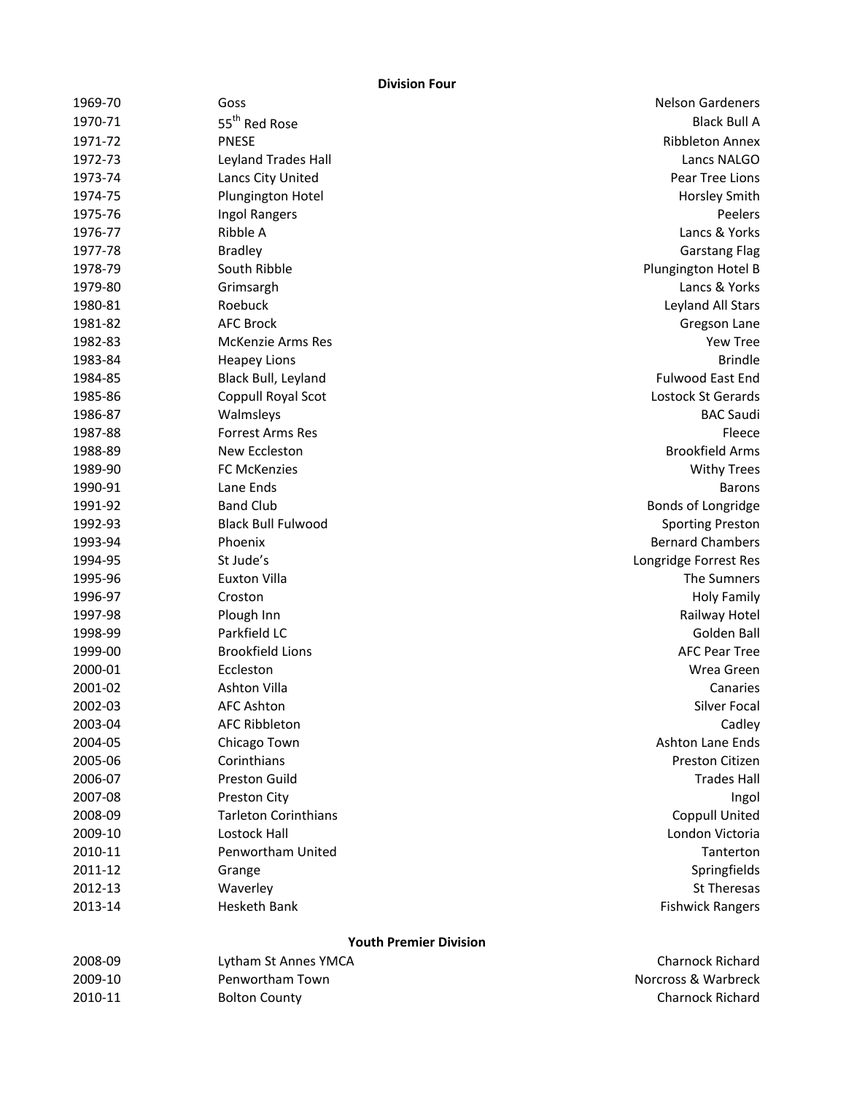**Division Four**

|         | ווטואוטו                      |                         |
|---------|-------------------------------|-------------------------|
| 1969-70 | Goss                          | <b>Nelson Gardeners</b> |
| 1970-71 | 55 <sup>th</sup> Red Rose     | <b>Black Bull A</b>     |
| 1971-72 | <b>PNESE</b>                  | <b>Ribbleton Annex</b>  |
| 1972-73 | Leyland Trades Hall           | Lancs NALGO             |
| 1973-74 | Lancs City United             | Pear Tree Lions         |
| 1974-75 | Plungington Hotel             | Horsley Smith           |
| 1975-76 | Ingol Rangers                 | Peelers                 |
| 1976-77 | Ribble A                      | Lancs & Yorks           |
| 1977-78 | <b>Bradley</b>                | <b>Garstang Flag</b>    |
| 1978-79 | South Ribble                  | Plungington Hotel B     |
| 1979-80 | Grimsargh                     | Lancs & Yorks           |
| 1980-81 | Roebuck                       | Leyland All Stars       |
| 1981-82 | <b>AFC Brock</b>              | Gregson Lane            |
| 1982-83 | <b>McKenzie Arms Res</b>      | Yew Tree                |
| 1983-84 | <b>Heapey Lions</b>           | <b>Brindle</b>          |
| 1984-85 | Black Bull, Leyland           | Fulwood East End        |
| 1985-86 | Coppull Royal Scot            | Lostock St Gerards      |
| 1986-87 | Walmsleys                     | <b>BAC Saudi</b>        |
| 1987-88 | <b>Forrest Arms Res</b>       | Fleece                  |
| 1988-89 | New Eccleston                 | <b>Brookfield Arms</b>  |
| 1989-90 | <b>FC McKenzies</b>           | <b>Withy Trees</b>      |
| 1990-91 | Lane Ends                     | <b>Barons</b>           |
| 1991-92 | <b>Band Club</b>              | Bonds of Longridge      |
| 1992-93 | <b>Black Bull Fulwood</b>     | <b>Sporting Preston</b> |
| 1993-94 | Phoenix                       | <b>Bernard Chambers</b> |
| 1994-95 | St Jude's                     | Longridge Forrest Res   |
| 1995-96 | <b>Euxton Villa</b>           | The Sumners             |
| 1996-97 | Croston                       | <b>Holy Family</b>      |
| 1997-98 | Plough Inn                    | Railway Hotel           |
| 1998-99 | Parkfield LC                  | Golden Ball             |
| 1999-00 | <b>Brookfield Lions</b>       | <b>AFC Pear Tree</b>    |
| 2000-01 | Eccleston                     | Wrea Green              |
| 2001-02 | Ashton Villa                  | Canaries                |
| 2002-03 | <b>AFC Ashton</b>             | Silver Focal            |
| 2003-04 | <b>AFC Ribbleton</b>          | Cadley                  |
| 2004-05 | Chicago Town                  | <b>Ashton Lane Ends</b> |
| 2005-06 | Corinthians                   | Preston Citizen         |
| 2006-07 | <b>Preston Guild</b>          | <b>Trades Hall</b>      |
| 2007-08 | Preston City                  | Ingol                   |
| 2008-09 | <b>Tarleton Corinthians</b>   | <b>Coppull United</b>   |
| 2009-10 | Lostock Hall                  | London Victoria         |
| 2010-11 | Penwortham United             | Tanterton               |
| 2011-12 | Grange                        | Springfields            |
| 2012-13 | Waverley                      | St Theresas             |
| 2013-14 | Hesketh Bank                  | <b>Fishwick Rangers</b> |
|         | <b>Youth Premier Division</b> |                         |
| 2008-09 | Lytham St Annes YMCA          | <b>Charnock Richard</b> |
| 2009-10 | Penwortham Town               | Norcross & Warbreck     |
| 2010-11 | <b>Bolton County</b>          | Charnock Richard        |
|         |                               |                         |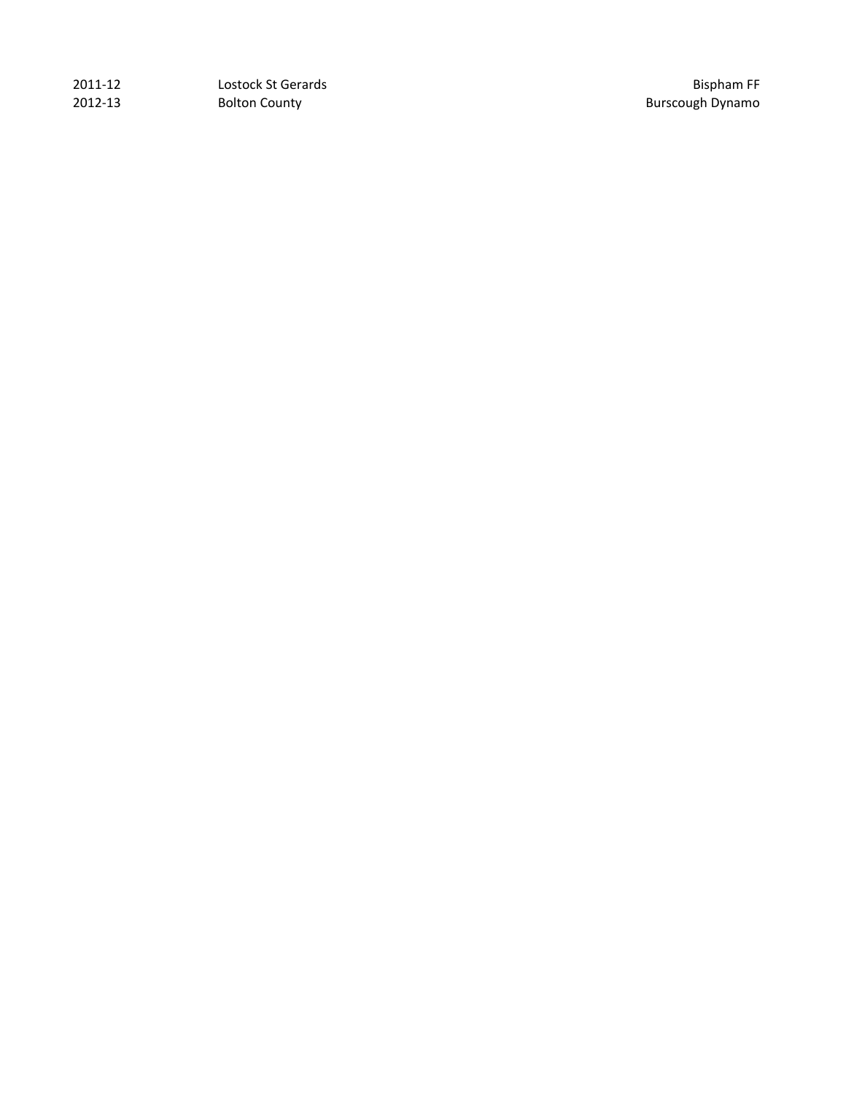| 2011-12 | Lostock St Gerards   | <b>Bispham FF</b>       |
|---------|----------------------|-------------------------|
| 2012-13 | <b>Bolton County</b> | <b>Burscough Dynamo</b> |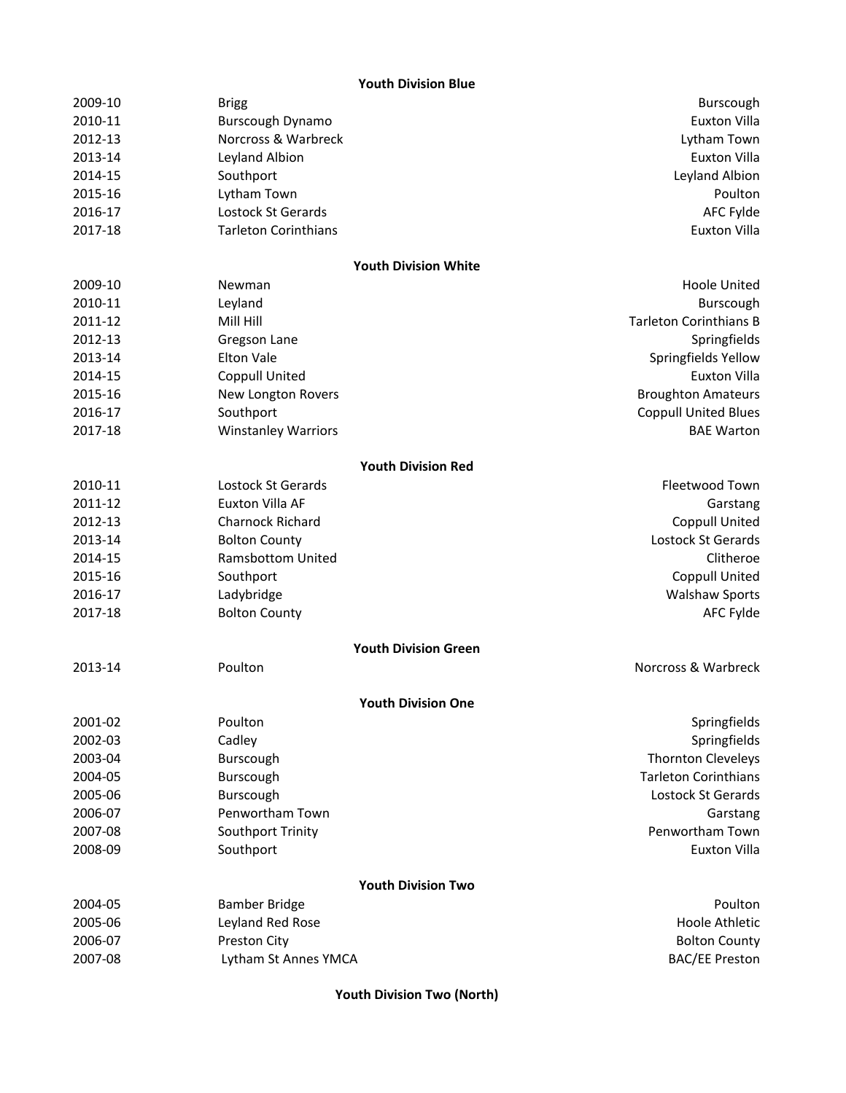## **Youth Division Blue**

| 2009-10 | <b>Brigg</b>                | Burscough                     |
|---------|-----------------------------|-------------------------------|
| 2010-11 | Burscough Dynamo            | <b>Euxton Villa</b>           |
| 2012-13 | Norcross & Warbreck         | Lytham Town                   |
| 2013-14 | Leyland Albion              | <b>Euxton Villa</b>           |
| 2014-15 | Southport                   | Leyland Albion                |
| 2015-16 | Lytham Town                 | Poulton                       |
| 2016-17 | Lostock St Gerards          | <b>AFC Fylde</b>              |
| 2017-18 | <b>Tarleton Corinthians</b> | <b>Euxton Villa</b>           |
|         | <b>Youth Division White</b> |                               |
| 2009-10 | Newman                      | <b>Hoole United</b>           |
| 2010-11 | Leyland                     | Burscough                     |
| 2011-12 | Mill Hill                   | <b>Tarleton Corinthians B</b> |
| 2012-13 | Gregson Lane                | Springfields                  |
| 2013-14 | <b>Elton Vale</b>           | Springfields Yellow           |
| 2014-15 | Coppull United              | <b>Euxton Villa</b>           |
| 2015-16 | New Longton Rovers          | <b>Broughton Amateurs</b>     |
| 2016-17 | Southport                   | <b>Coppull United Blues</b>   |
| 2017-18 | <b>Winstanley Warriors</b>  | <b>BAE Warton</b>             |
|         | <b>Youth Division Red</b>   |                               |
| 2010-11 | Lostock St Gerards          | Fleetwood Town                |
| 2011-12 | Euxton Villa AF             | Garstang                      |
| 2012-13 | Charnock Richard            | <b>Coppull United</b>         |
| 2013-14 | <b>Bolton County</b>        | Lostock St Gerards            |
| 2014-15 | <b>Ramsbottom United</b>    | Clitheroe                     |
| 2015-16 | Southport                   | <b>Coppull United</b>         |
| 2016-17 | Ladybridge                  | <b>Walshaw Sports</b>         |
| 2017-18 | <b>Bolton County</b>        | <b>AFC Fylde</b>              |
|         | <b>Youth Division Green</b> |                               |
| 2013-14 | Poulton                     | Norcross & Warbreck           |
|         | <b>Youth Division One</b>   |                               |
| 2001-02 | Poulton                     | Springfields                  |
| 2002-03 | Cadley                      | Springfields                  |
| 2003-04 | Burscough                   | Thornton Cleveleys            |
| 2004-05 | Burscough                   | <b>Tarleton Corinthians</b>   |
| 2005-06 | Burscough                   | Lostock St Gerards            |
| 2006-07 | Penwortham Town             | Garstang                      |
| 2007-08 | Southport Trinity           | Penwortham Town               |
| 2008-09 | Southport                   | <b>Euxton Villa</b>           |
|         | <b>Youth Division Two</b>   |                               |
| 2004-05 | <b>Bamber Bridge</b>        | Poulton                       |
| 2005-06 | Leyland Red Rose            | Hoole Athletic                |
| 2006-07 | Preston City                | <b>Bolton County</b>          |
| 2007-08 | Lytham St Annes YMCA        | <b>BAC/EE Preston</b>         |
|         |                             |                               |

**Youth Division Two (North)**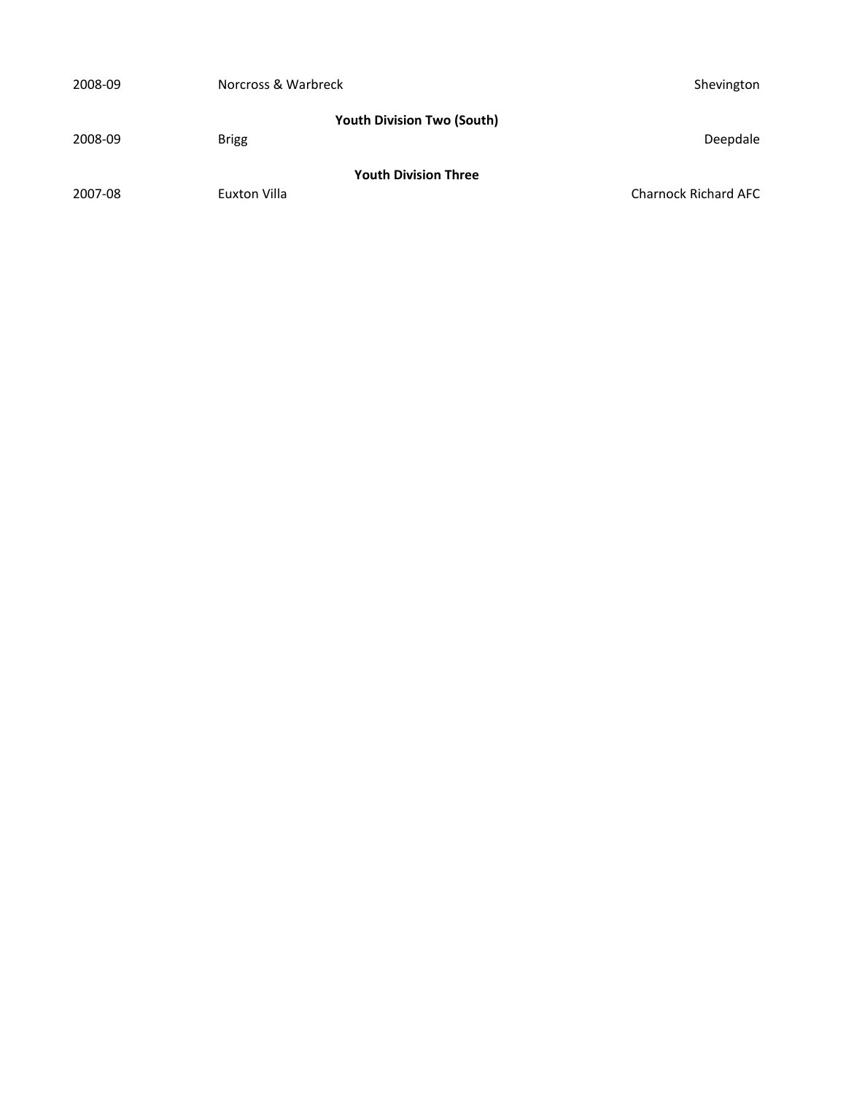| 2008-09 | Norcross & Warbreck                               | Shevington                  |
|---------|---------------------------------------------------|-----------------------------|
| 2008-09 | <b>Youth Division Two (South)</b><br><b>Brigg</b> | Deepdale                    |
| 2007-08 | <b>Youth Division Three</b><br>Euxton Villa       | <b>Charnock Richard AFC</b> |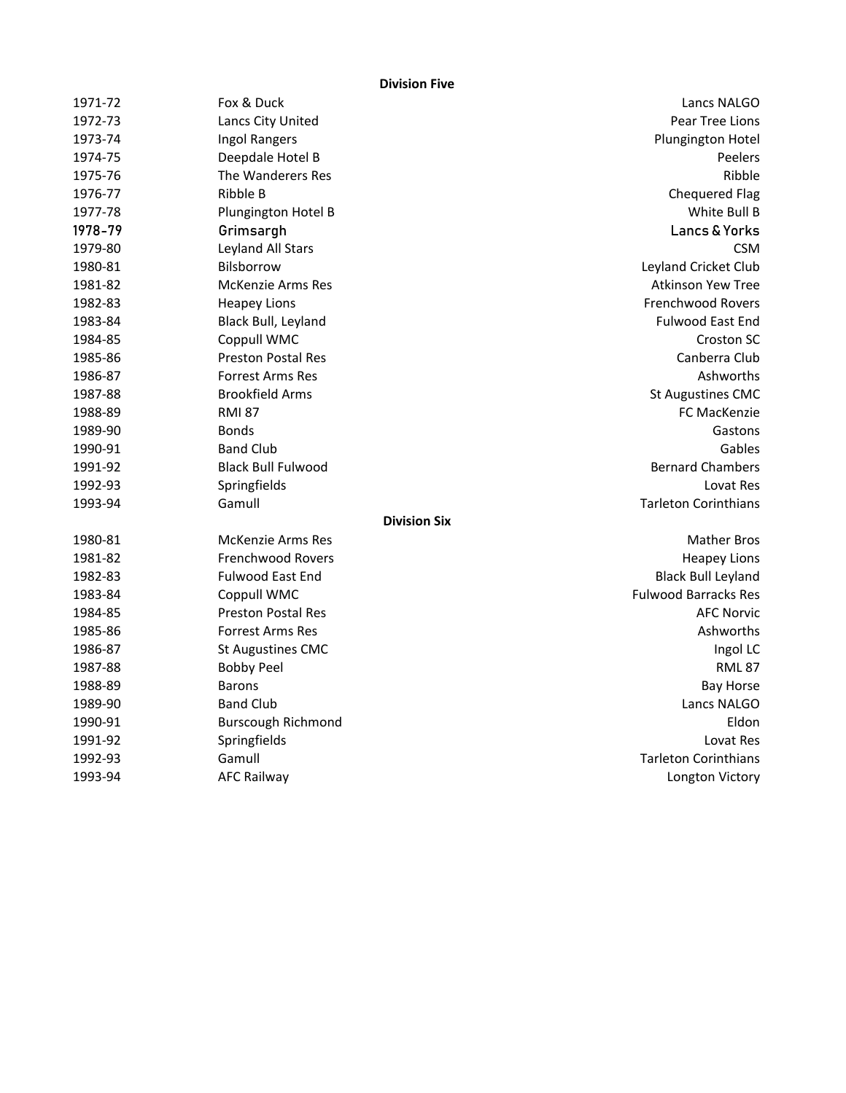**Division Five**

| 1971-72 | Fox & Duck                | Lancs NALGO                 |
|---------|---------------------------|-----------------------------|
| 1972-73 | Lancs City United         | Pear Tree Lions             |
| 1973-74 | <b>Ingol Rangers</b>      | Plungington Hotel           |
| 1974-75 | Deepdale Hotel B          | Peelers                     |
| 1975-76 | The Wanderers Res         | Ribble                      |
| 1976-77 | Ribble B                  | <b>Chequered Flag</b>       |
| 1977-78 | Plungington Hotel B       | White Bull B                |
| 1978-79 | Grimsargh                 | Lancs & Yorks               |
| 1979-80 | Leyland All Stars         | <b>CSM</b>                  |
| 1980-81 | Bilsborrow                | Leyland Cricket Club        |
| 1981-82 | <b>McKenzie Arms Res</b>  | <b>Atkinson Yew Tree</b>    |
| 1982-83 | <b>Heapey Lions</b>       | <b>Frenchwood Rovers</b>    |
| 1983-84 | Black Bull, Leyland       | <b>Fulwood East End</b>     |
| 1984-85 | Coppull WMC               | <b>Croston SC</b>           |
| 1985-86 | <b>Preston Postal Res</b> | Canberra Club               |
| 1986-87 | <b>Forrest Arms Res</b>   | Ashworths                   |
| 1987-88 | <b>Brookfield Arms</b>    | <b>St Augustines CMC</b>    |
| 1988-89 | <b>RMI 87</b>             | FC MacKenzie                |
| 1989-90 | <b>Bonds</b>              | Gastons                     |
| 1990-91 | <b>Band Club</b>          | Gables                      |
| 1991-92 | <b>Black Bull Fulwood</b> | <b>Bernard Chambers</b>     |
| 1992-93 | Springfields              | Lovat Res                   |
| 1993-94 | Gamull                    | <b>Tarleton Corinthians</b> |
|         | <b>Division Six</b>       |                             |
| 1980-81 | <b>McKenzie Arms Res</b>  | <b>Mather Bros</b>          |
| 1981-82 | <b>Frenchwood Rovers</b>  | <b>Heapey Lions</b>         |
| 1982-83 | <b>Fulwood East End</b>   | <b>Black Bull Leyland</b>   |
| 1983-84 | Coppull WMC               | <b>Fulwood Barracks Res</b> |
| 1984-85 | <b>Preston Postal Res</b> | <b>AFC Norvic</b>           |
| 1985-86 | <b>Forrest Arms Res</b>   | Ashworths                   |
| 1986-87 | <b>St Augustines CMC</b>  | Ingol LC                    |
| 1987-88 | <b>Bobby Peel</b>         | <b>RML 87</b>               |
| 1988-89 | <b>Barons</b>             | <b>Bay Horse</b>            |
| 1989-90 | <b>Band Club</b>          | Lancs NALGO                 |
| 1990-91 | <b>Burscough Richmond</b> | Eldon                       |
| 1991-92 | Springfields              | Lovat Res                   |
| 1992-93 | Gamull                    | <b>Tarleton Corinthians</b> |
| 1993-94 | <b>AFC Railway</b>        | Longton Victory             |
|         |                           |                             |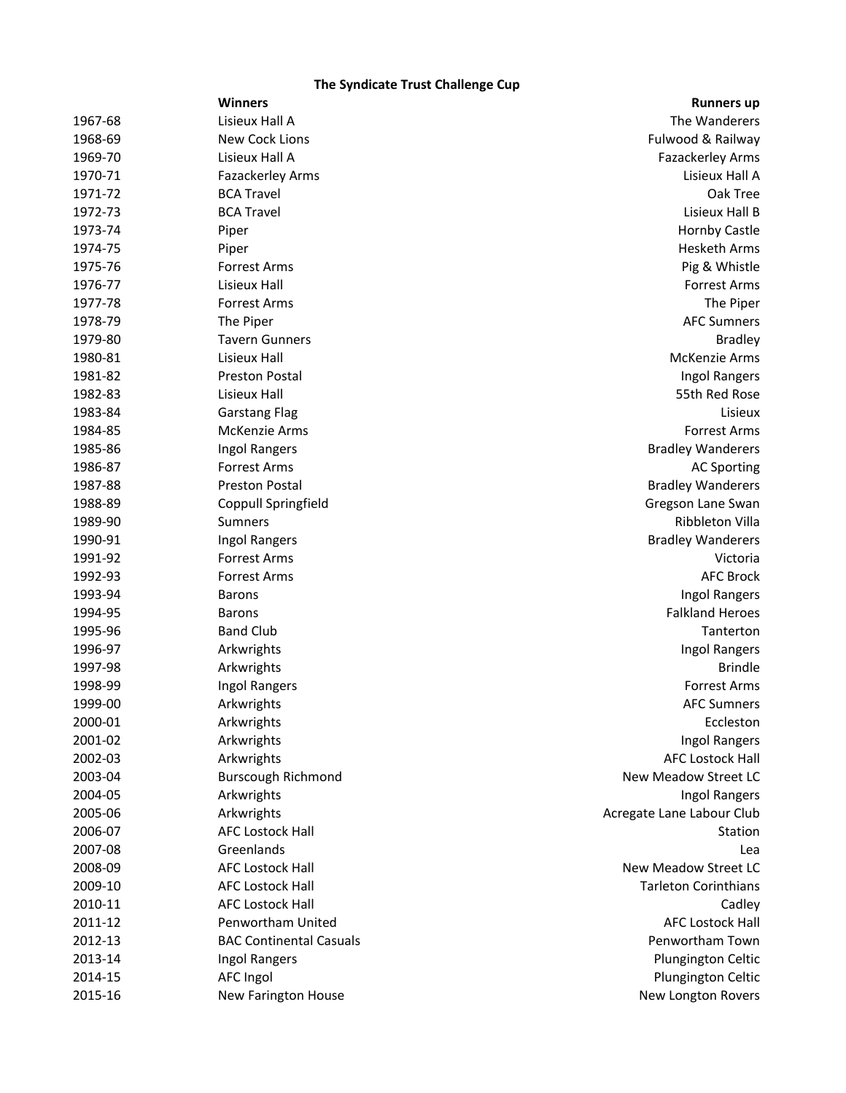# **The Syndicate Trust Challenge Cup**

|         | <b>Winners</b>                 | <b>Runners up</b>           |
|---------|--------------------------------|-----------------------------|
| 1967-68 | Lisieux Hall A                 | The Wanderers               |
| 1968-69 | New Cock Lions                 | Fulwood & Railway           |
| 1969-70 | Lisieux Hall A                 | Fazackerley Arms            |
| 1970-71 | Fazackerley Arms               | Lisieux Hall A              |
| 1971-72 | <b>BCA Travel</b>              | Oak Tree                    |
| 1972-73 | <b>BCA Travel</b>              | Lisieux Hall B              |
| 1973-74 | Piper                          | <b>Hornby Castle</b>        |
| 1974-75 | Piper                          | <b>Hesketh Arms</b>         |
| 1975-76 | <b>Forrest Arms</b>            | Pig & Whistle               |
| 1976-77 | Lisieux Hall                   | <b>Forrest Arms</b>         |
| 1977-78 | <b>Forrest Arms</b>            | The Piper                   |
| 1978-79 | The Piper                      | <b>AFC Sumners</b>          |
| 1979-80 | <b>Tavern Gunners</b>          | <b>Bradley</b>              |
| 1980-81 | Lisieux Hall                   | <b>McKenzie Arms</b>        |
| 1981-82 | <b>Preston Postal</b>          | Ingol Rangers               |
| 1982-83 | Lisieux Hall                   | 55th Red Rose               |
| 1983-84 | <b>Garstang Flag</b>           | Lisieux                     |
| 1984-85 | McKenzie Arms                  | <b>Forrest Arms</b>         |
| 1985-86 | Ingol Rangers                  | <b>Bradley Wanderers</b>    |
| 1986-87 | <b>Forrest Arms</b>            | <b>AC Sporting</b>          |
| 1987-88 | Preston Postal                 | <b>Bradley Wanderers</b>    |
| 1988-89 | Coppull Springfield            | Gregson Lane Swan           |
| 1989-90 | <b>Sumners</b>                 | Ribbleton Villa             |
| 1990-91 | Ingol Rangers                  | <b>Bradley Wanderers</b>    |
| 1991-92 | <b>Forrest Arms</b>            | Victoria                    |
| 1992-93 | <b>Forrest Arms</b>            | <b>AFC Brock</b>            |
| 1993-94 | <b>Barons</b>                  | Ingol Rangers               |
| 1994-95 | <b>Barons</b>                  | <b>Falkland Heroes</b>      |
| 1995-96 | <b>Band Club</b>               | Tanterton                   |
| 1996-97 | Arkwrights                     | Ingol Rangers               |
| 1997-98 | Arkwrights                     | <b>Brindle</b>              |
| 1998-99 | Ingol Rangers                  | <b>Forrest Arms</b>         |
| 1999-00 | Arkwrights                     | <b>AFC Sumners</b>          |
| 2000-01 | Arkwrights                     | Eccleston                   |
| 2001-02 | Arkwrights                     | Ingol Rangers               |
| 2002-03 | Arkwrights                     | <b>AFC Lostock Hall</b>     |
| 2003-04 | <b>Burscough Richmond</b>      | New Meadow Street LC        |
| 2004-05 | Arkwrights                     | <b>Ingol Rangers</b>        |
| 2005-06 | Arkwrights                     | Acregate Lane Labour Club   |
| 2006-07 | <b>AFC Lostock Hall</b>        | Station                     |
| 2007-08 | Greenlands                     | Lea                         |
| 2008-09 | <b>AFC Lostock Hall</b>        | New Meadow Street LC        |
| 2009-10 | <b>AFC Lostock Hall</b>        | <b>Tarleton Corinthians</b> |
| 2010-11 | <b>AFC Lostock Hall</b>        | Cadley                      |
| 2011-12 | Penwortham United              | <b>AFC Lostock Hall</b>     |
| 2012-13 | <b>BAC Continental Casuals</b> | Penwortham Town             |
| 2013-14 | Ingol Rangers                  | Plungington Celtic          |
| 2014-15 | AFC Ingol                      | Plungington Celtic          |
| 2015-16 | New Farington House            | New Longton Rovers          |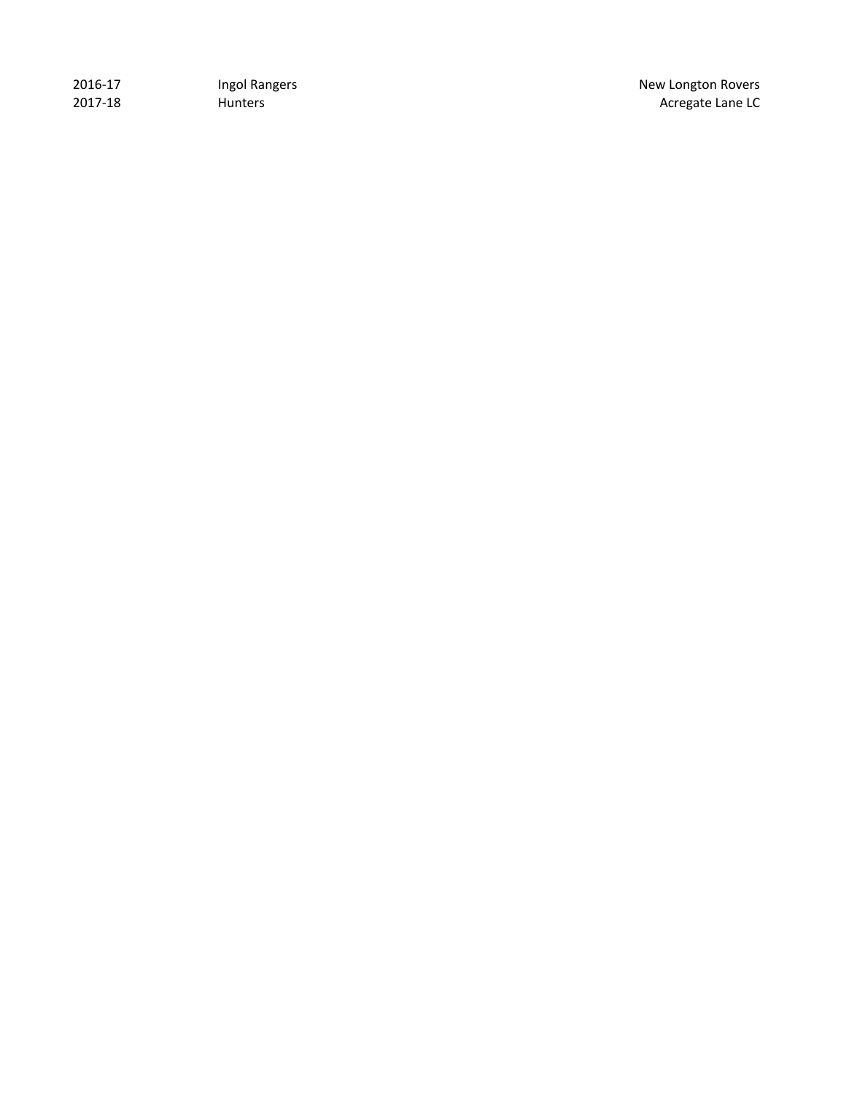| 2016-17 | Ingol Rangers  |
|---------|----------------|
| 2017-18 | <b>Hunters</b> |

New Longton Rovers Acregate Lane LC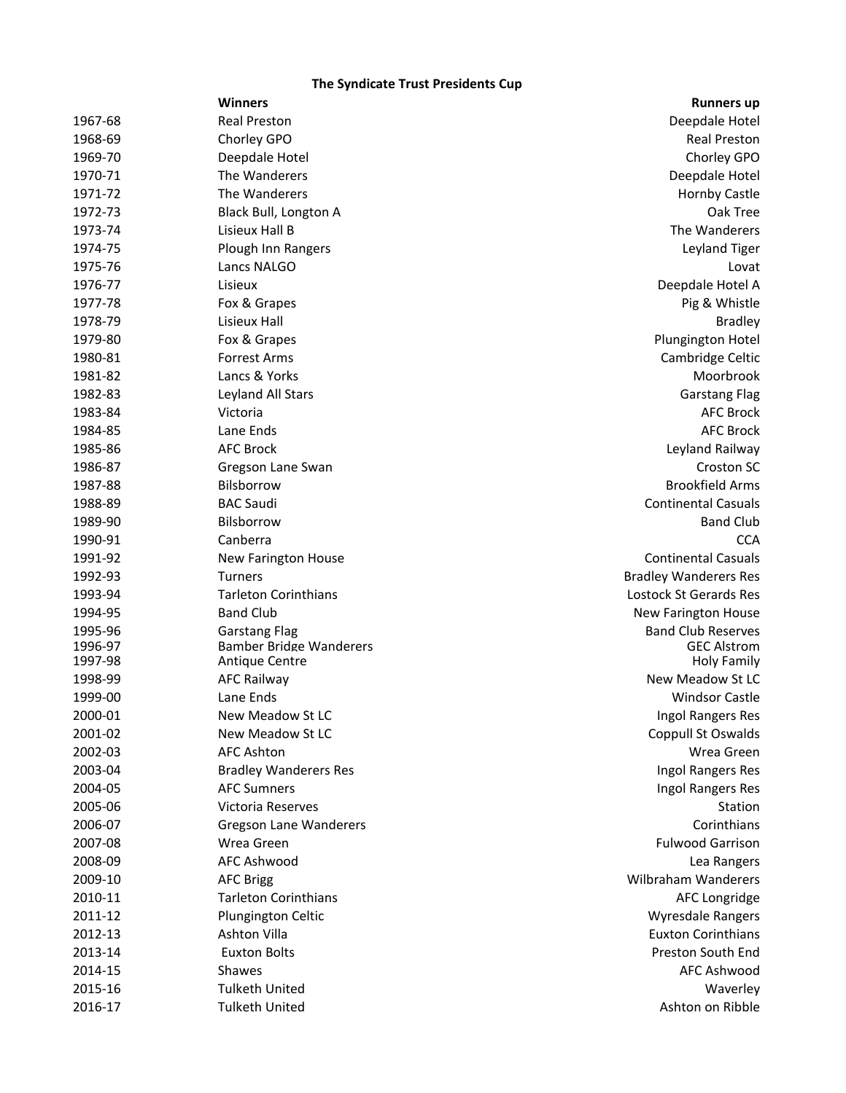## **The Syndicate Trust Presidents Cup**

|         | <b>Winners</b>                 | <b>Runners up</b>            |
|---------|--------------------------------|------------------------------|
| 1967-68 | <b>Real Preston</b>            | Deepdale Hotel               |
| 1968-69 | Chorley GPO                    | <b>Real Preston</b>          |
| 1969-70 | Deepdale Hotel                 | Chorley GPO                  |
| 1970-71 | The Wanderers                  | Deepdale Hotel               |
| 1971-72 | The Wanderers                  | <b>Hornby Castle</b>         |
| 1972-73 | Black Bull, Longton A          | Oak Tree                     |
| 1973-74 | Lisieux Hall B                 | The Wanderers                |
| 1974-75 | Plough Inn Rangers             | Leyland Tiger                |
| 1975-76 | Lancs NALGO                    | Lovat                        |
| 1976-77 | Lisieux                        | Deepdale Hotel A             |
| 1977-78 | Fox & Grapes                   | Pig & Whistle                |
| 1978-79 | Lisieux Hall                   | <b>Bradley</b>               |
| 1979-80 | Fox & Grapes                   | Plungington Hotel            |
| 1980-81 | <b>Forrest Arms</b>            | Cambridge Celtic             |
| 1981-82 | Lancs & Yorks                  | Moorbrook                    |
| 1982-83 | Leyland All Stars              | <b>Garstang Flag</b>         |
| 1983-84 | Victoria                       | <b>AFC Brock</b>             |
| 1984-85 | Lane Ends                      | <b>AFC Brock</b>             |
| 1985-86 | <b>AFC Brock</b>               | Leyland Railway              |
| 1986-87 | Gregson Lane Swan              | <b>Croston SC</b>            |
| 1987-88 | Bilsborrow                     | <b>Brookfield Arms</b>       |
| 1988-89 | <b>BAC Saudi</b>               | <b>Continental Casuals</b>   |
| 1989-90 | <b>Bilsborrow</b>              | <b>Band Club</b>             |
| 1990-91 | Canberra                       | <b>CCA</b>                   |
| 1991-92 | New Farington House            | <b>Continental Casuals</b>   |
| 1992-93 | <b>Turners</b>                 | <b>Bradley Wanderers Res</b> |
| 1993-94 | <b>Tarleton Corinthians</b>    | Lostock St Gerards Res       |
| 1994-95 | <b>Band Club</b>               | <b>New Farington House</b>   |
| 1995-96 | <b>Garstang Flag</b>           | <b>Band Club Reserves</b>    |
| 1996-97 | <b>Bamber Bridge Wanderers</b> | <b>GEC Alstrom</b>           |
| 1997-98 | Antique Centre                 | <b>Holy Family</b>           |
| 1998-99 | <b>AFC Railway</b>             | New Meadow St LC             |
| 1999-00 | Lane Ends                      | <b>Windsor Castle</b>        |
| 2000-01 | New Meadow St LC               | Ingol Rangers Res            |
| 2001-02 | New Meadow St LC               | Coppull St Oswalds           |
| 2002-03 | <b>AFC Ashton</b>              | Wrea Green                   |
| 2003-04 | <b>Bradley Wanderers Res</b>   | Ingol Rangers Res            |
| 2004-05 | <b>AFC Sumners</b>             | Ingol Rangers Res            |
| 2005-06 | Victoria Reserves              | Station                      |
| 2006-07 | <b>Gregson Lane Wanderers</b>  | Corinthians                  |
| 2007-08 | Wrea Green                     | <b>Fulwood Garrison</b>      |
| 2008-09 | <b>AFC Ashwood</b>             | Lea Rangers                  |
| 2009-10 | <b>AFC Brigg</b>               | Wilbraham Wanderers          |
| 2010-11 | <b>Tarleton Corinthians</b>    | AFC Longridge                |
| 2011-12 | Plungington Celtic             | Wyresdale Rangers            |
| 2012-13 | Ashton Villa                   | <b>Euxton Corinthians</b>    |
| 2013-14 | <b>Euxton Bolts</b>            | Preston South End            |
| 2014-15 | Shawes                         | <b>AFC Ashwood</b>           |
| 2015-16 | <b>Tulketh United</b>          | Waverley                     |
| 2016-17 | <b>Tulketh United</b>          | Ashton on Ribble             |
|         |                                |                              |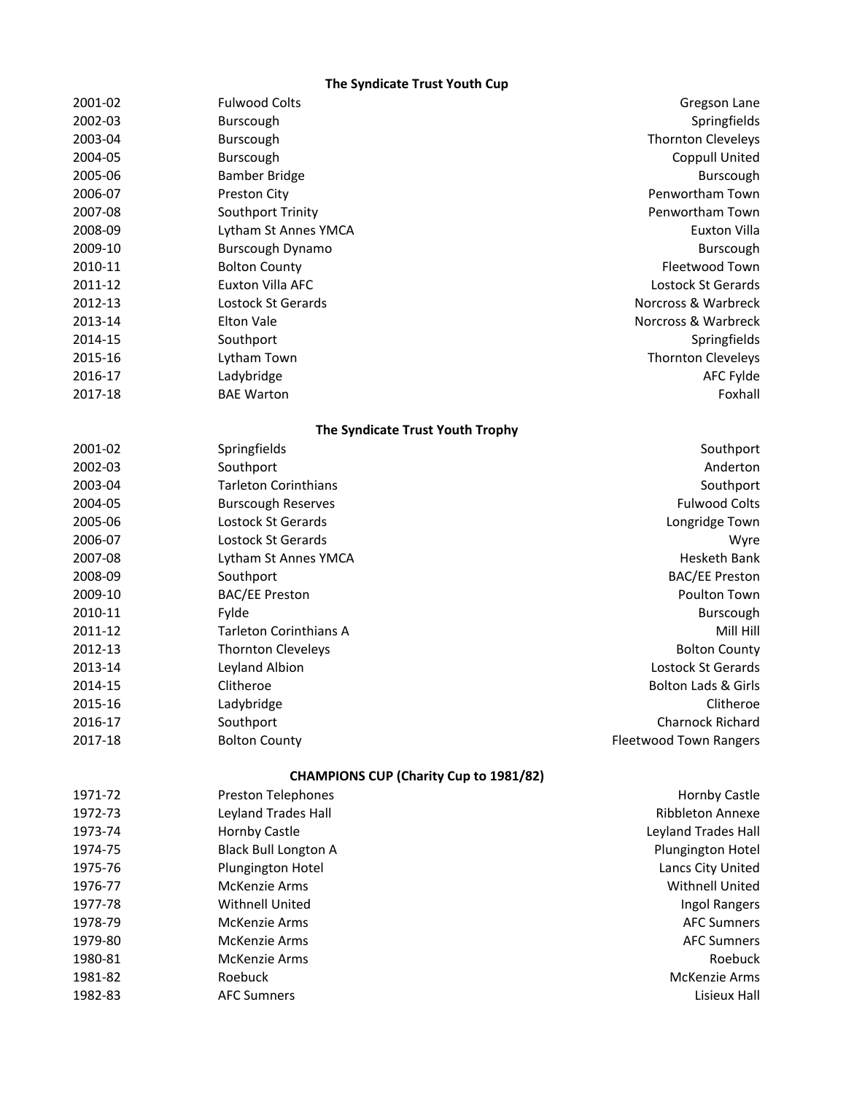## **The Syndicate Trust Youth Cup**

| 2001-02 | <b>Fulwood Colts</b>                          | Gregson Lane                   |
|---------|-----------------------------------------------|--------------------------------|
| 2002-03 | Burscough                                     | Springfields                   |
| 2003-04 | Burscough                                     | <b>Thornton Cleveleys</b>      |
| 2004-05 | Burscough                                     | <b>Coppull United</b>          |
| 2005-06 | <b>Bamber Bridge</b>                          | Burscough                      |
| 2006-07 | Preston City                                  | Penwortham Town                |
| 2007-08 | Southport Trinity                             | Penwortham Town                |
| 2008-09 | Lytham St Annes YMCA                          | <b>Euxton Villa</b>            |
| 2009-10 | Burscough Dynamo                              | Burscough                      |
| 2010-11 | <b>Bolton County</b>                          | Fleetwood Town                 |
| 2011-12 | <b>Euxton Villa AFC</b>                       | Lostock St Gerards             |
| 2012-13 | Lostock St Gerards                            | Norcross & Warbreck            |
| 2013-14 | <b>Elton Vale</b>                             | Norcross & Warbreck            |
| 2014-15 | Southport                                     | Springfields                   |
| 2015-16 | Lytham Town                                   | Thornton Cleveleys             |
| 2016-17 | Ladybridge                                    | AFC Fylde                      |
| 2017-18 | <b>BAE Warton</b>                             | Foxhall                        |
|         | The Syndicate Trust Youth Trophy              |                                |
| 2001-02 | Springfields                                  | Southport                      |
| 2002-03 | Southport                                     | Anderton                       |
| 2003-04 | <b>Tarleton Corinthians</b>                   | Southport                      |
| 2004-05 | <b>Burscough Reserves</b>                     | <b>Fulwood Colts</b>           |
| 2005-06 | Lostock St Gerards                            | Longridge Town                 |
| 2006-07 | Lostock St Gerards                            | Wyre                           |
| 2007-08 | Lytham St Annes YMCA                          | Hesketh Bank                   |
| 2008-09 | Southport                                     | <b>BAC/EE Preston</b>          |
| 2009-10 | <b>BAC/EE Preston</b>                         | Poulton Town                   |
| 2010-11 | Fylde                                         | Burscough                      |
| 2011-12 | <b>Tarleton Corinthians A</b>                 | Mill Hill                      |
| 2012-13 | <b>Thornton Cleveleys</b>                     | <b>Bolton County</b>           |
| 2013-14 | Leyland Albion                                | Lostock St Gerards             |
| 2014-15 | Clitheroe                                     | <b>Bolton Lads &amp; Girls</b> |
| 2015-16 | Ladybridge                                    | Clitheroe                      |
| 2016-17 | Southport                                     | Charnock Richard               |
| 2017-18 | <b>Bolton County</b>                          | <b>Fleetwood Town Rangers</b>  |
|         | <b>CHAMPIONS CUP (Charity Cup to 1981/82)</b> |                                |
| 1971-72 | Preston Telephones                            | <b>Hornby Castle</b>           |
| 1972-73 | Leyland Trades Hall                           | Ribbleton Annexe               |
| 1973-74 | Hornby Castle                                 | Leyland Trades Hall            |
| 1974-75 | <b>Black Bull Longton A</b>                   | Plungington Hotel              |
| 1975-76 | Plungington Hotel                             | Lancs City United              |
| 1976-77 | McKenzie Arms                                 | Withnell United                |
| 1977-78 | <b>Withnell United</b>                        | Ingol Rangers                  |
| 1978-79 | <b>McKenzie Arms</b>                          | <b>AFC Sumners</b>             |
| 1979-80 | <b>McKenzie Arms</b>                          | <b>AFC Sumners</b>             |
| 1980-81 | McKenzie Arms                                 | Roebuck                        |
| 1981-82 | Roebuck                                       | McKenzie Arms                  |
| 1982-83 | <b>AFC Sumners</b>                            | Lisieux Hall                   |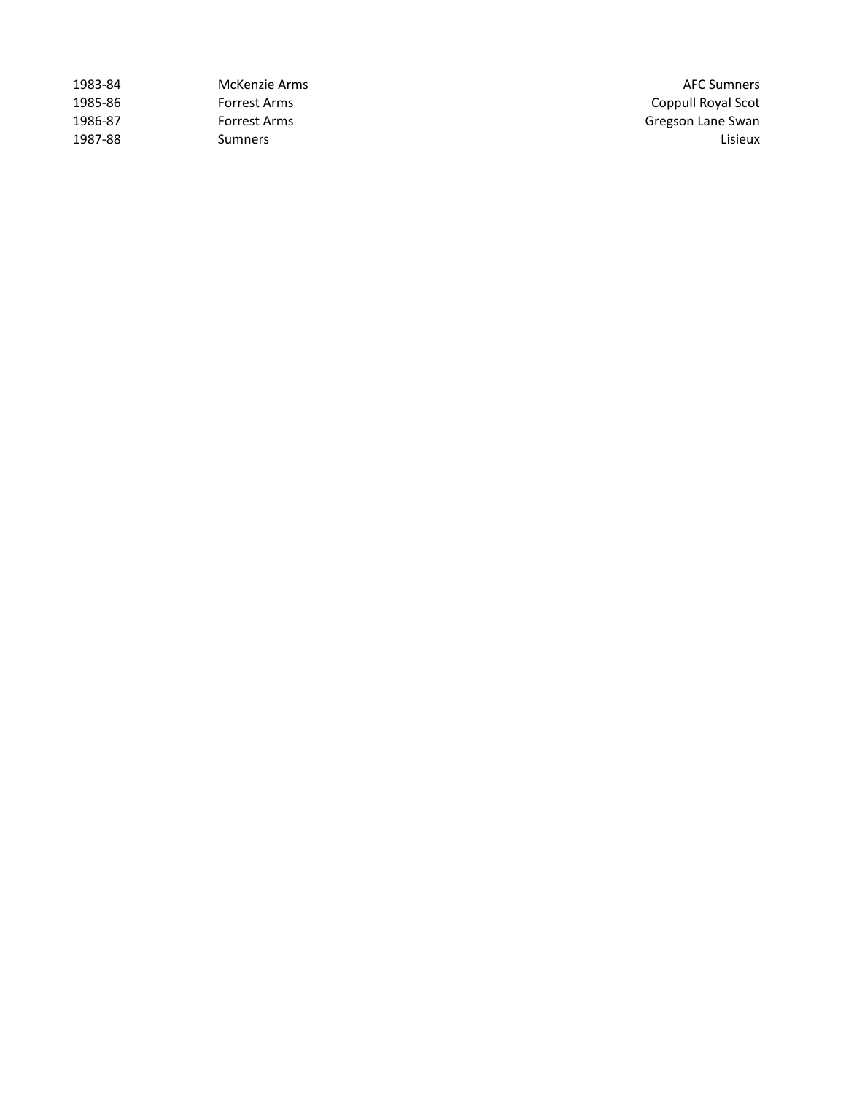| 1983-84 | McKenzie Arms | <b>AFC Sumners</b> |
|---------|---------------|--------------------|
| 1985-86 | Forrest Arms  | Coppull Royal Scot |
| 1986-87 | Forrest Arms  | Gregson Lane Swan  |
| 1987-88 | Sumners       | Lisieux            |

AFC Sumners Coppull Royal Scot Gregson Lane Swan<br>Lisieux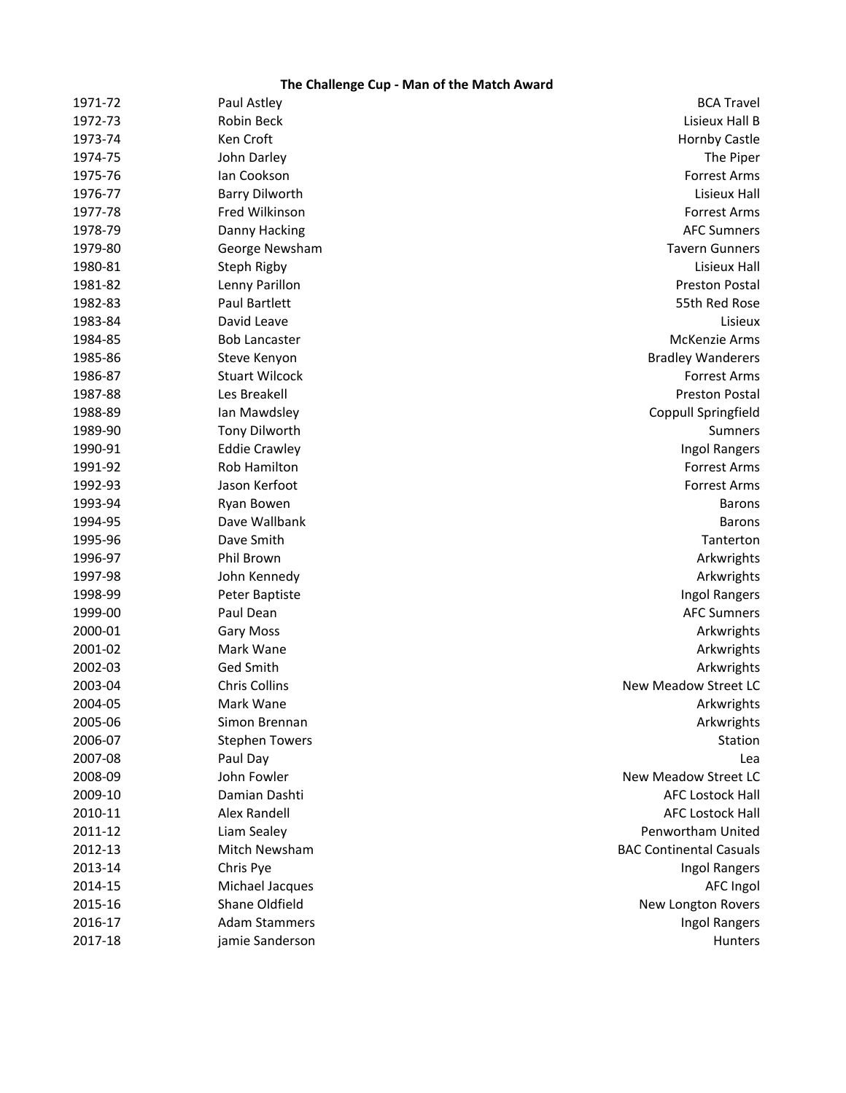# **The Challenge Cup - Man of the Match Award**

| 1971-72 | Paul Astley           | <b>BCA Travel</b>              |
|---------|-----------------------|--------------------------------|
| 1972-73 | Robin Beck            | Lisieux Hall B                 |
| 1973-74 | Ken Croft             | <b>Hornby Castle</b>           |
| 1974-75 | John Darley           | The Piper                      |
| 1975-76 | Ian Cookson           | <b>Forrest Arms</b>            |
| 1976-77 | <b>Barry Dilworth</b> | Lisieux Hall                   |
| 1977-78 | Fred Wilkinson        | <b>Forrest Arms</b>            |
| 1978-79 | Danny Hacking         | <b>AFC Sumners</b>             |
| 1979-80 | George Newsham        | <b>Tavern Gunners</b>          |
| 1980-81 | Steph Rigby           | Lisieux Hall                   |
| 1981-82 | Lenny Parillon        | <b>Preston Postal</b>          |
| 1982-83 | Paul Bartlett         | 55th Red Rose                  |
| 1983-84 | David Leave           | Lisieux                        |
| 1984-85 | <b>Bob Lancaster</b>  | McKenzie Arms                  |
| 1985-86 | Steve Kenyon          | <b>Bradley Wanderers</b>       |
| 1986-87 | <b>Stuart Wilcock</b> | <b>Forrest Arms</b>            |
| 1987-88 | Les Breakell          | <b>Preston Postal</b>          |
| 1988-89 | Ian Mawdsley          | Coppull Springfield            |
| 1989-90 | <b>Tony Dilworth</b>  | Sumners                        |
| 1990-91 | <b>Eddie Crawley</b>  | Ingol Rangers                  |
| 1991-92 | Rob Hamilton          | <b>Forrest Arms</b>            |
| 1992-93 | Jason Kerfoot         | <b>Forrest Arms</b>            |
| 1993-94 | Ryan Bowen            | <b>Barons</b>                  |
| 1994-95 | Dave Wallbank         | <b>Barons</b>                  |
| 1995-96 | Dave Smith            | Tanterton                      |
| 1996-97 | Phil Brown            | Arkwrights                     |
| 1997-98 | John Kennedy          | Arkwrights                     |
| 1998-99 | Peter Baptiste        | Ingol Rangers                  |
| 1999-00 | Paul Dean             | <b>AFC Sumners</b>             |
| 2000-01 | <b>Gary Moss</b>      | Arkwrights                     |
| 2001-02 | Mark Wane             | Arkwrights                     |
| 2002-03 | <b>Ged Smith</b>      | Arkwrights                     |
| 2003-04 | <b>Chris Collins</b>  | New Meadow Street LC           |
| 2004-05 | Mark Wane             | Arkwrights                     |
| 2005-06 | Simon Brennan         | Arkwrights                     |
| 2006-07 | <b>Stephen Towers</b> | Station                        |
| 2007-08 | Paul Day              | Lea                            |
| 2008-09 | John Fowler           | New Meadow Street LC           |
| 2009-10 | Damian Dashti         | <b>AFC Lostock Hall</b>        |
| 2010-11 | <b>Alex Randell</b>   | <b>AFC Lostock Hall</b>        |
| 2011-12 | Liam Sealey           | Penwortham United              |
| 2012-13 | Mitch Newsham         | <b>BAC Continental Casuals</b> |
| 2013-14 | Chris Pye             | Ingol Rangers                  |
| 2014-15 | Michael Jacques       | <b>AFC Ingol</b>               |
| 2015-16 | Shane Oldfield        | New Longton Rovers             |
| 2016-17 | <b>Adam Stammers</b>  | Ingol Rangers                  |
| 2017-18 | jamie Sanderson       | Hunters                        |
|         |                       |                                |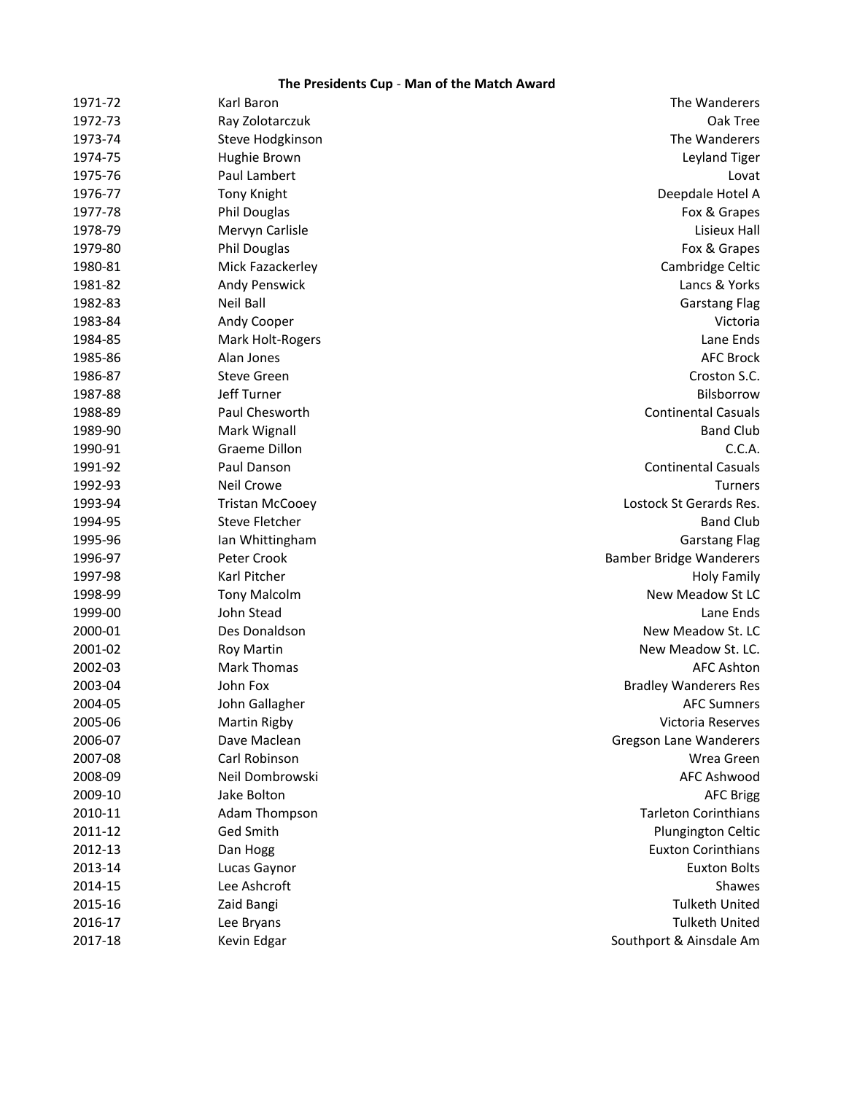## **The Presidents Cup** - **Man of the Match Award**

| The Wanderers                  | Karl Baron             | 1971-72 |
|--------------------------------|------------------------|---------|
| Oak Tree                       | Ray Zolotarczuk        | 1972-73 |
| The Wanderers                  | Steve Hodgkinson       | 1973-74 |
| Leyland Tiger                  | Hughie Brown           | 1974-75 |
| Lovat                          | Paul Lambert           | 1975-76 |
| Deepdale Hotel A               | <b>Tony Knight</b>     | 1976-77 |
| Fox & Grapes                   | Phil Douglas           | 1977-78 |
| Lisieux Hall                   | Mervyn Carlisle        | 1978-79 |
| Fox & Grapes                   | Phil Douglas           | 1979-80 |
| Cambridge Celtic               | Mick Fazackerley       | 1980-81 |
| Lancs & Yorks                  | Andy Penswick          | 1981-82 |
| <b>Garstang Flag</b>           | Neil Ball              | 1982-83 |
| Victoria                       | Andy Cooper            | 1983-84 |
| Lane Ends                      | Mark Holt-Rogers       | 1984-85 |
| <b>AFC Brock</b>               | Alan Jones             | 1985-86 |
| Croston S.C.                   | <b>Steve Green</b>     | 1986-87 |
| Bilsborrow                     | Jeff Turner            | 1987-88 |
| <b>Continental Casuals</b>     | Paul Chesworth         | 1988-89 |
| <b>Band Club</b>               | Mark Wignall           | 1989-90 |
| C.C.A.                         | Graeme Dillon          | 1990-91 |
| <b>Continental Casuals</b>     | Paul Danson            | 1991-92 |
| <b>Turners</b>                 | Neil Crowe             | 1992-93 |
| Lostock St Gerards Res.        | <b>Tristan McCooey</b> | 1993-94 |
| <b>Band Club</b>               | <b>Steve Fletcher</b>  | 1994-95 |
| <b>Garstang Flag</b>           | Ian Whittingham        | 1995-96 |
| <b>Bamber Bridge Wanderers</b> | Peter Crook            | 1996-97 |
| <b>Holy Family</b>             | Karl Pitcher           | 1997-98 |
| New Meadow St LC               | <b>Tony Malcolm</b>    | 1998-99 |
| Lane Ends                      | John Stead             | 1999-00 |
| New Meadow St. LC              | Des Donaldson          | 2000-01 |
| New Meadow St. LC.             | <b>Roy Martin</b>      | 2001-02 |
| <b>AFC Ashton</b>              | <b>Mark Thomas</b>     | 2002-03 |
| <b>Bradley Wanderers Res</b>   | John Fox               | 2003-04 |
| <b>AFC Sumners</b>             | John Gallagher         | 2004-05 |
| Victoria Reserves              | <b>Martin Rigby</b>    | 2005-06 |
| <b>Gregson Lane Wanderers</b>  | Dave Maclean           | 2006-07 |
| Wrea Green                     | Carl Robinson          | 2007-08 |
| AFC Ashwood                    | Neil Dombrowski        | 2008-09 |
| <b>AFC Brigg</b>               | Jake Bolton            | 2009-10 |
| <b>Tarleton Corinthians</b>    | Adam Thompson          | 2010-11 |
| Plungington Celtic             | Ged Smith              | 2011-12 |
| <b>Euxton Corinthians</b>      | Dan Hogg               | 2012-13 |
| <b>Euxton Bolts</b>            | Lucas Gaynor           | 2013-14 |
| Shawes                         | Lee Ashcroft           | 2014-15 |
| <b>Tulketh United</b>          | Zaid Bangi             | 2015-16 |
| <b>Tulketh United</b>          | Lee Bryans             | 2016-17 |
| Southport & Ainsdale Am        | Kevin Edgar            | 2017-18 |
|                                |                        |         |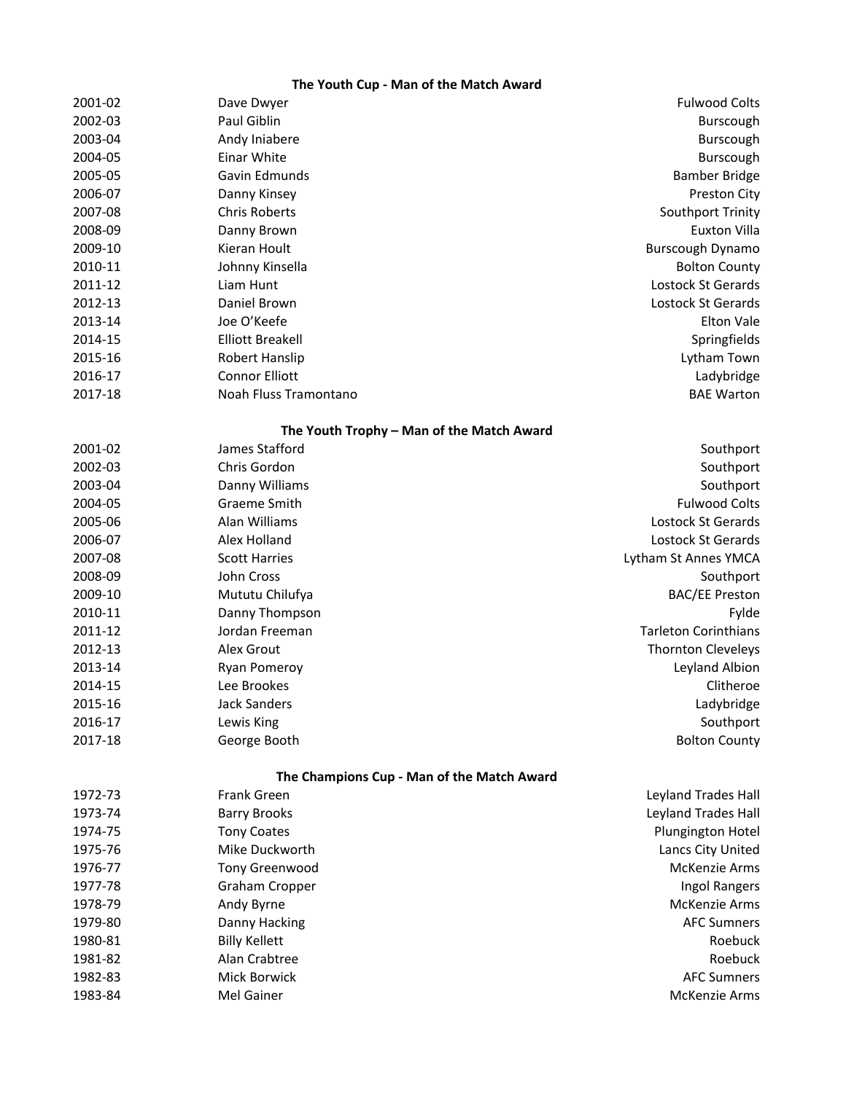# **The Youth Cup - Man of the Match Award**

| 2001-02 | Dave Dwyer                                 | <b>Fulwood Colts</b>        |
|---------|--------------------------------------------|-----------------------------|
| 2002-03 | Paul Giblin                                | Burscough                   |
| 2003-04 | Andy Iniabere                              | Burscough                   |
| 2004-05 | Einar White                                | Burscough                   |
| 2005-05 | Gavin Edmunds                              | <b>Bamber Bridge</b>        |
| 2006-07 | Danny Kinsey                               | Preston City                |
| 2007-08 | <b>Chris Roberts</b>                       | Southport Trinity           |
| 2008-09 | Danny Brown                                | <b>Euxton Villa</b>         |
| 2009-10 | Kieran Hoult                               | Burscough Dynamo            |
| 2010-11 | Johnny Kinsella                            | <b>Bolton County</b>        |
| 2011-12 | Liam Hunt                                  | Lostock St Gerards          |
| 2012-13 | Daniel Brown                               | Lostock St Gerards          |
| 2013-14 | Joe O'Keefe                                | <b>Elton Vale</b>           |
| 2014-15 | <b>Elliott Breakell</b>                    | Springfields                |
| 2015-16 | Robert Hanslip                             | Lytham Town                 |
| 2016-17 | <b>Connor Elliott</b>                      | Ladybridge                  |
| 2017-18 | Noah Fluss Tramontano                      | <b>BAE Warton</b>           |
|         | The Youth Trophy - Man of the Match Award  |                             |
| 2001-02 | James Stafford                             | Southport                   |
| 2002-03 | Chris Gordon                               | Southport                   |
| 2003-04 | Danny Williams                             | Southport                   |
| 2004-05 | Graeme Smith                               | <b>Fulwood Colts</b>        |
| 2005-06 | Alan Williams                              | Lostock St Gerards          |
| 2006-07 | Alex Holland                               | Lostock St Gerards          |
| 2007-08 | <b>Scott Harries</b>                       | Lytham St Annes YMCA        |
| 2008-09 | John Cross                                 | Southport                   |
| 2009-10 | Mututu Chilufya                            | <b>BAC/EE Preston</b>       |
| 2010-11 | Danny Thompson                             | Fylde                       |
| 2011-12 | Jordan Freeman                             | <b>Tarleton Corinthians</b> |
| 2012-13 | Alex Grout                                 | <b>Thornton Cleveleys</b>   |
| 2013-14 | Ryan Pomeroy                               | Leyland Albion              |
| 2014-15 | Lee Brookes                                | Clitheroe                   |
| 2015-16 | <b>Jack Sanders</b>                        | Ladybridge                  |
| 2016-17 | Lewis King                                 | Southport                   |
| 2017-18 | George Booth                               | <b>Bolton County</b>        |
|         | The Champions Cup - Man of the Match Award |                             |
| 1972-73 | <b>Frank Green</b>                         | Leyland Trades Hall         |
| 1973-74 | <b>Barry Brooks</b>                        | Leyland Trades Hall         |
| 1974-75 | <b>Tony Coates</b>                         | Plungington Hotel           |
| 1975-76 | Mike Duckworth                             | Lancs City United           |
| 1976-77 | Tony Greenwood                             | McKenzie Arms               |
| 1977-78 | <b>Graham Cropper</b>                      | Ingol Rangers               |

1978-79 Andy Byrne McKenzie Arms 1979-80 Danny Hacking **Danny Hacking** Communication of the AFC Sumners 1980-81 Billy Kellett Roebuck 1981-82 Alan Crabtree Roebuck 1982-83 Mick Borwick AFC Sumners 1983-84 Mel Gainer Mel Gainer Manual Arms and McKenzie Arms McKenzie Arms and McKenzie Arms and McKenzie Arms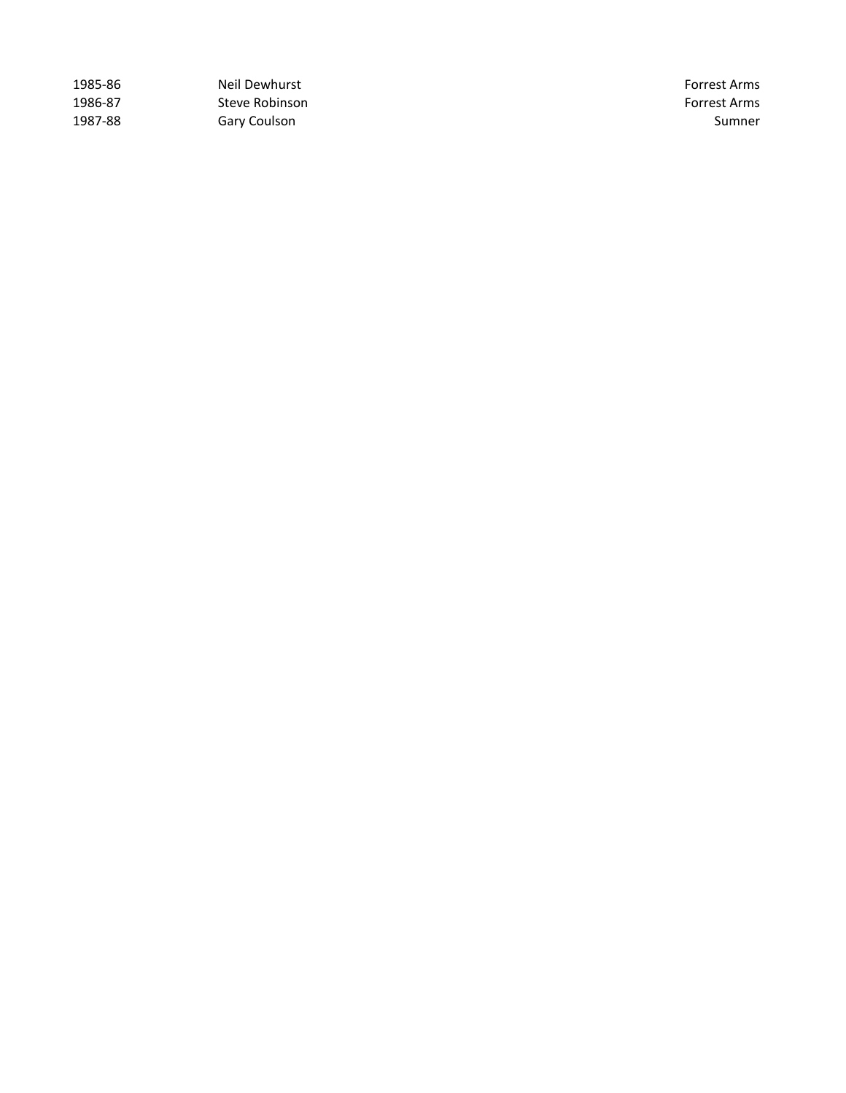| 1985-86 | Neil Dewhurst  | Forrest Arms |
|---------|----------------|--------------|
| 1986-87 | Steve Robinson | Forrest Arms |
| 1987-88 | Gary Coulson   | Sumner       |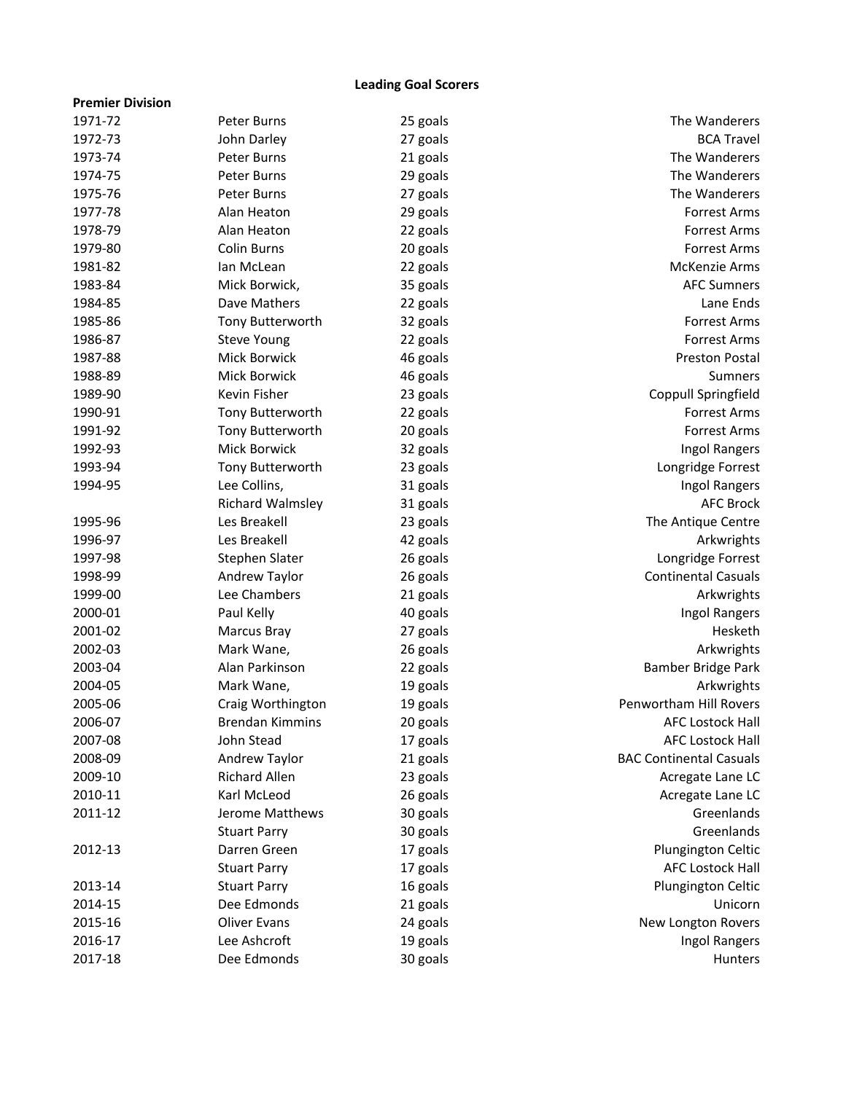### **Leading Goal Scorers**

| <b>Premier Division</b> |                         |          |                                |
|-------------------------|-------------------------|----------|--------------------------------|
| 1971-72                 | <b>Peter Burns</b>      | 25 goals | The Wanderers                  |
| 1972-73                 | John Darley             | 27 goals | <b>BCA Travel</b>              |
| 1973-74                 | Peter Burns             | 21 goals | The Wanderers                  |
| 1974-75                 | Peter Burns             | 29 goals | The Wanderers                  |
| 1975-76                 | Peter Burns             | 27 goals | The Wanderers                  |
| 1977-78                 | Alan Heaton             | 29 goals | <b>Forrest Arms</b>            |
| 1978-79                 | Alan Heaton             | 22 goals | <b>Forrest Arms</b>            |
| 1979-80                 | <b>Colin Burns</b>      | 20 goals | <b>Forrest Arms</b>            |
| 1981-82                 | lan McLean              | 22 goals | McKenzie Arms                  |
| 1983-84                 | Mick Borwick,           | 35 goals | <b>AFC Sumners</b>             |
| 1984-85                 | Dave Mathers            | 22 goals | Lane Ends                      |
| 1985-86                 | Tony Butterworth        | 32 goals | <b>Forrest Arms</b>            |
| 1986-87                 | <b>Steve Young</b>      | 22 goals | <b>Forrest Arms</b>            |
| 1987-88                 | Mick Borwick            | 46 goals | <b>Preston Postal</b>          |
| 1988-89                 | Mick Borwick            | 46 goals | Sumners                        |
| 1989-90                 | Kevin Fisher            | 23 goals | Coppull Springfield            |
| 1990-91                 | Tony Butterworth        | 22 goals | <b>Forrest Arms</b>            |
| 1991-92                 | Tony Butterworth        | 20 goals | <b>Forrest Arms</b>            |
| 1992-93                 | <b>Mick Borwick</b>     | 32 goals | Ingol Rangers                  |
| 1993-94                 | Tony Butterworth        | 23 goals | Longridge Forrest              |
| 1994-95                 | Lee Collins,            | 31 goals | Ingol Rangers                  |
|                         | <b>Richard Walmsley</b> | 31 goals | <b>AFC Brock</b>               |
| 1995-96                 | Les Breakell            | 23 goals | The Antique Centre             |
| 1996-97                 | Les Breakell            | 42 goals | Arkwrights                     |
| 1997-98                 | Stephen Slater          | 26 goals | Longridge Forrest              |
| 1998-99                 | Andrew Taylor           | 26 goals | <b>Continental Casuals</b>     |
| 1999-00                 | Lee Chambers            | 21 goals | Arkwrights                     |
| 2000-01                 | Paul Kelly              | 40 goals | Ingol Rangers                  |
| 2001-02                 | Marcus Bray             | 27 goals | Hesketh                        |
| 2002-03                 | Mark Wane,              | 26 goals | Arkwrights                     |
| 2003-04                 | Alan Parkinson          | 22 goals | Bamber Bridge Park             |
| 2004-05                 | Mark Wane,              | 19 goals | Arkwrights                     |
| 2005-06                 | Craig Worthington       | 19 goals | Penwortham Hill Rovers         |
| 2006-07                 | <b>Brendan Kimmins</b>  | 20 goals | <b>AFC Lostock Hall</b>        |
| 2007-08                 | John Stead              | 17 goals | <b>AFC Lostock Hall</b>        |
| 2008-09                 | Andrew Taylor           | 21 goals | <b>BAC Continental Casuals</b> |
| 2009-10                 | <b>Richard Allen</b>    | 23 goals | Acregate Lane LC               |
| 2010-11                 | Karl McLeod             | 26 goals | Acregate Lane LC               |
| 2011-12                 | Jerome Matthews         | 30 goals | Greenlands                     |
|                         | <b>Stuart Parry</b>     | 30 goals | Greenlands                     |
| 2012-13                 | Darren Green            | 17 goals | Plungington Celtic             |
|                         | <b>Stuart Parry</b>     | 17 goals | <b>AFC Lostock Hall</b>        |
| 2013-14                 | <b>Stuart Parry</b>     | 16 goals | Plungington Celtic             |
| 2014-15                 | Dee Edmonds             | 21 goals | Unicorn                        |
| 2015-16                 | <b>Oliver Evans</b>     | 24 goals | New Longton Rovers             |
| 2016-17                 | Lee Ashcroft            | 19 goals | Ingol Rangers                  |
| 2017-18                 | Dee Edmonds             | 30 goals | Hunters                        |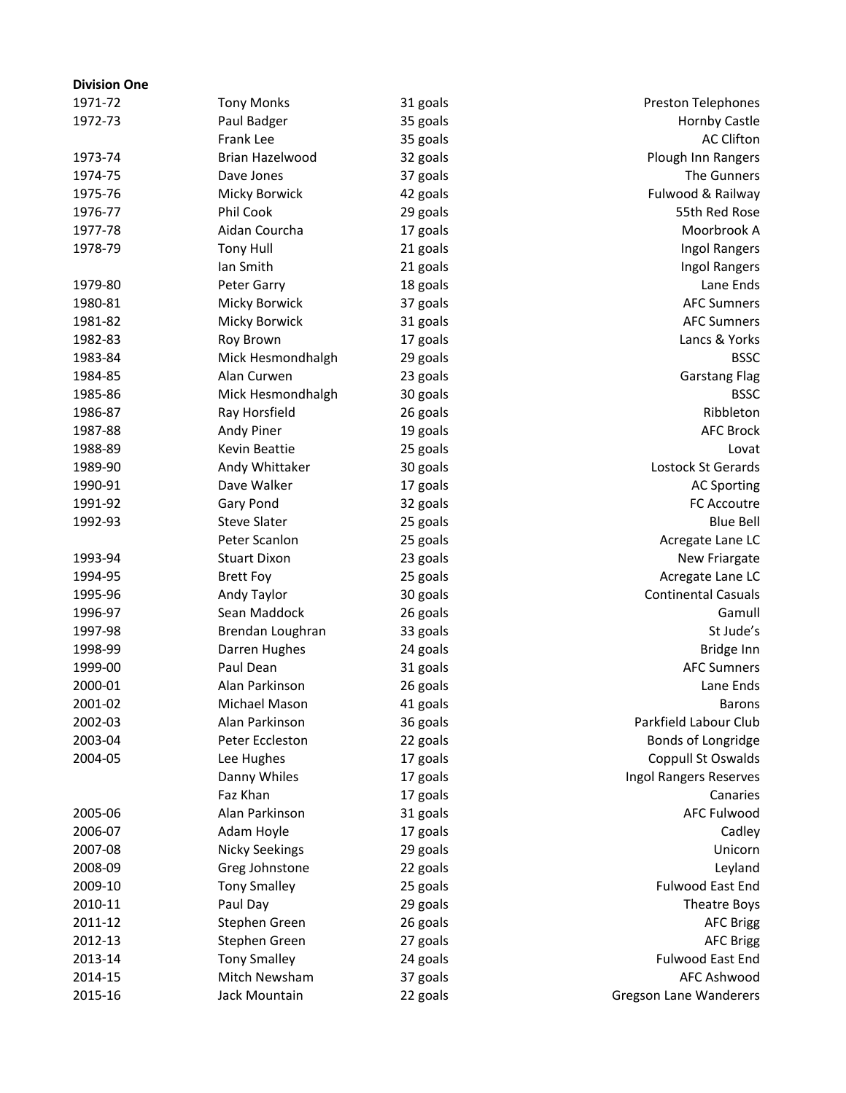| <b>Division One</b> |                               |          |                               |
|---------------------|-------------------------------|----------|-------------------------------|
| 1971-72             | <b>Tony Monks</b>             | 31 goals | <b>Preston Telephones</b>     |
| 1972-73             | Paul Badger                   | 35 goals | Hornby Castle                 |
|                     | <b>Frank Lee</b>              | 35 goals | <b>AC Clifton</b>             |
| 1973-74             | Brian Hazelwood               | 32 goals | Plough Inn Rangers            |
| 1974-75             | Dave Jones                    | 37 goals | The Gunners                   |
| 1975-76             | Micky Borwick                 | 42 goals | Fulwood & Railway             |
| 1976-77             | Phil Cook                     | 29 goals | 55th Red Rose                 |
| 1977-78             | Aidan Courcha                 | 17 goals | Moorbrook A                   |
| 1978-79             | <b>Tony Hull</b>              | 21 goals | Ingol Rangers                 |
|                     | Ian Smith                     | 21 goals | Ingol Rangers                 |
| 1979-80             | Peter Garry                   | 18 goals | Lane Ends                     |
| 1980-81             | Micky Borwick                 | 37 goals | <b>AFC Sumners</b>            |
| 1981-82             | Micky Borwick                 | 31 goals | <b>AFC Sumners</b>            |
| 1982-83             | Roy Brown                     | 17 goals | Lancs & Yorks                 |
| 1983-84             | Mick Hesmondhalgh             | 29 goals | <b>BSSC</b>                   |
| 1984-85             | Alan Curwen                   | 23 goals | <b>Garstang Flag</b>          |
| 1985-86             | Mick Hesmondhalgh             | 30 goals | <b>BSSC</b>                   |
| 1986-87             | Ray Horsfield                 | 26 goals | Ribbleton                     |
| 1987-88             | Andy Piner                    | 19 goals | <b>AFC Brock</b>              |
| 1988-89             | Kevin Beattie                 |          | Lovat                         |
|                     |                               | 25 goals | Lostock St Gerards            |
| 1989-90             | Andy Whittaker<br>Dave Walker | 30 goals |                               |
| 1990-91             |                               | 17 goals | <b>AC Sporting</b>            |
| 1991-92             | Gary Pond                     | 32 goals | FC Accoutre                   |
| 1992-93             | <b>Steve Slater</b>           | 25 goals | <b>Blue Bell</b>              |
|                     | Peter Scanlon                 | 25 goals | Acregate Lane LC              |
| 1993-94             | <b>Stuart Dixon</b>           | 23 goals | New Friargate                 |
| 1994-95             | <b>Brett Foy</b>              | 25 goals | Acregate Lane LC              |
| 1995-96             | Andy Taylor                   | 30 goals | <b>Continental Casuals</b>    |
| 1996-97             | Sean Maddock                  | 26 goals | Gamull                        |
| 1997-98             | Brendan Loughran              | 33 goals | St Jude's                     |
| 1998-99             | Darren Hughes                 | 24 goals | Bridge Inn                    |
| 1999-00             | Paul Dean                     | 31 goals | <b>AFC Sumners</b>            |
| 2000-01             | Alan Parkinson                | 26 goals | Lane Ends                     |
| 2001-02             | Michael Mason                 | 41 goals | <b>Barons</b>                 |
| 2002-03             | Alan Parkinson                | 36 goals | Parkfield Labour Club         |
| 2003-04             | Peter Eccleston               | 22 goals | Bonds of Longridge            |
| 2004-05             | Lee Hughes                    | 17 goals | Coppull St Oswalds            |
|                     | Danny Whiles                  | 17 goals | Ingol Rangers Reserves        |
|                     | Faz Khan                      | 17 goals | Canaries                      |
| 2005-06             | Alan Parkinson                | 31 goals | <b>AFC Fulwood</b>            |
| 2006-07             | Adam Hoyle                    | 17 goals | Cadley                        |
| 2007-08             | <b>Nicky Seekings</b>         | 29 goals | Unicorn                       |
| 2008-09             | Greg Johnstone                | 22 goals | Leyland                       |
| 2009-10             | <b>Tony Smalley</b>           | 25 goals | Fulwood East End              |
| 2010-11             | Paul Day                      | 29 goals | <b>Theatre Boys</b>           |
| 2011-12             | Stephen Green                 | 26 goals | <b>AFC Brigg</b>              |
| 2012-13             | Stephen Green                 | 27 goals | <b>AFC Brigg</b>              |
| 2013-14             | <b>Tony Smalley</b>           | 24 goals | Fulwood East End              |
| 2014-15             | Mitch Newsham                 | 37 goals | <b>AFC Ashwood</b>            |
| 2015-16             | Jack Mountain                 | 22 goals | <b>Gregson Lane Wanderers</b> |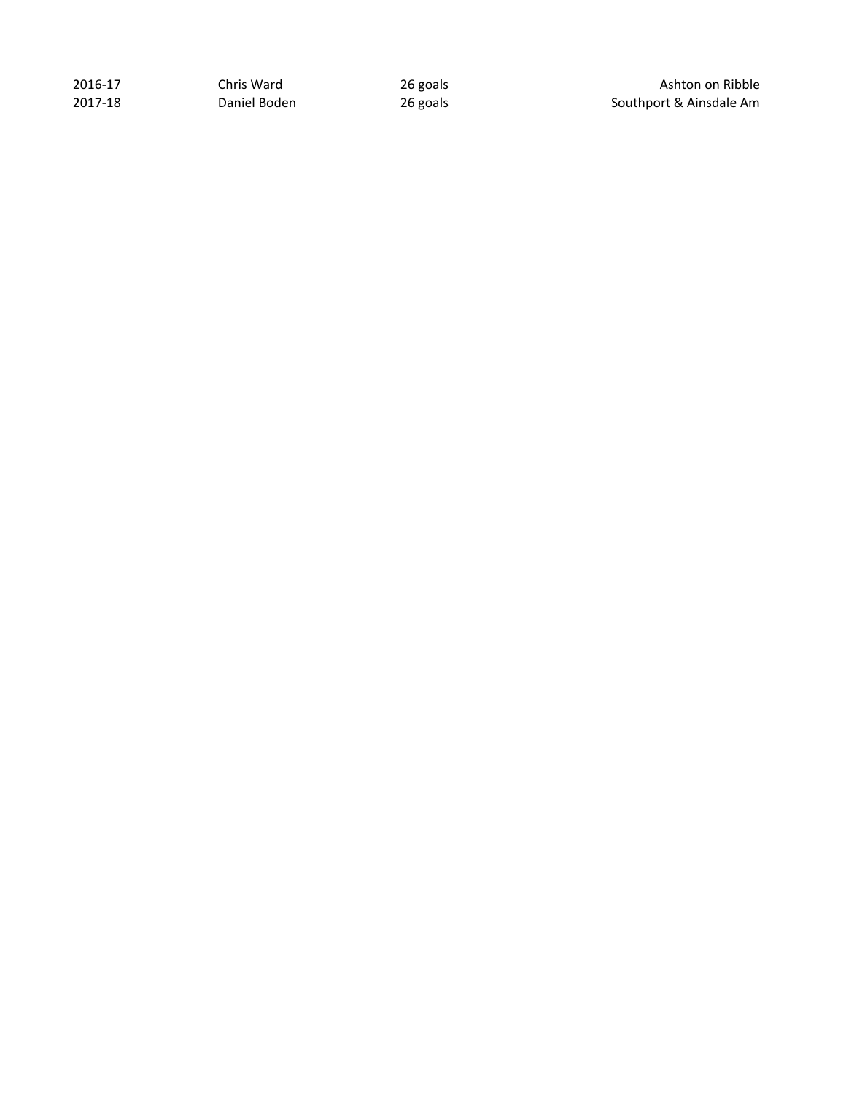2016-17 Chris Ward 26 goals 2016-17 Chris Ward 26 goals Ashton on Ribble 2017-18 2017-18 2017-18

Southport & Ainsdale Am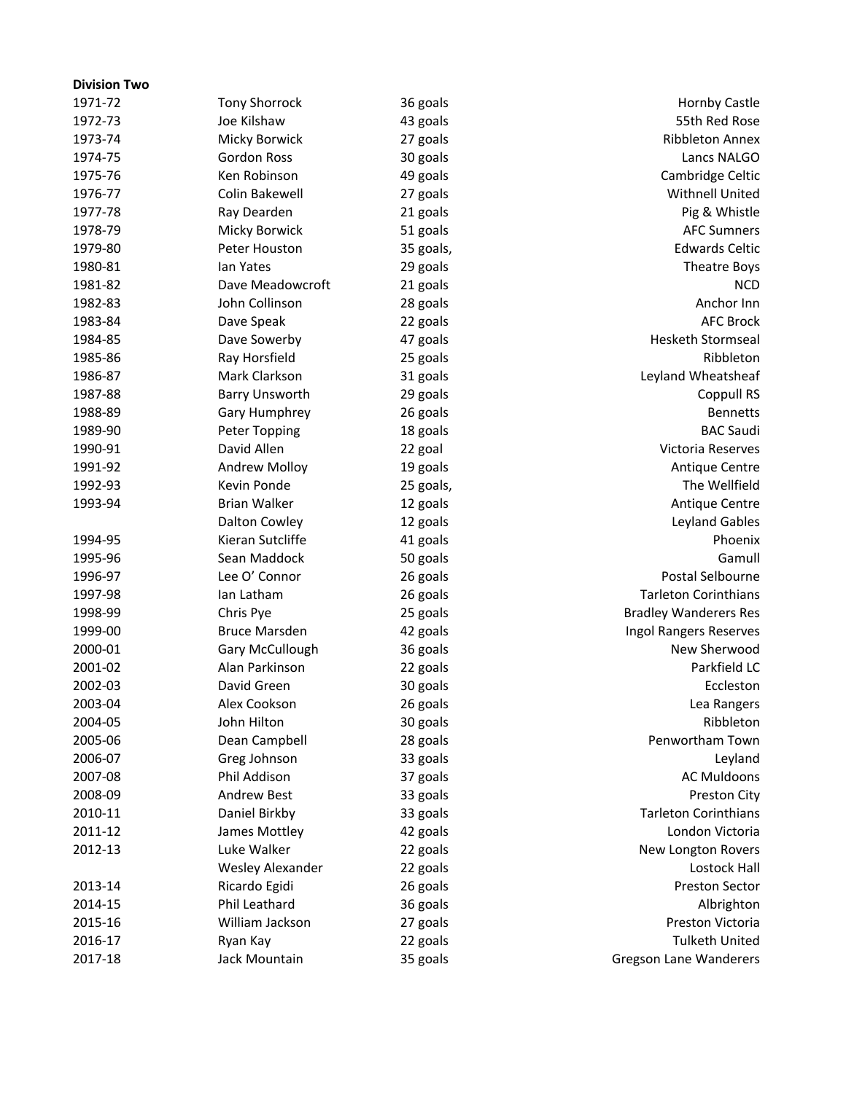| <b>Division Two</b> |                         |           |                               |
|---------------------|-------------------------|-----------|-------------------------------|
| 1971-72             | <b>Tony Shorrock</b>    | 36 goals  | <b>Hornby Castle</b>          |
| 1972-73             | Joe Kilshaw             | 43 goals  | 55th Red Rose                 |
| 1973-74             | Micky Borwick           | 27 goals  | <b>Ribbleton Annex</b>        |
| 1974-75             | <b>Gordon Ross</b>      | 30 goals  | Lancs NALGO                   |
| 1975-76             | Ken Robinson            | 49 goals  | Cambridge Celtic              |
| 1976-77             | Colin Bakewell          | 27 goals  | <b>Withnell United</b>        |
| 1977-78             | Ray Dearden             | 21 goals  | Pig & Whistle                 |
| 1978-79             | Micky Borwick           | 51 goals  | <b>AFC Sumners</b>            |
| 1979-80             | Peter Houston           | 35 goals, | <b>Edwards Celtic</b>         |
| 1980-81             | Ian Yates               | 29 goals  | Theatre Boys                  |
| 1981-82             | Dave Meadowcroft        | 21 goals  | <b>NCD</b>                    |
| 1982-83             | John Collinson          | 28 goals  | Anchor Inn                    |
| 1983-84             | Dave Speak              | 22 goals  | <b>AFC Brock</b>              |
| 1984-85             | Dave Sowerby            | 47 goals  | <b>Hesketh Stormseal</b>      |
| 1985-86             | Ray Horsfield           | 25 goals  | Ribbleton                     |
| 1986-87             | Mark Clarkson           | 31 goals  | Leyland Wheatsheaf            |
| 1987-88             | <b>Barry Unsworth</b>   | 29 goals  | Coppull RS                    |
| 1988-89             | Gary Humphrey           | 26 goals  | <b>Bennetts</b>               |
| 1989-90             | <b>Peter Topping</b>    | 18 goals  | <b>BAC Saudi</b>              |
| 1990-91             | David Allen             | 22 goal   | Victoria Reserves             |
| 1991-92             | Andrew Molloy           | 19 goals  | Antique Centre                |
| 1992-93             | Kevin Ponde             | 25 goals, | The Wellfield                 |
| 1993-94             | <b>Brian Walker</b>     | 12 goals  | Antique Centre                |
|                     | Dalton Cowley           | 12 goals  | Leyland Gables                |
| 1994-95             | Kieran Sutcliffe        | 41 goals  | Phoenix                       |
| 1995-96             | Sean Maddock            | 50 goals  | Gamull                        |
| 1996-97             | Lee O' Connor           | 26 goals  | Postal Selbourne              |
| 1997-98             | Ian Latham              | 26 goals  | <b>Tarleton Corinthians</b>   |
| 1998-99             | Chris Pye               | 25 goals  | <b>Bradley Wanderers Res</b>  |
| 1999-00             | <b>Bruce Marsden</b>    | 42 goals  | Ingol Rangers Reserves        |
| 2000-01             | Gary McCullough         | 36 goals  | New Sherwood                  |
| 2001-02             | Alan Parkinson          | 22 goals  | Parkfield LC                  |
| 2002-03             | David Green             | 30 goals  | Eccleston                     |
| 2003-04             | Alex Cookson            | 26 goals  | Lea Rangers                   |
| 2004-05             | John Hilton             | 30 goals  | Ribbleton                     |
| 2005-06             | Dean Campbell           | 28 goals  | Penwortham Town               |
| 2006-07             | Greg Johnson            | 33 goals  | Leyland                       |
| 2007-08             | Phil Addison            | 37 goals  | <b>AC Muldoons</b>            |
| 2008-09             | <b>Andrew Best</b>      | 33 goals  | Preston City                  |
| 2010-11             | Daniel Birkby           | 33 goals  | <b>Tarleton Corinthians</b>   |
| 2011-12             | James Mottley           | 42 goals  | London Victoria               |
| 2012-13             | Luke Walker             | 22 goals  | New Longton Rovers            |
|                     | <b>Wesley Alexander</b> | 22 goals  | <b>Lostock Hall</b>           |
| 2013-14             | Ricardo Egidi           | 26 goals  | <b>Preston Sector</b>         |
| 2014-15             | Phil Leathard           | 36 goals  | Albrighton                    |
| 2015-16             | William Jackson         | 27 goals  | Preston Victoria              |
| 2016-17             | Ryan Kay                | 22 goals  | <b>Tulketh United</b>         |
| 2017-18             | Jack Mountain           | 35 goals  | <b>Gregson Lane Wanderers</b> |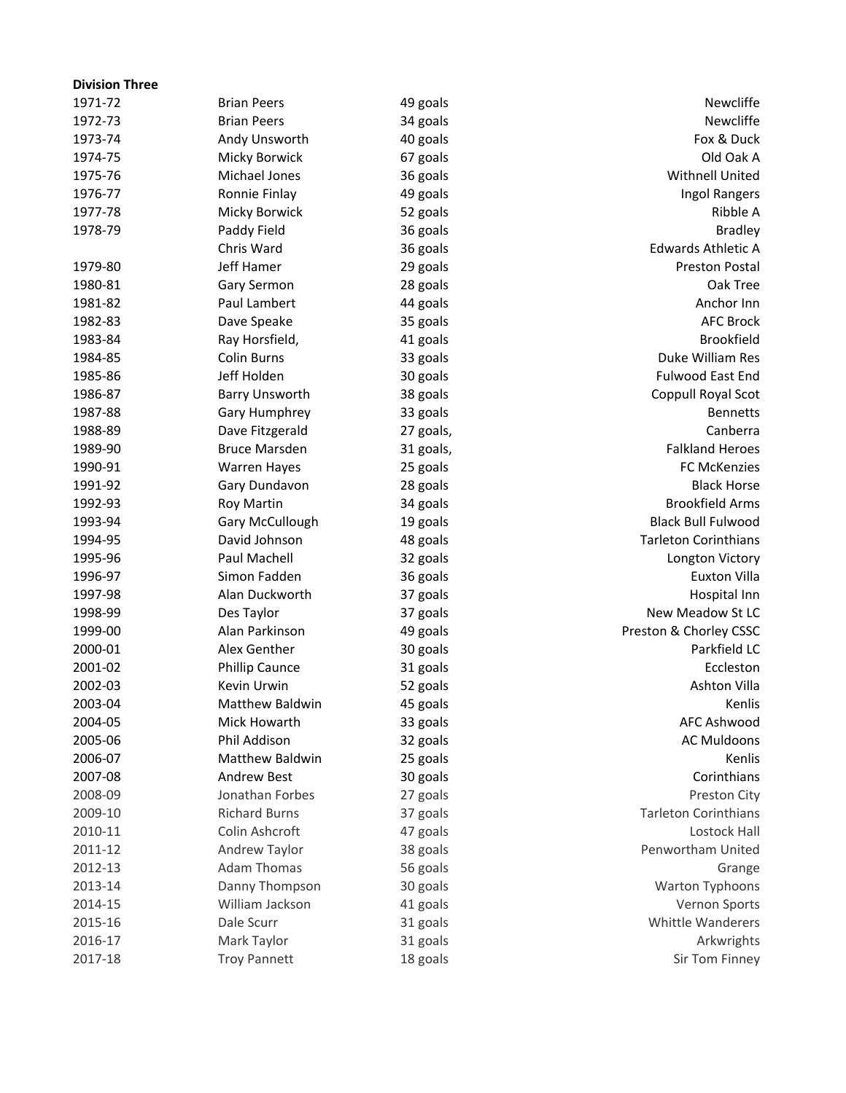| <b>Division Three</b> |                        |           |                             |
|-----------------------|------------------------|-----------|-----------------------------|
| 1971-72               | <b>Brian Peers</b>     | 49 goals  | Newcliffe                   |
| 1972-73               | <b>Brian Peers</b>     | 34 goals  | Newcliffe                   |
| 1973-74               | Andy Unsworth          | 40 goals  | Fox & Duck                  |
| 1974-75               | Micky Borwick          | 67 goals  | Old Oak A                   |
| 1975-76               | Michael Jones          | 36 goals  | <b>Withnell United</b>      |
| 1976-77               | Ronnie Finlay          | 49 goals  | Ingol Rangers               |
| 1977-78               | Micky Borwick          | 52 goals  | Ribble A                    |
| 1978-79               | Paddy Field            | 36 goals  | <b>Bradley</b>              |
|                       | Chris Ward             | 36 goals  | <b>Edwards Athletic A</b>   |
| 1979-80               | Jeff Hamer             | 29 goals  | <b>Preston Postal</b>       |
| 1980-81               | Gary Sermon            | 28 goals  | Oak Tree                    |
| 1981-82               | Paul Lambert           | 44 goals  | Anchor Inn                  |
| 1982-83               | Dave Speake            | 35 goals  | <b>AFC Brock</b>            |
| 1983-84               | Ray Horsfield,         | 41 goals  | <b>Brookfield</b>           |
| 1984-85               | <b>Colin Burns</b>     | 33 goals  | Duke William Res            |
| 1985-86               | Jeff Holden            | 30 goals  | <b>Fulwood East End</b>     |
| 1986-87               | <b>Barry Unsworth</b>  | 38 goals  | Coppull Royal Scot          |
| 1987-88               | Gary Humphrey          | 33 goals  | <b>Bennetts</b>             |
| 1988-89               | Dave Fitzgerald        | 27 goals, | Canberra                    |
| 1989-90               | <b>Bruce Marsden</b>   | 31 goals, | <b>Falkland Heroes</b>      |
| 1990-91               | <b>Warren Hayes</b>    | 25 goals  | <b>FC McKenzies</b>         |
| 1991-92               | Gary Dundavon          | 28 goals  | <b>Black Horse</b>          |
| 1992-93               | Roy Martin             | 34 goals  | <b>Brookfield Arms</b>      |
| 1993-94               | Gary McCullough        | 19 goals  | <b>Black Bull Fulwood</b>   |
| 1994-95               | David Johnson          | 48 goals  | <b>Tarleton Corinthians</b> |
| 1995-96               | Paul Machell           | 32 goals  | Longton Victory             |
| 1996-97               | Simon Fadden           | 36 goals  | <b>Euxton Villa</b>         |
| 1997-98               | Alan Duckworth         | 37 goals  | Hospital Inn                |
| 1998-99               | Des Taylor             | 37 goals  | New Meadow St LC            |
| 1999-00               | Alan Parkinson         | 49 goals  | Preston & Chorley CSSC      |
| 2000-01               | Alex Genther           | 30 goals  | Parkfield LC                |
| 2001-02               | <b>Phillip Caunce</b>  | 31 goals  | Eccleston                   |
| 2002-03               | Kevin Urwin            | 52 goals  | <b>Ashton Villa</b>         |
| 2003-04               | <b>Matthew Baldwin</b> | 45 goals  | Kenlis                      |
| 2004-05               | Mick Howarth           | 33 goals  | <b>AFC Ashwood</b>          |
| 2005-06               | Phil Addison           | 32 goals  | <b>AC Muldoons</b>          |
| 2006-07               | <b>Matthew Baldwin</b> | 25 goals  | Kenlis                      |
| 2007-08               | <b>Andrew Best</b>     | 30 goals  | Corinthians                 |
| 2008-09               | Jonathan Forbes        | 27 goals  | Preston City                |
| 2009-10               | <b>Richard Burns</b>   | 37 goals  | <b>Tarleton Corinthians</b> |
| 2010-11               | Colin Ashcroft         | 47 goals  | Lostock Hall                |
| 2011-12               | Andrew Taylor          | 38 goals  | Penwortham United           |
| 2012-13               | <b>Adam Thomas</b>     | 56 goals  | Grange                      |
| 2013-14               | Danny Thompson         | 30 goals  | Warton Typhoons             |
| 2014-15               | William Jackson        | 41 goals  | Vernon Sports               |
| 2015-16               | Dale Scurr             | 31 goals  | <b>Whittle Wanderers</b>    |
| 2016-17               | Mark Taylor            | 31 goals  | Arkwrights                  |
| 2017-18               | <b>Troy Pannett</b>    | 18 goals  | Sir Tom Finney              |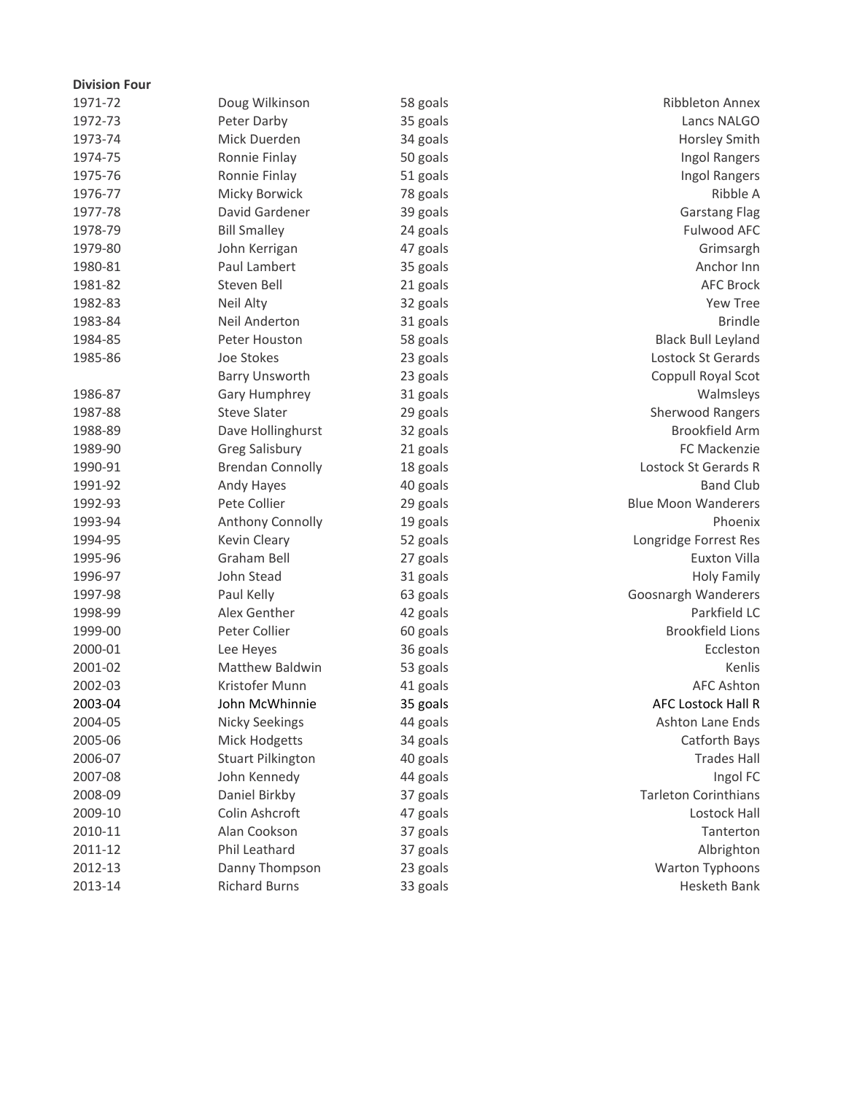| <b>Division Four</b> |                          |          |                             |
|----------------------|--------------------------|----------|-----------------------------|
| 1971-72              | Doug Wilkinson           | 58 goals | <b>Ribbleton Annex</b>      |
| 1972-73              | Peter Darby              | 35 goals | Lancs NALGO                 |
| 1973-74              | Mick Duerden             | 34 goals | Horsley Smith               |
| 1974-75              | Ronnie Finlay            | 50 goals | Ingol Rangers               |
| 1975-76              | Ronnie Finlay            | 51 goals | Ingol Rangers               |
| 1976-77              | Micky Borwick            | 78 goals | Ribble A                    |
| 1977-78              | David Gardener           | 39 goals | <b>Garstang Flag</b>        |
| 1978-79              | <b>Bill Smalley</b>      | 24 goals | Fulwood AFC                 |
| 1979-80              | John Kerrigan            | 47 goals | Grimsargh                   |
| 1980-81              | Paul Lambert             | 35 goals | Anchor Inn                  |
| 1981-82              | Steven Bell              | 21 goals | <b>AFC Brock</b>            |
| 1982-83              | Neil Alty                | 32 goals | Yew Tree                    |
| 1983-84              | Neil Anderton            | 31 goals | <b>Brindle</b>              |
| 1984-85              | Peter Houston            | 58 goals | <b>Black Bull Leyland</b>   |
| 1985-86              | Joe Stokes               | 23 goals | Lostock St Gerards          |
|                      | <b>Barry Unsworth</b>    | 23 goals | Coppull Royal Scot          |
| 1986-87              | Gary Humphrey            | 31 goals | Walmsleys                   |
| 1987-88              | <b>Steve Slater</b>      | 29 goals | <b>Sherwood Rangers</b>     |
| 1988-89              | Dave Hollinghurst        | 32 goals | <b>Brookfield Arm</b>       |
| 1989-90              | <b>Greg Salisbury</b>    | 21 goals | FC Mackenzie                |
| 1990-91              | <b>Brendan Connolly</b>  | 18 goals | Lostock St Gerards R        |
| 1991-92              | Andy Hayes               | 40 goals | <b>Band Club</b>            |
| 1992-93              | Pete Collier             | 29 goals | <b>Blue Moon Wanderers</b>  |
| 1993-94              | Anthony Connolly         | 19 goals | Phoenix                     |
| 1994-95              | Kevin Cleary             | 52 goals | Longridge Forrest Res       |
| 1995-96              | Graham Bell              | 27 goals | Euxton Villa                |
| 1996-97              | John Stead               | 31 goals | <b>Holy Family</b>          |
| 1997-98              | Paul Kelly               | 63 goals | Goosnargh Wanderers         |
| 1998-99              | Alex Genther             | 42 goals | Parkfield LC                |
| 1999-00              | Peter Collier            | 60 goals | <b>Brookfield Lions</b>     |
| 2000-01              | Lee Heyes                | 36 goals | Eccleston                   |
| 2001-02              | <b>Matthew Baldwin</b>   | 53 goals | Kenlis                      |
| 2002-03              | Kristofer Munn           | 41 goals | <b>AFC Ashton</b>           |
| 2003-04              | John McWhinnie           | 35 goals | AFC Lostock Hall R          |
| 2004-05              | <b>Nicky Seekings</b>    | 44 goals | Ashton Lane Ends            |
| 2005-06              | <b>Mick Hodgetts</b>     | 34 goals | Catforth Bays               |
| 2006-07              | <b>Stuart Pilkington</b> | 40 goals | <b>Trades Hall</b>          |
| 2007-08              | John Kennedy             | 44 goals | Ingol FC                    |
| 2008-09              | Daniel Birkby            | 37 goals | <b>Tarleton Corinthians</b> |
| 2009-10              | Colin Ashcroft           | 47 goals | Lostock Hall                |
| 2010-11              | Alan Cookson             | 37 goals | Tanterton                   |
| 2011-12              | Phil Leathard            | 37 goals | Albrighton                  |
| 2012-13              | Danny Thompson           | 23 goals | Warton Typhoons             |
| 2013-14              | <b>Richard Burns</b>     | 33 goals | Hesketh Bank                |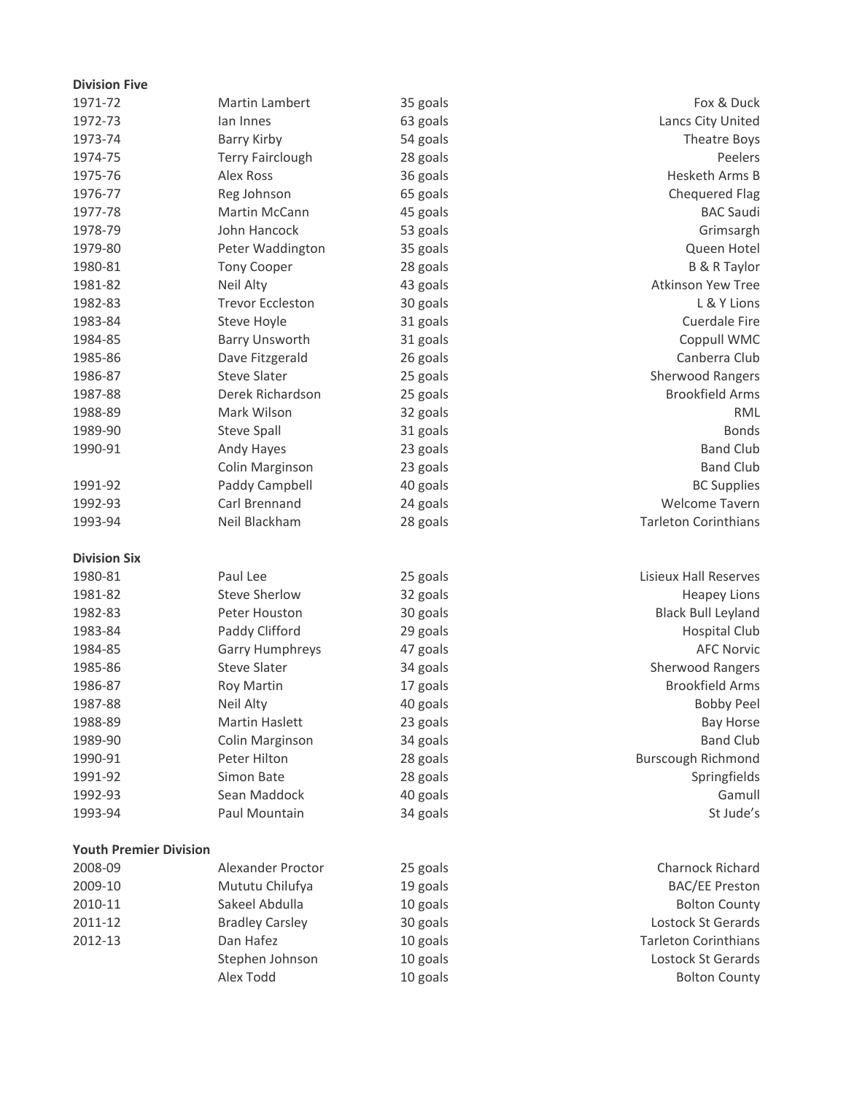| <b>Division Five</b>          |                         |          |                              |
|-------------------------------|-------------------------|----------|------------------------------|
| 1971-72                       | Martin Lambert          | 35 goals | Fox & Duck                   |
| 1972-73                       | lan Innes               | 63 goals | Lancs City United            |
| 1973-74                       | Barry Kirby             | 54 goals | Theatre Boys                 |
| 1974-75                       | <b>Terry Fairclough</b> | 28 goals | Peelers                      |
| 1975-76                       | Alex Ross               | 36 goals | <b>Hesketh Arms B</b>        |
| 1976-77                       | Reg Johnson             | 65 goals | <b>Chequered Flag</b>        |
| 1977-78                       | Martin McCann           | 45 goals | <b>BAC Saudi</b>             |
| 1978-79                       | John Hancock            | 53 goals | Grimsargh                    |
| 1979-80                       | Peter Waddington        | 35 goals | Queen Hotel                  |
| 1980-81                       | <b>Tony Cooper</b>      | 28 goals | <b>B &amp; R Taylor</b>      |
| 1981-82                       | Neil Alty               | 43 goals | Atkinson Yew Tree            |
| 1982-83                       | <b>Trevor Eccleston</b> | 30 goals | L & Y Lions                  |
| 1983-84                       | Steve Hoyle             | 31 goals | Cuerdale Fire                |
| 1984-85                       | <b>Barry Unsworth</b>   | 31 goals | Coppull WMC                  |
| 1985-86                       | Dave Fitzgerald         | 26 goals | Canberra Club                |
| 1986-87                       | <b>Steve Slater</b>     | 25 goals | Sherwood Rangers             |
| 1987-88                       | Derek Richardson        | 25 goals | <b>Brookfield Arms</b>       |
| 1988-89                       | Mark Wilson             | 32 goals | <b>RML</b>                   |
| 1989-90                       | <b>Steve Spall</b>      | 31 goals | <b>Bonds</b>                 |
| 1990-91                       | Andy Hayes              | 23 goals | <b>Band Club</b>             |
|                               | Colin Marginson         | 23 goals | <b>Band Club</b>             |
| 1991-92                       | Paddy Campbell          | 40 goals | <b>BC Supplies</b>           |
| 1992-93                       | Carl Brennand           | 24 goals | <b>Welcome Tavern</b>        |
| 1993-94                       | Neil Blackham           | 28 goals | <b>Tarleton Corinthians</b>  |
| <b>Division Six</b>           |                         |          |                              |
| 1980-81                       | Paul Lee                | 25 goals | <b>Lisieux Hall Reserves</b> |
| 1981-82                       | <b>Steve Sherlow</b>    | 32 goals | <b>Heapey Lions</b>          |
| 1982-83                       | Peter Houston           | 30 goals | <b>Black Bull Leyland</b>    |
| 1983-84                       | Paddy Clifford          | 29 goals | Hospital Club                |
| 1984-85                       | <b>Garry Humphreys</b>  | 47 goals | <b>AFC Norvic</b>            |
| 1985-86                       | <b>Steve Slater</b>     | 34 goals | Sherwood Rangers             |
| 1986-87                       | Roy Martin              | 17 goals | <b>Brookfield Arms</b>       |
| 1987-88                       | Neil Alty               | 40 goals | <b>Bobby Peel</b>            |
| 1988-89                       | Martin Haslett          | 23 goals | <b>Bay Horse</b>             |
| 1989-90                       | Colin Marginson         | 34 goals | <b>Band Club</b>             |
| 1990-91                       | Peter Hilton            | 28 goals | <b>Burscough Richmond</b>    |
| 1991-92                       | Simon Bate              | 28 goals | Springfields                 |
| 1992-93                       | Sean Maddock            | 40 goals | Gamull                       |
| 1993-94                       | Paul Mountain           | 34 goals | St Jude's                    |
| <b>Youth Premier Division</b> |                         |          |                              |
| 2008-09                       | Alexander Proctor       | 25 goals | Charnock Richard             |
| 2009-10                       | Mututu Chilufya         | 19 goals | <b>BAC/EE Preston</b>        |
| 2010-11                       | Sakeel Abdulla          | 10 goals | <b>Bolton County</b>         |
| 2011-12                       | <b>Bradley Carsley</b>  | 30 goals | Lostock St Gerards           |
| 2012-13                       | Dan Hafez               | 10 goals | <b>Tarleton Corinthians</b>  |
|                               | Stephen Johnson         | 10 goals | Lostock St Gerards           |
|                               | Alex Todd               | 10 goals | <b>Bolton County</b>         |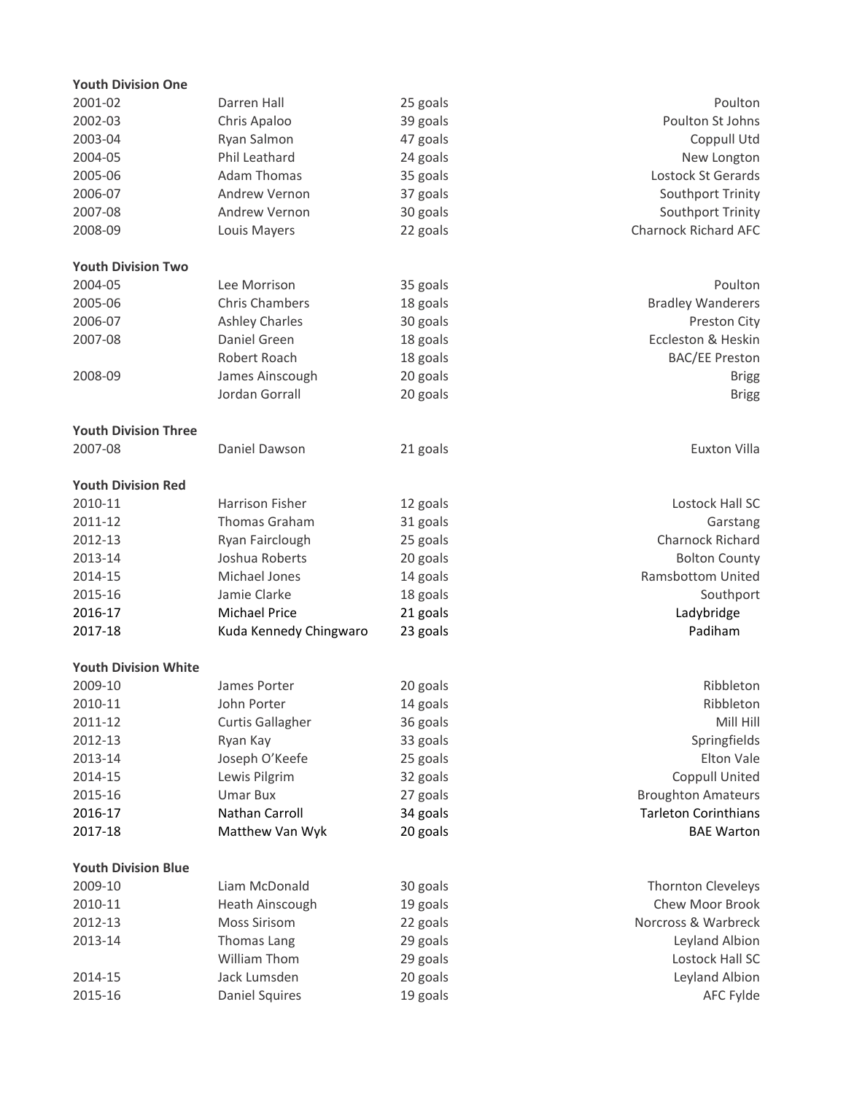| <b>Youth Division One</b>   |                         |          |                             |
|-----------------------------|-------------------------|----------|-----------------------------|
| 2001-02                     | Darren Hall             | 25 goals | Poulton                     |
| 2002-03                     | Chris Apaloo            | 39 goals | Poulton St Johns            |
| 2003-04                     | Ryan Salmon             | 47 goals | Coppull Utd                 |
| 2004-05                     | Phil Leathard           | 24 goals | New Longton                 |
| 2005-06                     | <b>Adam Thomas</b>      | 35 goals | Lostock St Gerards          |
| 2006-07                     | Andrew Vernon           | 37 goals | Southport Trinity           |
| 2007-08                     | Andrew Vernon           | 30 goals | Southport Trinity           |
| 2008-09                     | Louis Mayers            | 22 goals | <b>Charnock Richard AFC</b> |
|                             |                         |          |                             |
| <b>Youth Division Two</b>   |                         |          |                             |
| 2004-05                     | Lee Morrison            | 35 goals | Poulton                     |
| 2005-06                     | <b>Chris Chambers</b>   | 18 goals | <b>Bradley Wanderers</b>    |
| 2006-07                     | <b>Ashley Charles</b>   | 30 goals | Preston City                |
| 2007-08                     | Daniel Green            | 18 goals | Eccleston & Heskin          |
|                             | Robert Roach            | 18 goals | <b>BAC/EE Preston</b>       |
| 2008-09                     | James Ainscough         | 20 goals | <b>Brigg</b>                |
|                             | Jordan Gorrall          | 20 goals | <b>Brigg</b>                |
|                             |                         |          |                             |
| <b>Youth Division Three</b> |                         |          |                             |
| 2007-08                     | Daniel Dawson           | 21 goals | Euxton Villa                |
|                             |                         |          |                             |
| <b>Youth Division Red</b>   |                         |          |                             |
| 2010-11                     | Harrison Fisher         | 12 goals | Lostock Hall SC             |
| 2011-12                     | Thomas Graham           | 31 goals | Garstang                    |
| 2012-13                     | Ryan Fairclough         | 25 goals | Charnock Richard            |
| 2013-14                     | Joshua Roberts          | 20 goals | <b>Bolton County</b>        |
| 2014-15                     | Michael Jones           | 14 goals | <b>Ramsbottom United</b>    |
| 2015-16                     | Jamie Clarke            | 18 goals | Southport                   |
| 2016-17                     | <b>Michael Price</b>    | 21 goals | Ladybridge                  |
| 2017-18                     | Kuda Kennedy Chingwaro  | 23 goals | Padiham                     |
|                             |                         |          |                             |
| <b>Youth Division White</b> |                         |          |                             |
| 2009-10                     | James Porter            | 20 goals | Ribbleton                   |
| 2010-11                     | John Porter             | 14 goals | Ribbleton                   |
| 2011-12                     | <b>Curtis Gallagher</b> | 36 goals | Mill Hill                   |
| 2012-13                     | Ryan Kay                | 33 goals | Springfields                |
| 2013-14                     | Joseph O'Keefe          | 25 goals | Elton Vale                  |
| 2014-15                     | Lewis Pilgrim           | 32 goals | Coppull United              |
| 2015-16                     | Umar Bux                | 27 goals | <b>Broughton Amateurs</b>   |
| 2016-17                     | Nathan Carroll          | 34 goals | <b>Tarleton Corinthians</b> |
| 2017-18                     | Matthew Van Wyk         | 20 goals | <b>BAE Warton</b>           |
|                             |                         |          |                             |
| <b>Youth Division Blue</b>  |                         |          |                             |
| 2009-10                     | Liam McDonald           | 30 goals | Thornton Cleveleys          |
| 2010-11                     | Heath Ainscough         | 19 goals | Chew Moor Brook             |
| 2012-13                     | <b>Moss Sirisom</b>     | 22 goals | Norcross & Warbreck         |
| 2013-14                     | Thomas Lang             | 29 goals | Leyland Albion              |
|                             | William Thom            | 29 goals | Lostock Hall SC             |
| 2014-15                     | Jack Lumsden            | 20 goals | Leyland Albion              |
| 2015-16                     | <b>Daniel Squires</b>   | 19 goals | AFC Fylde                   |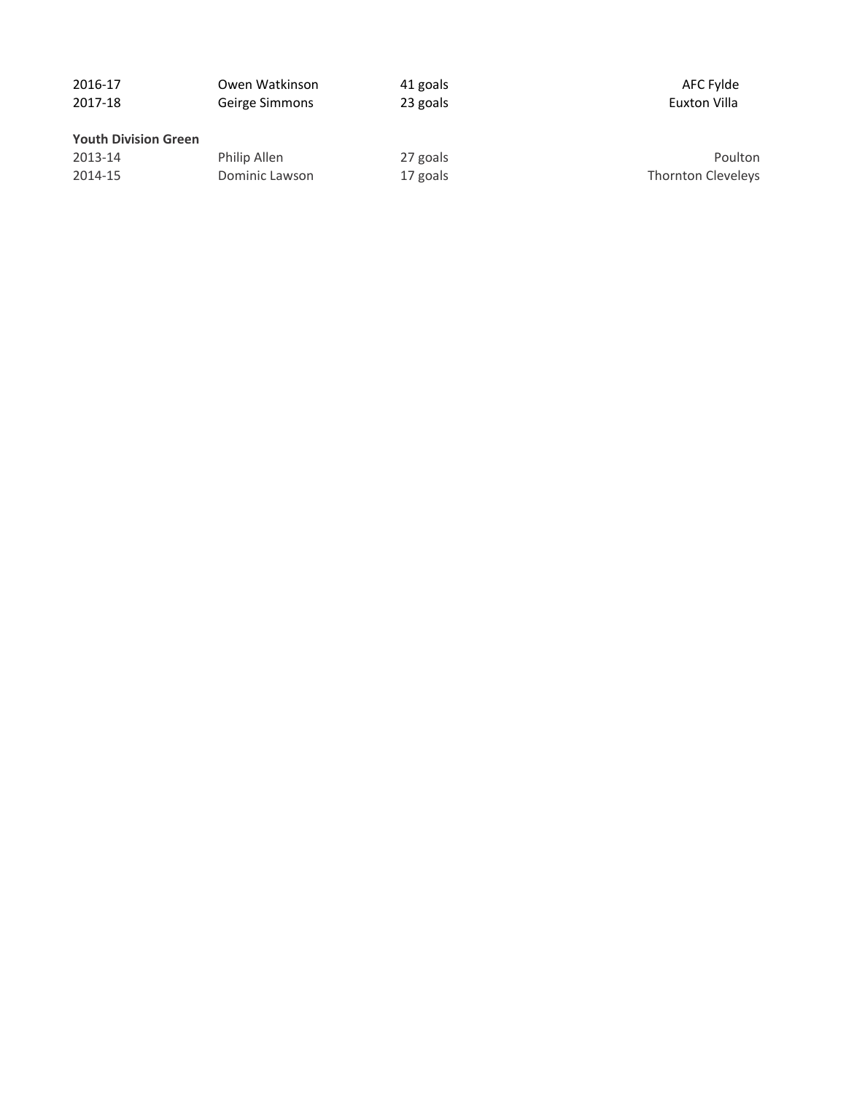| 2016-17                     | Owen Watkinson | 41 goals | AFC Fylde          |
|-----------------------------|----------------|----------|--------------------|
| 2017-18                     | Geirge Simmons | 23 goals | Euxton Villa       |
| <b>Youth Division Green</b> |                |          |                    |
| 2013-14                     | Philip Allen   | 27 goals | Poulton            |
| 2014-15                     | Dominic Lawson | 17 goals | Thornton Cleveleys |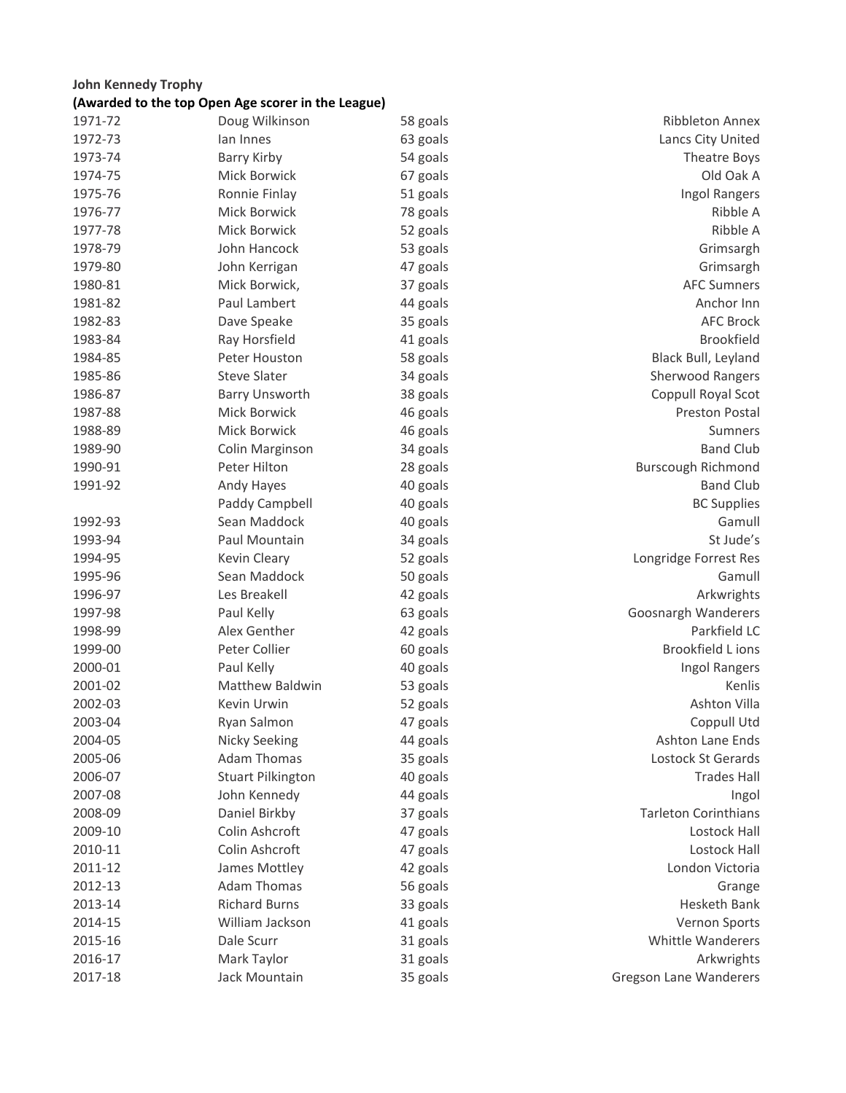#### **John Kennedy Trophy (Awarded to the top Open Age scorer in the League)**

|         | (Awarded to the top Open Age storer in the League) |          |                             |
|---------|----------------------------------------------------|----------|-----------------------------|
| 1971-72 | Doug Wilkinson                                     | 58 goals | Ribbleton Annex             |
| 1972-73 | lan Innes                                          | 63 goals | Lancs City United           |
| 1973-74 | Barry Kirby                                        | 54 goals | Theatre Boys                |
| 1974-75 | Mick Borwick                                       | 67 goals | Old Oak A                   |
| 1975-76 | Ronnie Finlay                                      | 51 goals | Ingol Rangers               |
| 1976-77 | Mick Borwick                                       | 78 goals | Ribble A                    |
| 1977-78 | Mick Borwick                                       | 52 goals | Ribble A                    |
| 1978-79 | John Hancock                                       | 53 goals | Grimsargh                   |
| 1979-80 | John Kerrigan                                      | 47 goals | Grimsargh                   |
| 1980-81 | Mick Borwick,                                      | 37 goals | <b>AFC Sumners</b>          |
| 1981-82 | Paul Lambert                                       | 44 goals | Anchor Inn                  |
| 1982-83 | Dave Speake                                        | 35 goals | <b>AFC Brock</b>            |
| 1983-84 | Ray Horsfield                                      | 41 goals | <b>Brookfield</b>           |
| 1984-85 | Peter Houston                                      | 58 goals | Black Bull, Leyland         |
| 1985-86 | <b>Steve Slater</b>                                | 34 goals | <b>Sherwood Rangers</b>     |
| 1986-87 | Barry Unsworth                                     | 38 goals | Coppull Royal Scot          |
| 1987-88 | Mick Borwick                                       | 46 goals | <b>Preston Postal</b>       |
| 1988-89 | Mick Borwick                                       | 46 goals | Sumners                     |
| 1989-90 | Colin Marginson                                    | 34 goals | <b>Band Club</b>            |
| 1990-91 | Peter Hilton                                       | 28 goals | <b>Burscough Richmond</b>   |
| 1991-92 | Andy Hayes                                         | 40 goals | <b>Band Club</b>            |
|         | Paddy Campbell                                     | 40 goals | <b>BC Supplies</b>          |
| 1992-93 | Sean Maddock                                       | 40 goals | Gamull                      |
| 1993-94 | Paul Mountain                                      | 34 goals | St Jude's                   |
| 1994-95 | Kevin Cleary                                       | 52 goals | Longridge Forrest Res       |
| 1995-96 | Sean Maddock                                       | 50 goals | Gamull                      |
| 1996-97 | Les Breakell                                       | 42 goals | Arkwrights                  |
| 1997-98 | Paul Kelly                                         | 63 goals | Goosnargh Wanderers         |
| 1998-99 | Alex Genther                                       | 42 goals | Parkfield LC                |
| 1999-00 | Peter Collier                                      | 60 goals | <b>Brookfield Lions</b>     |
| 2000-01 | Paul Kelly                                         | 40 goals | Ingol Rangers               |
| 2001-02 | Matthew Baldwin                                    | 53 goals | Kenlis                      |
| 2002-03 | Kevin Urwin                                        | 52 goals | Ashton Villa                |
| 2003-04 | Ryan Salmon                                        | 47 goals | Coppull Utd                 |
| 2004-05 | <b>Nicky Seeking</b>                               | 44 goals | Ashton Lane Ends            |
| 2005-06 | <b>Adam Thomas</b>                                 | 35 goals | Lostock St Gerards          |
| 2006-07 | <b>Stuart Pilkington</b>                           | 40 goals | <b>Trades Hall</b>          |
| 2007-08 | John Kennedy                                       | 44 goals | Ingol                       |
| 2008-09 | Daniel Birkby                                      | 37 goals | <b>Tarleton Corinthians</b> |
| 2009-10 | Colin Ashcroft                                     | 47 goals | <b>Lostock Hall</b>         |
| 2010-11 | Colin Ashcroft                                     | 47 goals | <b>Lostock Hall</b>         |
| 2011-12 | James Mottley                                      | 42 goals | London Victoria             |
| 2012-13 | <b>Adam Thomas</b>                                 | 56 goals | Grange                      |
| 2013-14 | <b>Richard Burns</b>                               | 33 goals | Hesketh Bank                |

2014-15 William Jackson 41 goals Vernon Sports 2015-16 Dale Scurr 31 goals 31 Books Whittle Wanderers 2016-17 Mark Taylor 31 goals Arkwrights 2017-18 Jack Mountain 35 goals Gregson Lane Wanderers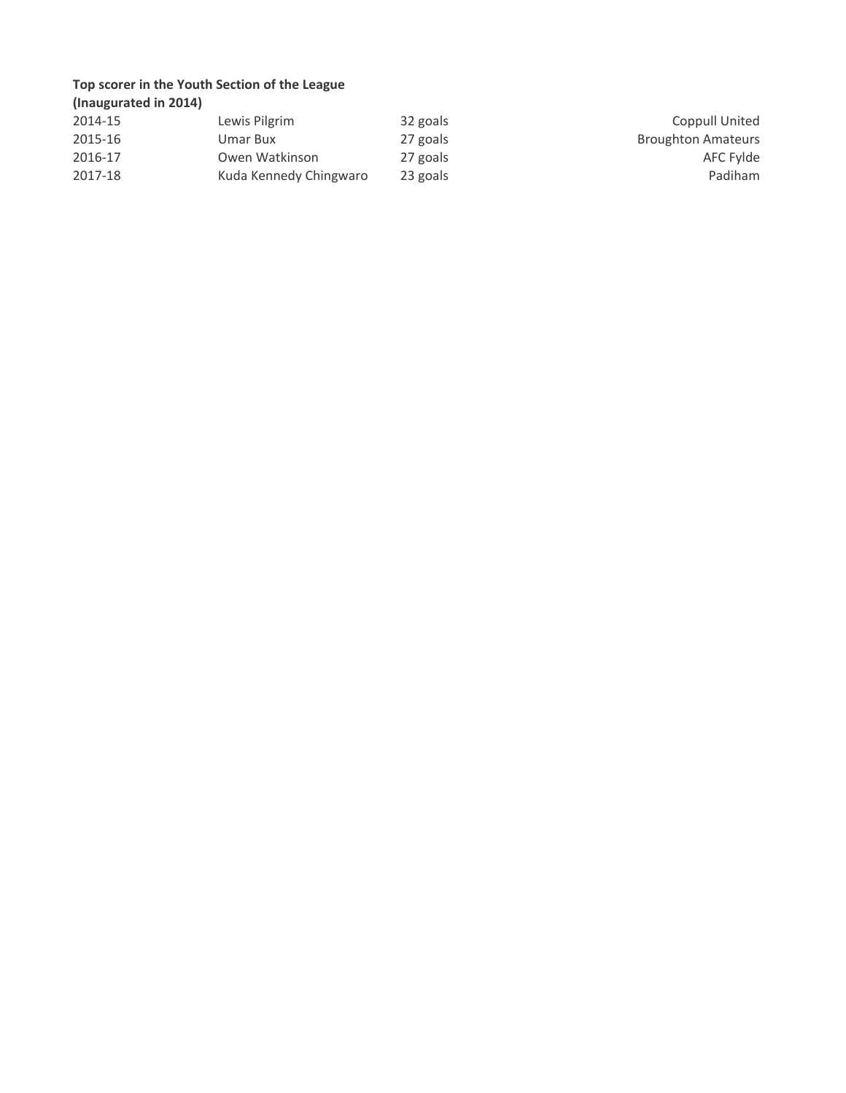# **Top scorer in the Youth Section of the League**

| (Inaugurated in 2014) |                        |          |                           |
|-----------------------|------------------------|----------|---------------------------|
| 2014-15               | Lewis Pilgrim          | 32 goals | Coppull United            |
| 2015-16               | Umar Bux               | 27 goals | <b>Broughton Amateurs</b> |
| 2016-17               | Owen Watkinson         | 27 goals | AFC Fylde                 |
| 2017-18               | Kuda Kennedy Chingwaro | 23 goals | Padiham                   |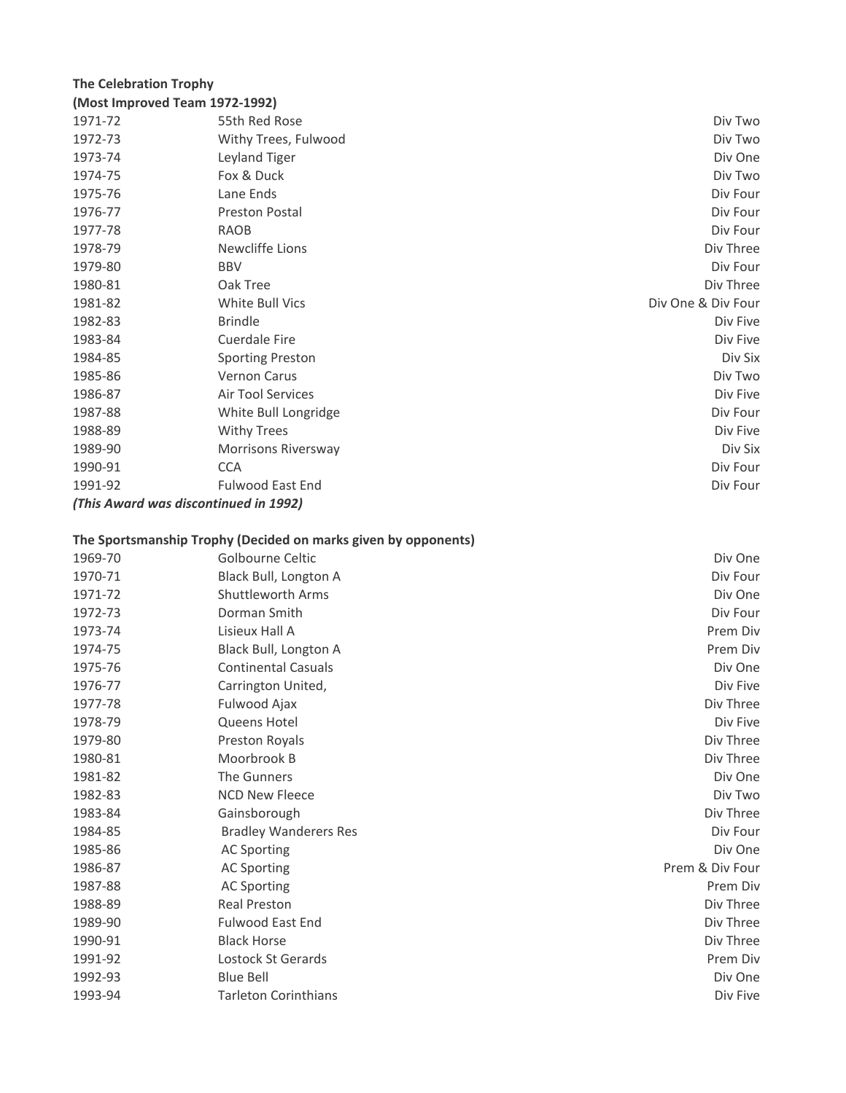# **The Celebration Trophy**

| (Most Improved Team 1972-1992) |                                       |                    |
|--------------------------------|---------------------------------------|--------------------|
| 1971-72                        | 55th Red Rose                         | Div Two            |
| 1972-73                        | Withy Trees, Fulwood                  | Div Two            |
| 1973-74                        | Leyland Tiger                         | Div One            |
| 1974-75                        | Fox & Duck                            | Div Two            |
| 1975-76                        | Lane Ends                             | Div Four           |
| 1976-77                        | <b>Preston Postal</b>                 | Div Four           |
| 1977-78                        | <b>RAOB</b>                           | Div Four           |
| 1978-79                        | Newcliffe Lions                       | Div Three          |
| 1979-80                        | <b>BBV</b>                            | Div Four           |
| 1980-81                        | Oak Tree                              | Div Three          |
| 1981-82                        | White Bull Vics                       | Div One & Div Four |
| 1982-83                        | <b>Brindle</b>                        | Div Five           |
| 1983-84                        | Cuerdale Fire                         | Div Five           |
| 1984-85                        | <b>Sporting Preston</b>               | Div Six            |
| 1985-86                        | Vernon Carus                          | Div Two            |
| 1986-87                        | Air Tool Services                     | Div Five           |
| 1987-88                        | White Bull Longridge                  | Div Four           |
| 1988-89                        | <b>Withy Trees</b>                    | Div Five           |
| 1989-90                        | Morrisons Riversway                   | Div Six            |
| 1990-91                        | <b>CCA</b>                            | Div Four           |
| 1991-92                        | <b>Fulwood East End</b>               | Div Four           |
|                                | (This Award was discontinued in 1992) |                    |

# **The Sportsmanship Trophy (Decided on marks given by opponents)**

| 1969-70 | Golbourne Celtic             | Div One         |
|---------|------------------------------|-----------------|
| 1970-71 | Black Bull, Longton A        | Div Four        |
| 1971-72 | Shuttleworth Arms            | Div One         |
| 1972-73 | Dorman Smith                 | Div Four        |
| 1973-74 | Lisieux Hall A               | Prem Div        |
| 1974-75 | Black Bull, Longton A        | Prem Div        |
| 1975-76 | <b>Continental Casuals</b>   | Div One         |
| 1976-77 | Carrington United,           | Div Five        |
| 1977-78 | Fulwood Ajax                 | Div Three       |
| 1978-79 | Queens Hotel                 | Div Five        |
| 1979-80 | Preston Royals               | Div Three       |
| 1980-81 | Moorbrook B                  | Div Three       |
| 1981-82 | The Gunners                  | Div One         |
| 1982-83 | <b>NCD New Fleece</b>        | Div Two         |
| 1983-84 | Gainsborough                 | Div Three       |
| 1984-85 | <b>Bradley Wanderers Res</b> | Div Four        |
| 1985-86 | <b>AC Sporting</b>           | Div One         |
| 1986-87 | <b>AC Sporting</b>           | Prem & Div Four |
| 1987-88 | <b>AC Sporting</b>           | Prem Div        |
| 1988-89 | <b>Real Preston</b>          | Div Three       |
| 1989-90 | Fulwood East End             | Div Three       |
| 1990-91 | <b>Black Horse</b>           | Div Three       |
| 1991-92 | Lostock St Gerards           | Prem Div        |
| 1992-93 | <b>Blue Bell</b>             | Div One         |
| 1993-94 | <b>Tarleton Corinthians</b>  | Div Five        |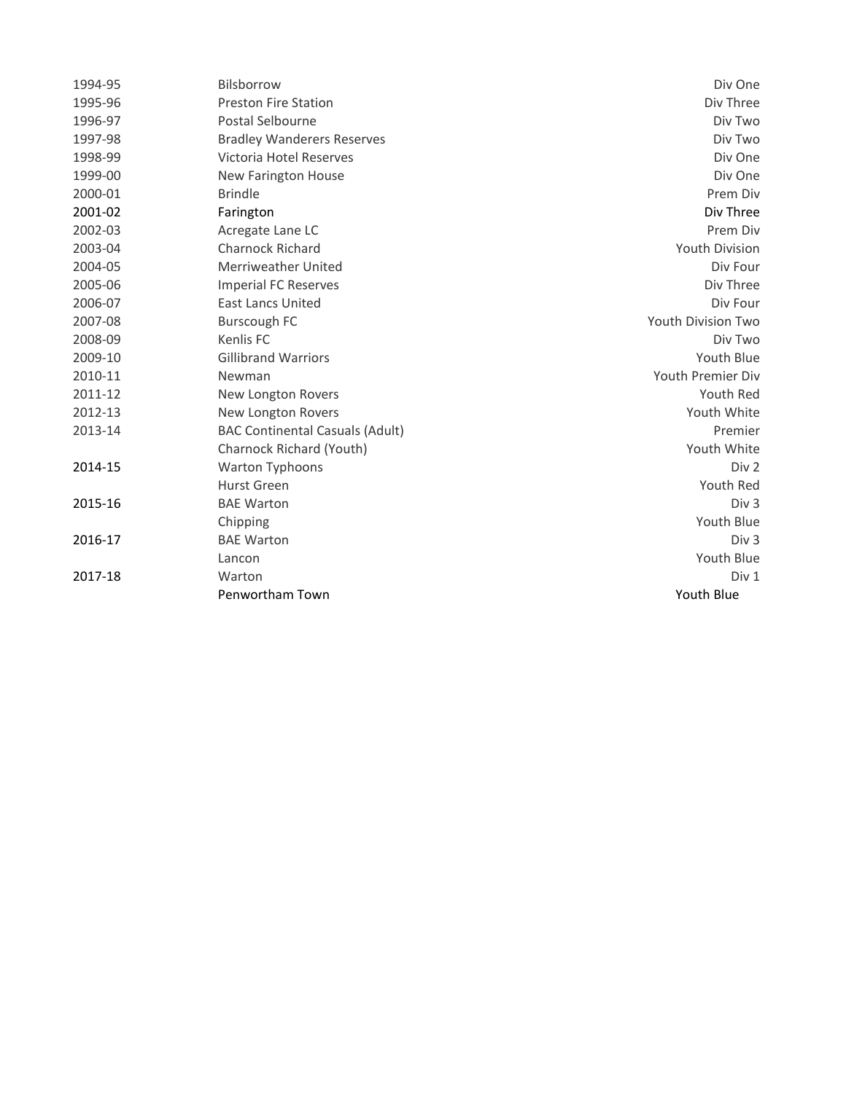| 1994-95 | Bilsborrow                             | Div One               |
|---------|----------------------------------------|-----------------------|
| 1995-96 | <b>Preston Fire Station</b>            | Div Three             |
| 1996-97 | Postal Selbourne                       | Div Two               |
| 1997-98 | <b>Bradley Wanderers Reserves</b>      | Div Two               |
| 1998-99 | Victoria Hotel Reserves                | Div One               |
| 1999-00 | <b>New Farington House</b>             | Div One               |
| 2000-01 | <b>Brindle</b>                         | Prem Div              |
| 2001-02 | Farington                              | Div Three             |
| 2002-03 | Acregate Lane LC                       | Prem Div              |
| 2003-04 | Charnock Richard                       | <b>Youth Division</b> |
| 2004-05 | Merriweather United                    | Div Four              |
| 2005-06 | <b>Imperial FC Reserves</b>            | Div Three             |
| 2006-07 | <b>East Lancs United</b>               | Div Four              |
| 2007-08 | Burscough FC                           | Youth Division Two    |
| 2008-09 | Kenlis FC                              | Div Two               |
| 2009-10 | <b>Gillibrand Warriors</b>             | Youth Blue            |
| 2010-11 | Newman                                 | Youth Premier Div     |
| 2011-12 | New Longton Rovers                     | Youth Red             |
| 2012-13 | New Longton Rovers                     | Youth White           |
| 2013-14 | <b>BAC Continental Casuals (Adult)</b> | Premier               |
|         | Charnock Richard (Youth)               | Youth White           |
| 2014-15 | Warton Typhoons                        | Div 2                 |
|         | Hurst Green                            | Youth Red             |
| 2015-16 | <b>BAE Warton</b>                      | Div <sub>3</sub>      |
|         | Chipping                               | Youth Blue            |
| 2016-17 | <b>BAE Warton</b>                      | Div <sub>3</sub>      |
|         | Lancon                                 | Youth Blue            |
| 2017-18 | Warton                                 | Div 1                 |
|         | Penwortham Town                        | Youth Blue            |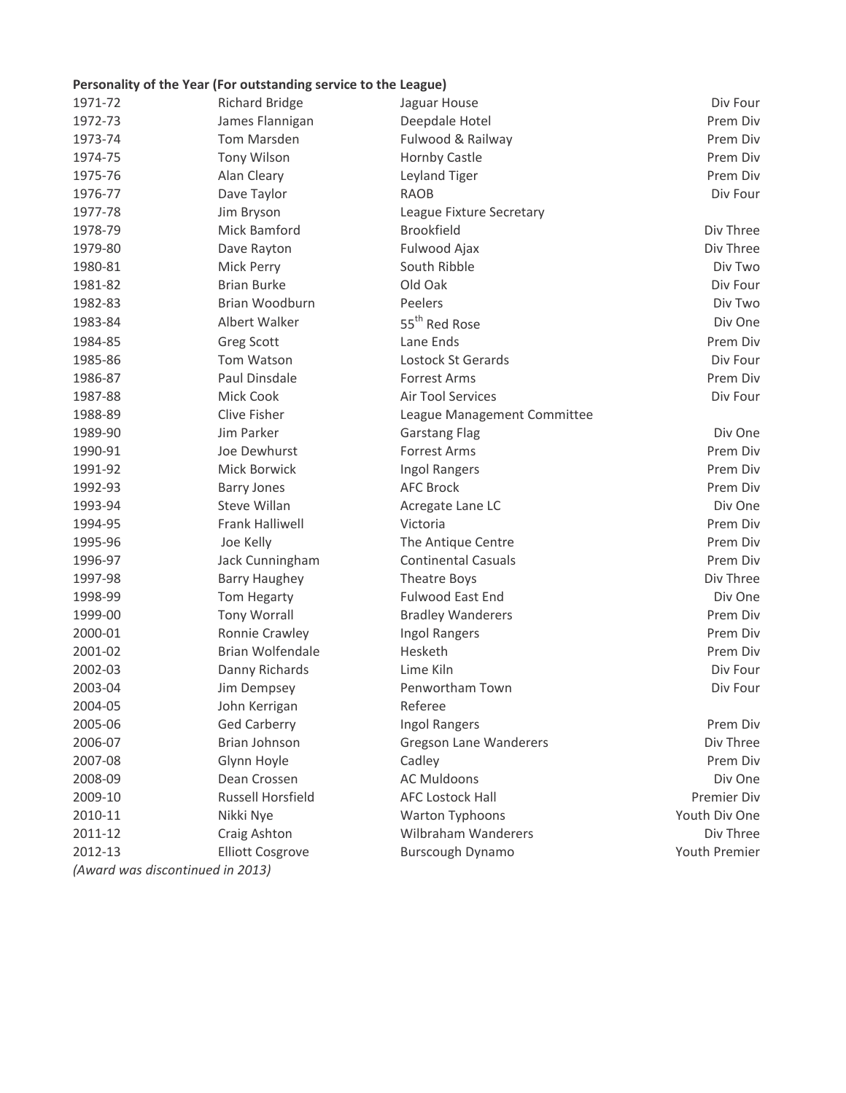# **Personality of the Year (For outstanding service to the League)**

| 1971-72 | <b>Richard Bridge</b>            | Jaguar House                  | Div Four           |
|---------|----------------------------------|-------------------------------|--------------------|
| 1972-73 | James Flannigan                  | Deepdale Hotel                | Prem Div           |
| 1973-74 | Tom Marsden                      | Fulwood & Railway             | Prem Div           |
| 1974-75 | <b>Tony Wilson</b>               | Hornby Castle                 | Prem Div           |
| 1975-76 | Alan Cleary                      | Leyland Tiger                 | Prem Div           |
| 1976-77 | Dave Taylor                      | <b>RAOB</b>                   | Div Four           |
| 1977-78 | Jim Bryson                       | League Fixture Secretary      |                    |
| 1978-79 | Mick Bamford                     | <b>Brookfield</b>             | Div Three          |
| 1979-80 | Dave Rayton                      | Fulwood Ajax                  | Div Three          |
| 1980-81 | Mick Perry                       | South Ribble                  | Div Two            |
| 1981-82 | <b>Brian Burke</b>               | Old Oak                       | Div Four           |
| 1982-83 | Brian Woodburn                   | Peelers                       | Div Two            |
| 1983-84 | Albert Walker                    | 55 <sup>th</sup> Red Rose     | Div One            |
| 1984-85 | Greg Scott                       | Lane Ends                     | Prem Div           |
| 1985-86 | Tom Watson                       | Lostock St Gerards            | Div Four           |
| 1986-87 | Paul Dinsdale                    | <b>Forrest Arms</b>           | Prem Div           |
| 1987-88 | Mick Cook                        | Air Tool Services             | Div Four           |
| 1988-89 | Clive Fisher                     | League Management Committee   |                    |
| 1989-90 | Jim Parker                       | <b>Garstang Flag</b>          | Div One            |
| 1990-91 | Joe Dewhurst                     | <b>Forrest Arms</b>           | Prem Div           |
| 1991-92 | Mick Borwick                     | Ingol Rangers                 | Prem Div           |
| 1992-93 | <b>Barry Jones</b>               | <b>AFC Brock</b>              | Prem Div           |
| 1993-94 | Steve Willan                     | Acregate Lane LC              | Div One            |
| 1994-95 | <b>Frank Halliwell</b>           | Victoria                      | Prem Div           |
| 1995-96 | Joe Kelly                        | The Antique Centre            | Prem Div           |
| 1996-97 | Jack Cunningham                  | <b>Continental Casuals</b>    | Prem Div           |
| 1997-98 | <b>Barry Haughey</b>             | Theatre Boys                  | Div Three          |
| 1998-99 | Tom Hegarty                      | <b>Fulwood East End</b>       | Div One            |
| 1999-00 | <b>Tony Worrall</b>              | <b>Bradley Wanderers</b>      | Prem Div           |
| 2000-01 | Ronnie Crawley                   | Ingol Rangers                 | Prem Div           |
| 2001-02 | <b>Brian Wolfendale</b>          | Hesketh                       | Prem Div           |
| 2002-03 | Danny Richards                   | Lime Kiln                     | Div Four           |
| 2003-04 | Jim Dempsey                      | Penwortham Town               | Div Four           |
| 2004-05 | John Kerrigan                    | Referee                       |                    |
| 2005-06 | <b>Ged Carberry</b>              | Ingol Rangers                 | Prem Div           |
| 2006-07 | Brian Johnson                    | <b>Gregson Lane Wanderers</b> | Div Three          |
| 2007-08 | Glynn Hoyle                      | Cadley                        | Prem Div           |
| 2008-09 | Dean Crossen                     | <b>AC Muldoons</b>            | Div One            |
| 2009-10 | <b>Russell Horsfield</b>         | <b>AFC Lostock Hall</b>       | <b>Premier Div</b> |
| 2010-11 | Nikki Nye                        | Warton Typhoons               | Youth Div One      |
| 2011-12 | Craig Ashton                     | <b>Wilbraham Wanderers</b>    | Div Three          |
| 2012-13 | <b>Elliott Cosgrove</b>          | <b>Burscough Dynamo</b>       | Youth Premier      |
|         | (Award was discontinued in 2013) |                               |                    |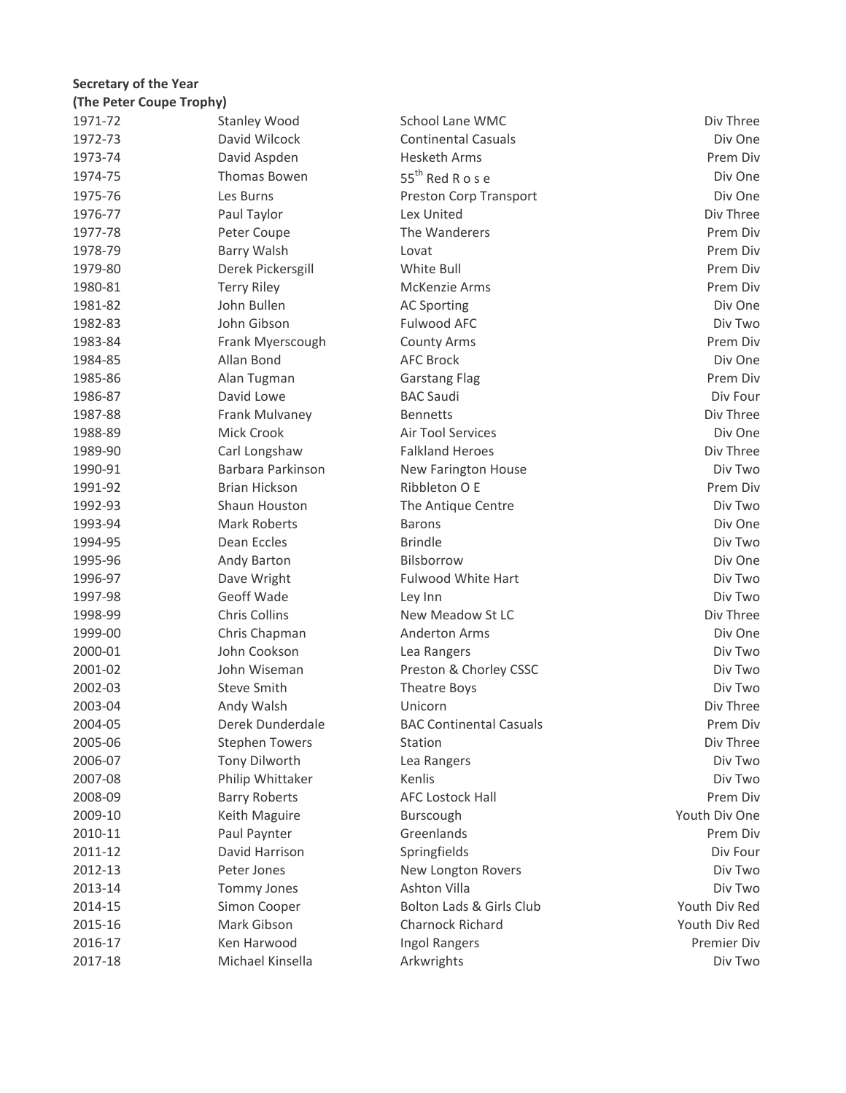# 1971-72 Stanley Wood School Lane WMC School Lane WMC Div Three 1972-73 David Wilcock Continental Casuals Div One 1973-74 David Aspden Hesketh Arms Prem Div 1974-75 Thomas Bowen 55<sup>th</sup> Red R o s e Div One 1975-76 Les Burns Preston Corp Transport Div One 1976-77 Paul Taylor Lex United Div Three 1977-78 Peter Coupe The Wanderers **Prem Diversion Coupe Account Coupe The Wanderers** 1978-79 Barry Walsh Lovat Prem Div 1979-80 Derek Pickersgill White Bull Prem Div 1980-81 Terry Riley McKenzie Arms Prem Div 1981-82 John Bullen AC Sporting Div One 1982-83 John Gibson Fulwood AFC Div Two 1983-84 Frank Myerscough County Arms Prem Div 1984-85 Allan Bond AFC Brock Div One 1985-86 Alan Tugman Garstang Flag Prem Div 1986-87 David Lowe BAC Saudi Div Four 1987-88 **Frank Mulvaney** Bennetts **Bennetts** Bennetts **Div Three** 1988-89 Mick Crook Air Tool Services Div One 1989-90 Carl Longshaw Falkland Heroes Div Three 1990-91 Barbara Parkinson New Farington House Div Two 1991-92 Brian Hickson Ribbleton O E Prem Div 1992-93 Shaun Houston The Antique Centre Div Two 1993-94 Mark Roberts Barons Div One 1994-95 Dean Eccles Brindle Div Two 1995-96 Andy Barton Bilsborrow Div One 1996-97 **Dave Wright Fulwood White Hart Fulwood White Hart** Div Two 1997-98 Geoff Wade Ley Inn Div Two 1998-99 Chris Collins Collins New Meadow St LC Chris Collins Div Three 1999-00 Chris Chapman Anderton Arms Chapman Anderton Arms Chapman Div One 2000-01 John Cookson Lea Rangers Div Two 2001-02 John Wiseman Preston & Chorley CSSC Div Two 2002-03 Steve Smith Theatre Boys Div Two 2003-04 Andy Walsh Unicorn Div Three 2004-05 Derek Dunderdale BAC Continental Casuals Prem Div 2005-06 Stephen Towers Station Station Station Station Div Three 2006-07 Tony Dilworth Lea Rangers Lease Controller Div Two 2007-08 Philip Whittaker Kenlis Communication Philip Whittaker Kenlis Div Two 2008-09 Barry Roberts AFC Lostock Hall Accordinate AFC Lostock Hall Prem Div 2009-10 **The Maguil Maguire Container Maguire** Burscough November 2009-10 Youth Div One 2010-11 Paul Paynter Greenlands Prem Div 2011-12 David Harrison Springfields Div Four 2012-13 **Peter Jones** New Longton Rovers **New Longton Rovers** Div Two 2013-14 Tommy Jones Ashton Villa Ashton Villa Div Two 2014-15 Simon Cooper Bolton Lads & Girls Club Youth Div Red 2015-16 Mark Gibson Charnock Richard Youth Div Red 2016-17 Ken Harwood Ingol Rangers Premier Div 2017-18 Michael Kinsella Arkwrights Arkwrights Div Two **(The Peter Coupe Trophy) Secretary of the Year**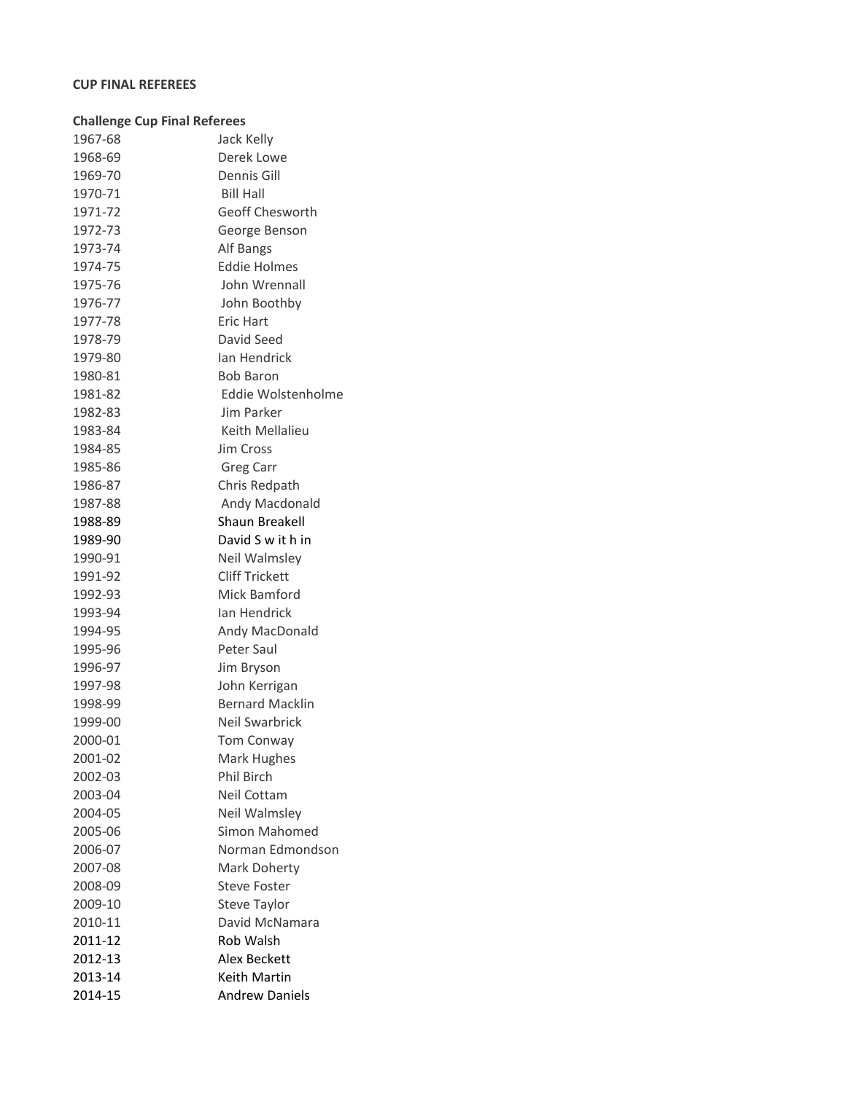# **CUP FINAL REFEREES**

| <b>Challenge Cup Final Referees</b> |                        |
|-------------------------------------|------------------------|
| 1967-68                             | Jack Kelly             |
| 1968-69                             | Derek Lowe             |
| 1969-70                             | Dennis Gill            |
| 1970-71                             | <b>Bill Hall</b>       |
| 1971-72                             | Geoff Chesworth        |
| 1972-73                             | George Benson          |
| 1973-74                             | Alf Bangs              |
| 1974-75                             | <b>Eddie Holmes</b>    |
| 1975-76                             | John Wrennall          |
| 1976-77                             | John Boothby           |
| 1977-78                             | Eric Hart              |
| 1978-79                             | David Seed             |
| 1979-80                             | Ian Hendrick           |
| 1980-81                             | <b>Bob Baron</b>       |
| 1981-82                             | Eddie Wolstenholme     |
| 1982-83                             | Jim Parker             |
| 1983-84                             | Keith Mellalieu        |
| 1984-85                             | Jim Cross              |
| 1985-86                             | <b>Greg Carr</b>       |
| 1986-87                             | Chris Redpath          |
| 1987-88                             | Andy Macdonald         |
| 1988-89                             | Shaun Breakell         |
| 1989-90                             | David S w it h in      |
| 1990-91                             | Neil Walmsley          |
| 1991-92                             | Cliff Trickett         |
| 1992-93                             | Mick Bamford           |
| 1993-94                             | Ian Hendrick           |
| 1994-95                             | Andy MacDonald         |
| 1995-96                             | Peter Saul             |
| 1996-97                             | Jim Bryson             |
| 1997-98                             | John Kerrigan          |
| 1998-99                             | <b>Bernard Macklin</b> |
| 1999-00                             | Neil Swarbrick         |
| 2000-01                             | <b>Tom Conway</b>      |
| 2001-02                             | Mark Hughes            |
| 2002-03                             | <b>Phil Birch</b>      |
| 2003-04                             | Neil Cottam            |
| 2004-05                             | Neil Walmsley          |
| 2005-06                             | Simon Mahomed          |
| 2006-07                             | Norman Edmondson       |
| 2007-08                             | Mark Doherty           |
| 2008-09                             | <b>Steve Foster</b>    |
| 2009-10                             | <b>Steve Taylor</b>    |
| 2010-11                             | David McNamara         |
| 2011-12                             | Rob Walsh              |
| 2012-13                             | <b>Alex Beckett</b>    |
| 2013-14                             | Keith Martin           |
| 2014-15                             | <b>Andrew Daniels</b>  |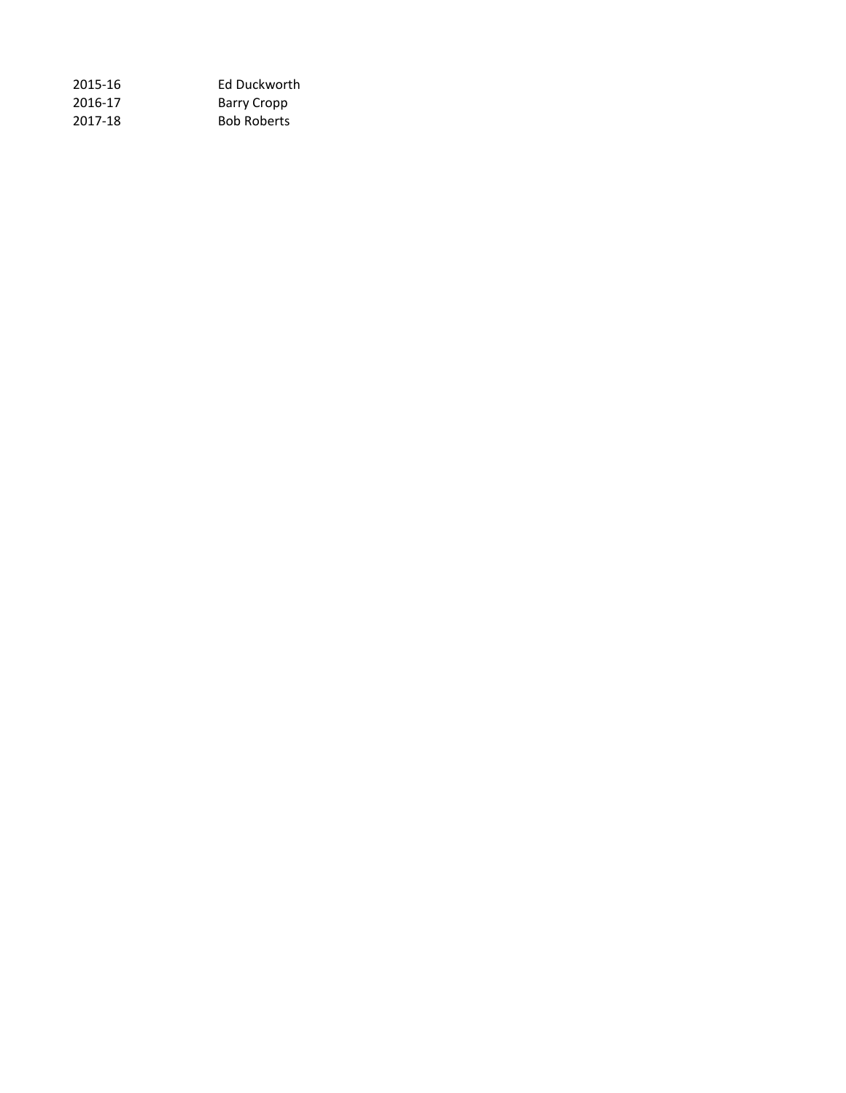| 2015-16 | Ed Duckworth       |
|---------|--------------------|
| 2016-17 | Barry Cropp        |
| 2017-18 | <b>Bob Roberts</b> |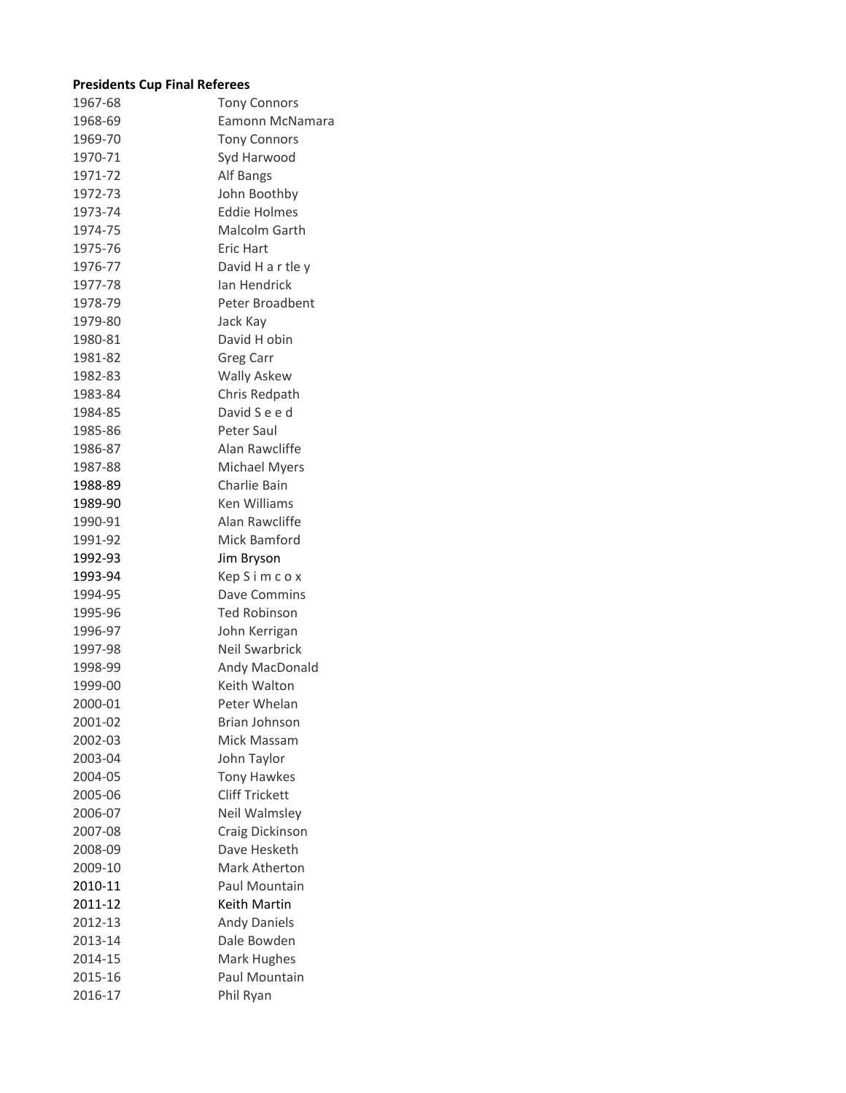# **Presidents Cup Final Referees**

| 1967-68 | <b>Tony Connors</b>   |
|---------|-----------------------|
| 1968-69 | Eamonn McNamara       |
| 1969-70 | <b>Tony Connors</b>   |
| 1970-71 | Syd Harwood           |
| 1971-72 | Alf Bangs             |
| 1972-73 | John Boothby          |
| 1973-74 | <b>Eddie Holmes</b>   |
| 1974-75 | Malcolm Garth         |
| 1975-76 | <b>Eric Hart</b>      |
|         |                       |
| 1976-77 | David H a r tle y     |
| 1977-78 | Ian Hendrick          |
| 1978-79 | Peter Broadbent       |
| 1979-80 | Jack Kay              |
| 1980-81 | David H obin          |
| 1981-82 | Greg Carr             |
| 1982-83 | <b>Wally Askew</b>    |
| 1983-84 | Chris Redpath         |
| 1984-85 | David S e e d         |
| 1985-86 | Peter Saul            |
| 1986-87 | Alan Rawcliffe        |
| 1987-88 | Michael Myers         |
| 1988-89 | Charlie Bain          |
| 1989-90 | <b>Ken Williams</b>   |
| 1990-91 | Alan Rawcliffe        |
| 1991-92 | Mick Bamford          |
| 1992-93 | Jim Bryson            |
| 1993-94 | Kep S i m c o x       |
| 1994-95 | Dave Commins          |
| 1995-96 | <b>Ted Robinson</b>   |
| 1996-97 | John Kerrigan         |
| 1997-98 | Neil Swarbrick        |
| 1998-99 | Andy MacDonald        |
| 1999-00 | Keith Walton          |
| 2000-01 | Peter Whelan          |
| 2001-02 | <b>Brian Johnson</b>  |
| 2002-03 | Mick Massam           |
| 2003-04 | John Taylor           |
| 2004-05 | <b>Tony Hawkes</b>    |
| 2005-06 | <b>Cliff Trickett</b> |
| 2006-07 |                       |
|         | Neil Walmsley         |
| 2007-08 | Craig Dickinson       |
| 2008-09 | Dave Hesketh          |
| 2009-10 | Mark Atherton         |
| 2010-11 | Paul Mountain         |
| 2011-12 | Keith Martin          |
| 2012-13 | <b>Andy Daniels</b>   |
| 2013-14 | Dale Bowden           |
| 2014-15 | Mark Hughes           |
| 2015-16 | Paul Mountain         |
| 2016-17 | Phil Ryan             |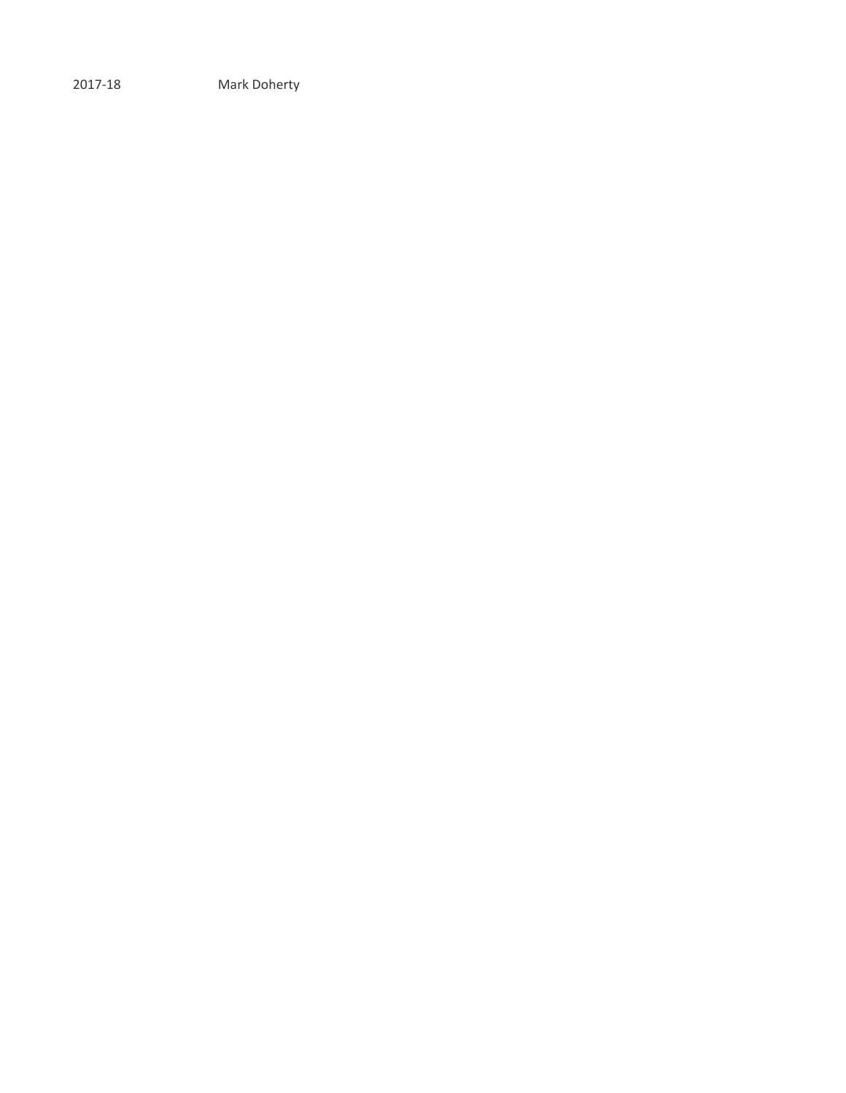2017-18 Mark Doherty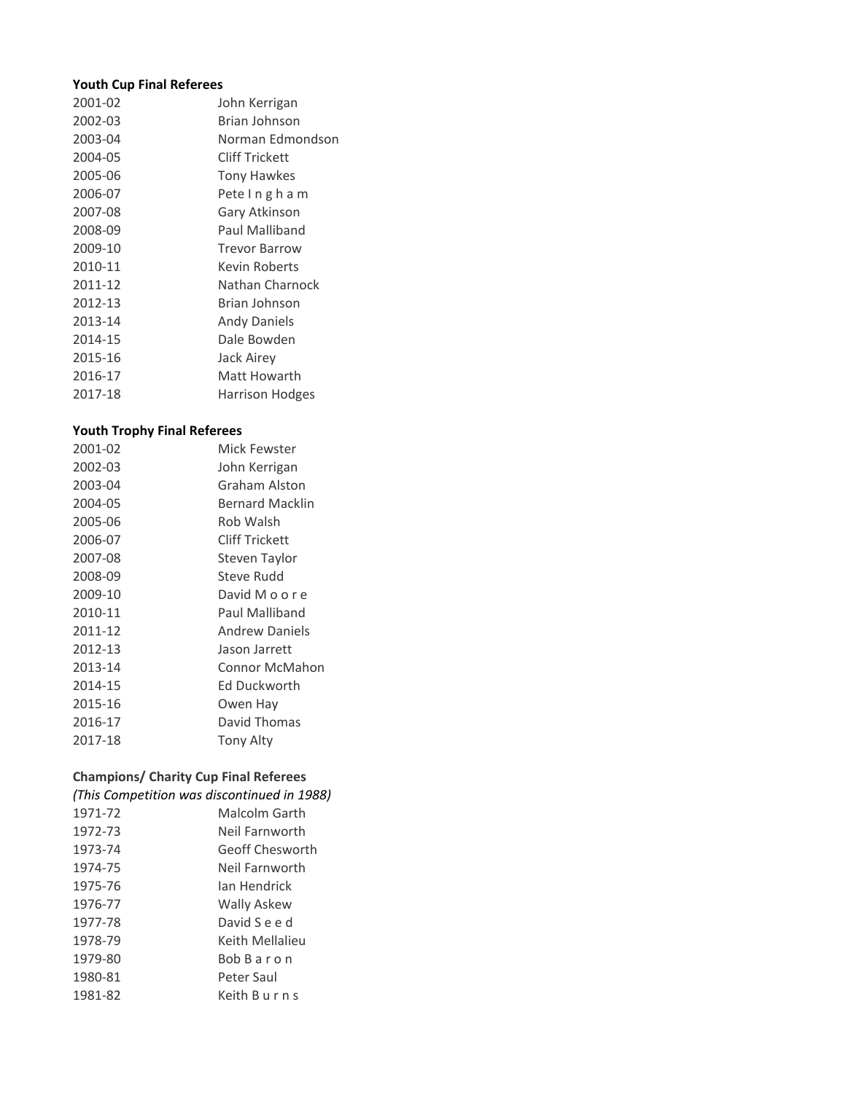### **Youth Cup Final Referees**

| 2001-02 | John Kerrigan        |
|---------|----------------------|
| 2002-03 | Brian Johnson        |
| 2003-04 | Norman Edmondson     |
| 2004-05 | Cliff Trickett       |
| 2005-06 | Tony Hawkes          |
| 2006-07 | Pete Ingham          |
| 2007-08 | Gary Atkinson        |
| 2008-09 | Paul Malliband       |
| 2009-10 | <b>Trevor Barrow</b> |
| 2010-11 | <b>Kevin Roberts</b> |
| 2011-12 | Nathan Charnock      |
| 2012-13 | Brian Johnson        |
| 2013-14 | <b>Andy Daniels</b>  |
| 2014-15 | Dale Bowden          |
| 2015-16 | <b>Jack Airey</b>    |
| 2016-17 | Matt Howarth         |
| 2017-18 | Harrison Hodges      |
|         |                      |

### **Youth Trophy Final Referees**

| Mick Fewster           |
|------------------------|
| John Kerrigan          |
| Graham Alston          |
| <b>Bernard Macklin</b> |
| Rob Walsh              |
| Cliff Trickett         |
| Steven Taylor          |
| Steve Rudd             |
| David M o o r e        |
| Paul Malliband         |
| <b>Andrew Daniels</b>  |
| Jason Jarrett          |
| <b>Connor McMahon</b>  |
| Ed Duckworth           |
| Owen Hay               |
| David Thomas           |
| <b>Tony Alty</b>       |
|                        |

# **Champions/ Charity Cup Final Referees**

### *(This Competition was discontinued in 1988)*

| 1971-72 | Malcolm Garth      |
|---------|--------------------|
| 1972-73 | Neil Farnworth     |
| 1973-74 | Geoff Chesworth    |
| 1974-75 | Neil Farnworth     |
| 1975-76 | Ian Hendrick       |
| 1976-77 | <b>Wally Askew</b> |
| 1977-78 | David S e e d      |
| 1978-79 | Keith Mellalieu    |
| 1979-80 | <b>Bob Baron</b>   |
| 1980-81 | Peter Saul         |
| 1981-82 | Keith B u r n s    |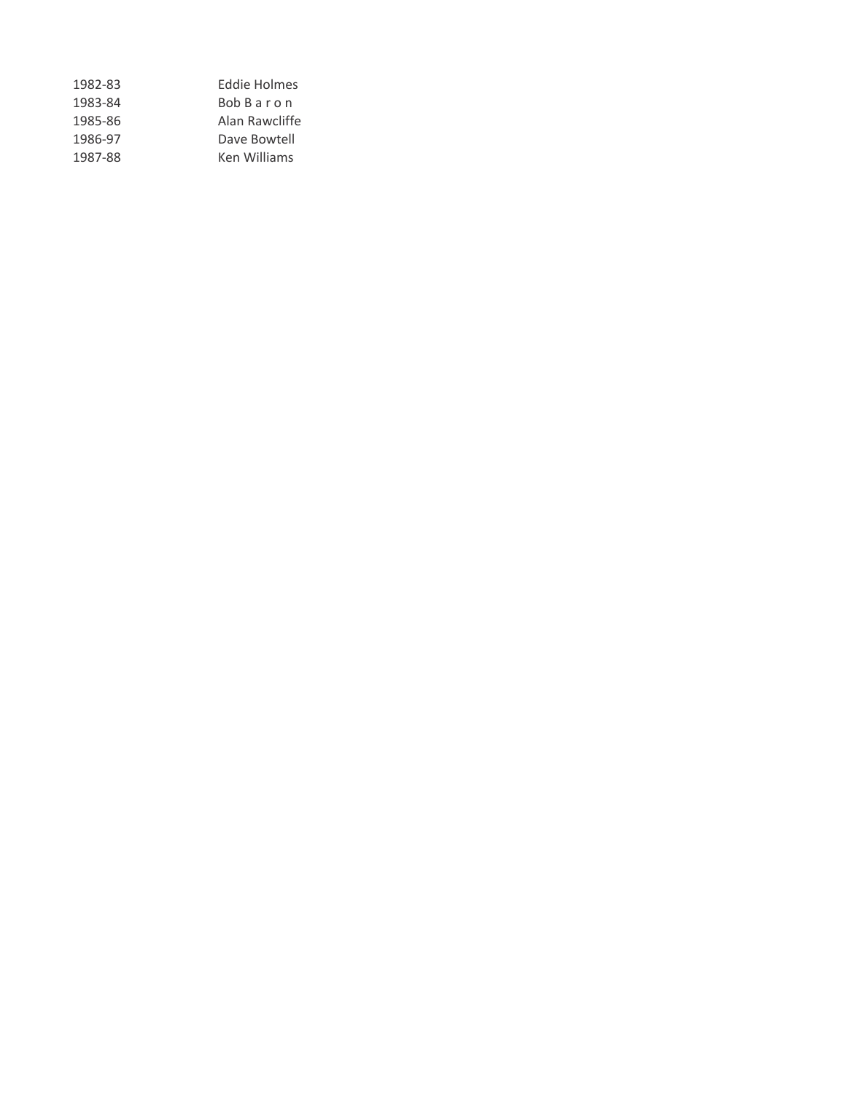| 1982-83 | Eddie Holmes        |
|---------|---------------------|
| 1983-84 | <b>Bob Baron</b>    |
| 1985-86 | Alan Rawcliffe      |
| 1986-97 | Dave Bowtell        |
| 1987-88 | <b>Ken Williams</b> |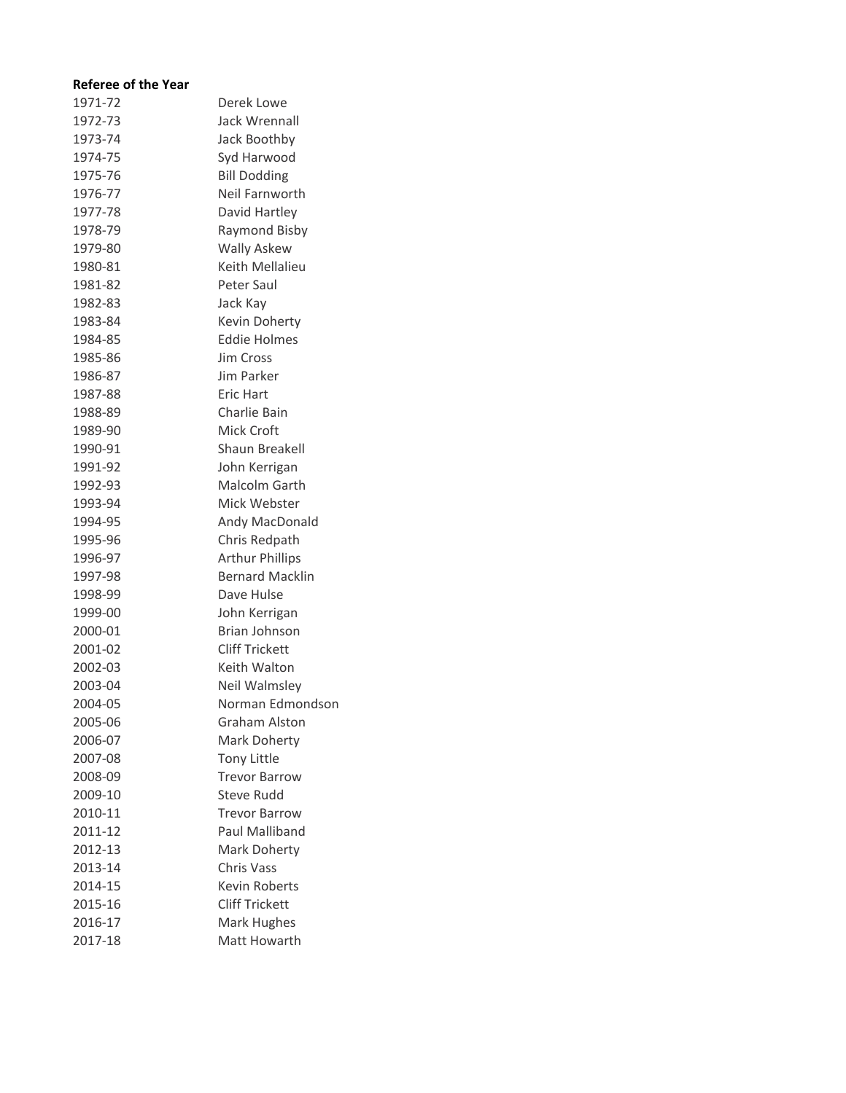## **Referee of the Year**

| 1971-72 | Derek Lowe             |
|---------|------------------------|
| 1972-73 | Jack Wrennall          |
| 1973-74 | Jack Boothby           |
| 1974-75 | Syd Harwood            |
| 1975-76 | <b>Bill Dodding</b>    |
| 1976-77 | Neil Farnworth         |
| 1977-78 | David Hartley          |
| 1978-79 | Raymond Bisby          |
| 1979-80 | <b>Wally Askew</b>     |
| 1980-81 | Keith Mellalieu        |
| 1981-82 | Peter Saul             |
| 1982-83 | Jack Kay               |
| 1983-84 | Kevin Doherty          |
| 1984-85 | <b>Eddie Holmes</b>    |
| 1985-86 | Jim Cross              |
| 1986-87 | Jim Parker             |
| 1987-88 | <b>Eric Hart</b>       |
| 1988-89 | Charlie Bain           |
| 1989-90 | <b>Mick Croft</b>      |
| 1990-91 | Shaun Breakell         |
| 1991-92 | John Kerrigan          |
| 1992-93 | Malcolm Garth          |
| 1993-94 | Mick Webster           |
| 1994-95 | Andy MacDonald         |
| 1995-96 | Chris Redpath          |
| 1996-97 | <b>Arthur Phillips</b> |
| 1997-98 | <b>Bernard Macklin</b> |
| 1998-99 | Dave Hulse             |
| 1999-00 | John Kerrigan          |
| 2000-01 | <b>Brian Johnson</b>   |
| 2001-02 | <b>Cliff Trickett</b>  |
| 2002-03 | Keith Walton           |
| 2003-04 | Neil Walmsley          |
| 2004-05 | Norman Edmondson       |
| 2005-06 | <b>Graham Alston</b>   |
| 2006-07 | Mark Doherty           |
| 2007-08 | <b>Tony Little</b>     |
| 2008-09 | <b>Trevor Barrow</b>   |
| 2009-10 | <b>Steve Rudd</b>      |
| 2010-11 | Trevor Barrow          |
| 2011-12 | Paul Malliband         |
| 2012-13 | Mark Doherty           |
| 2013-14 | <b>Chris Vass</b>      |
| 2014-15 | Kevin Roberts          |
| 2015-16 | <b>Cliff Trickett</b>  |
| 2016-17 | Mark Hughes            |
| 2017-18 | Matt Howarth           |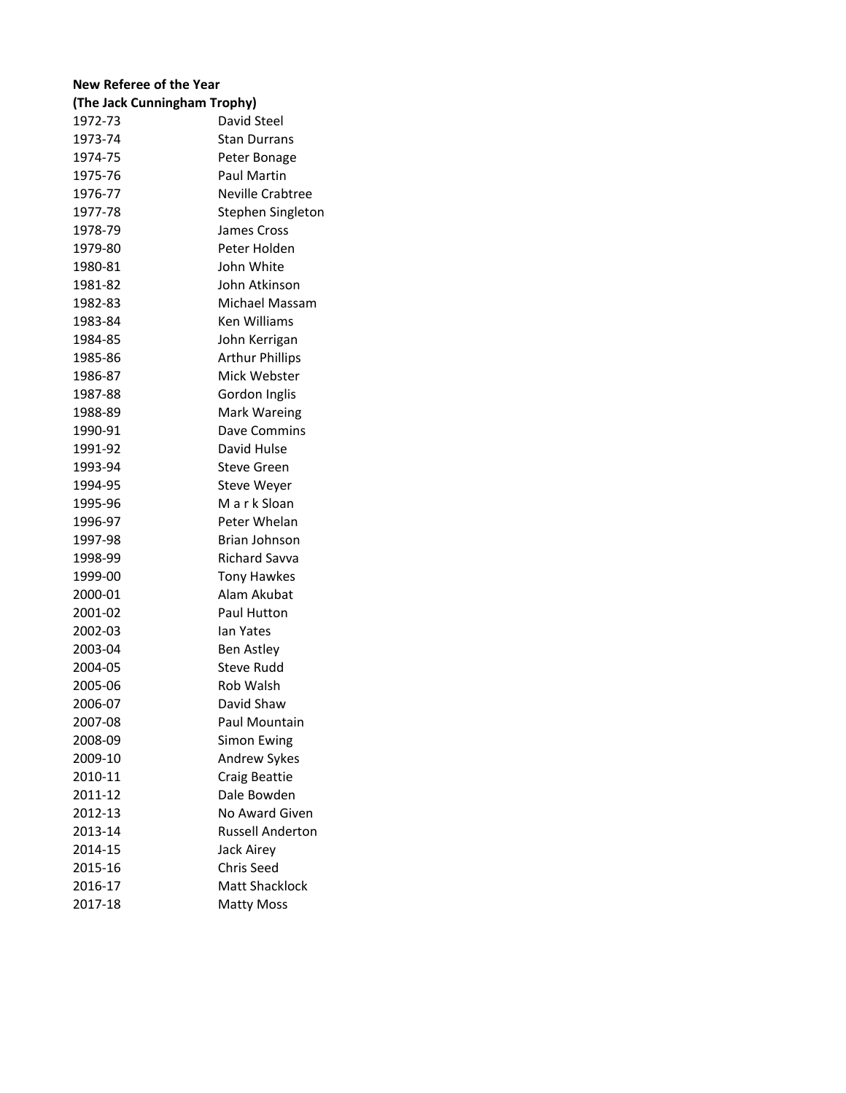# **New Referee of the Year**

| (The Jack Cunningham Trophy) |                         |  |
|------------------------------|-------------------------|--|
| 1972-73                      | David Steel             |  |
| 1973-74                      | Stan Durrans            |  |
| 1974-75                      | Peter Bonage            |  |
| 1975-76                      | Paul Martin             |  |
| 1976-77                      | <b>Neville Crabtree</b> |  |
| 1977-78                      | Stephen Singleton       |  |
| 1978-79                      | James Cross             |  |
| 1979-80                      | Peter Holden            |  |
| 1980-81                      | John White              |  |
| 1981-82                      | John Atkinson           |  |
| 1982-83                      | Michael Massam          |  |
| 1983-84                      | <b>Ken Williams</b>     |  |
| 1984-85                      | John Kerrigan           |  |
| 1985-86                      | <b>Arthur Phillips</b>  |  |
| 1986-87                      | Mick Webster            |  |
| 1987-88                      | Gordon Inglis           |  |
| 1988-89                      | Mark Wareing            |  |
| 1990-91                      | Dave Commins            |  |
| 1991-92                      | David Hulse             |  |
| 1993-94                      | <b>Steve Green</b>      |  |
| 1994-95                      | <b>Steve Weyer</b>      |  |
| 1995-96                      | M a r k Sloan           |  |
| 1996-97                      | Peter Whelan            |  |
| 1997-98                      | Brian Johnson           |  |
| 1998-99                      | <b>Richard Savva</b>    |  |
| 1999-00                      | <b>Tony Hawkes</b>      |  |
| 2000-01                      | Alam Akubat             |  |
| 2001-02                      | Paul Hutton             |  |
| 2002-03                      | lan Yates               |  |
| 2003-04                      | Ben Astley              |  |
| 2004-05                      | <b>Steve Rudd</b>       |  |
| 2005-06                      | Rob Walsh               |  |
| 2006-07                      | David Shaw              |  |
| 2007-08                      | Paul Mountain           |  |
| 2008-09                      | <b>Simon Ewing</b>      |  |
| 2009-10                      | Andrew Sykes            |  |
| 2010-11                      | Craig Beattie           |  |
| 2011-12                      | Dale Bowden             |  |
| 2012-13                      | No Award Given          |  |
| 2013-14                      | <b>Russell Anderton</b> |  |
| 2014-15                      | Jack Airey              |  |
| 2015-16                      | <b>Chris Seed</b>       |  |
| 2016-17                      | <b>Matt Shacklock</b>   |  |
| 2017-18                      | <b>Matty Moss</b>       |  |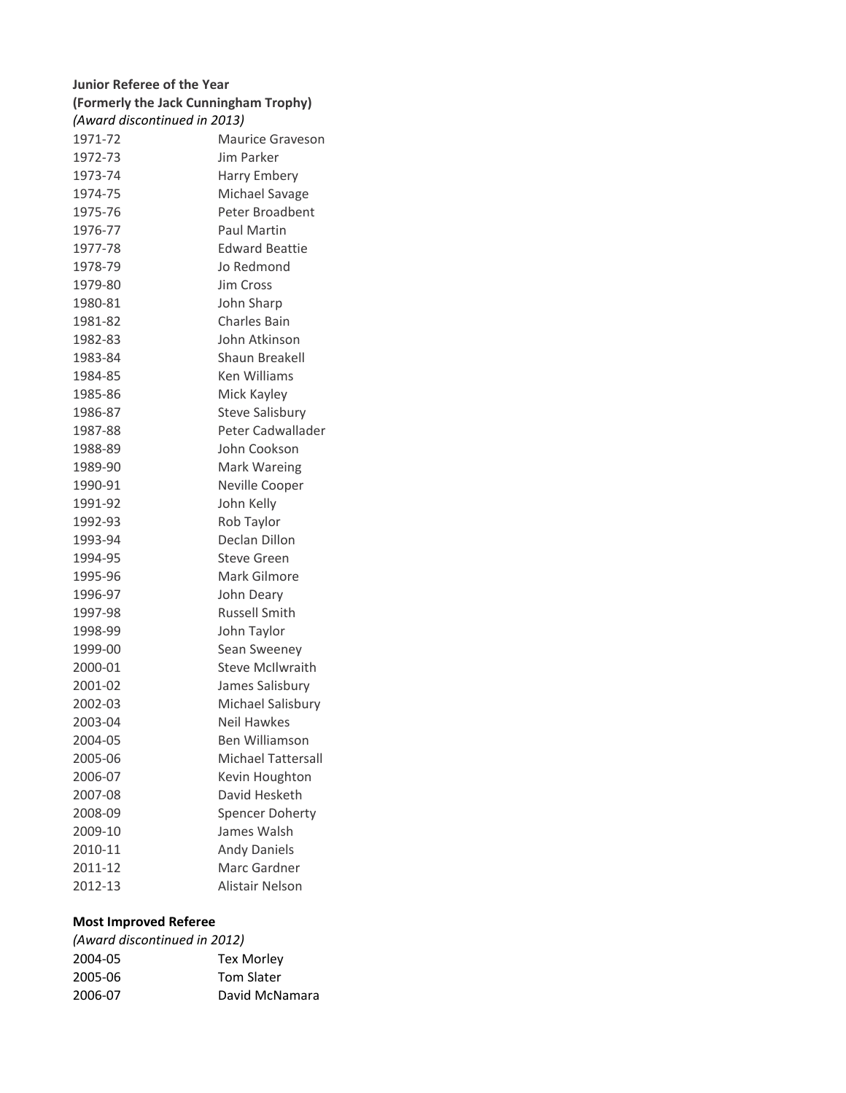# **Junior Referee of the Year (Formerly the Jack Cunningham Trophy)** 1971-72 Maurice Graveson 1972-73 Jim Parker 1973-74 Harry Embery 1974-75 Michael Savage 1975-76 Peter Broadbent 1976-77 Paul Martin 1977-78 Edward Beattie 1978-79 Jo Redmond 1979-80 Jim Cross 1980-81 John Sharp 1981-82 Charles Bain 1982-83 John Atkinson 1983-84 Shaun Breakell 1984-85 Ken Williams 1985-86 Mick Kayley 1986-87 Steve Salisbury 1987-88 Peter Cadwallader 1988-89 John Cookson 1989-90 Mark Wareing 1990-91 Neville Cooper 1991-92 John Kelly 1992-93 Rob Taylor 1993-94 Declan Dillon 1994-95 Steve Green 1995-96 Mark Gilmore 1996-97 John Deary 1997-98 Russell Smith 1998-99 John Taylor 1999-00 Sean Sweeney 2000-01 Steve McIlwraith 2001-02 James Salisbury 2002-03 Michael Salisbury 2003-04 Neil Hawkes 2004-05 Ben Williamson 2005-06 Michael Tattersall 2006-07 Kevin Houghton 2007-08 David Hesketh 2008-09 Spencer Doherty 2009-10 James Walsh 2010-11 Andy Daniels 2011-12 Marc Gardner *(Award discontinued in 2013)*

# **Most Improved Referee**

| (Award discontinued in 2012) |                   |
|------------------------------|-------------------|
| 2004-05                      | <b>Tex Morley</b> |
| 2005-06                      | <b>Tom Slater</b> |
| 2006-07                      | David McNamara    |
|                              |                   |

2012-13 Alistair Nelson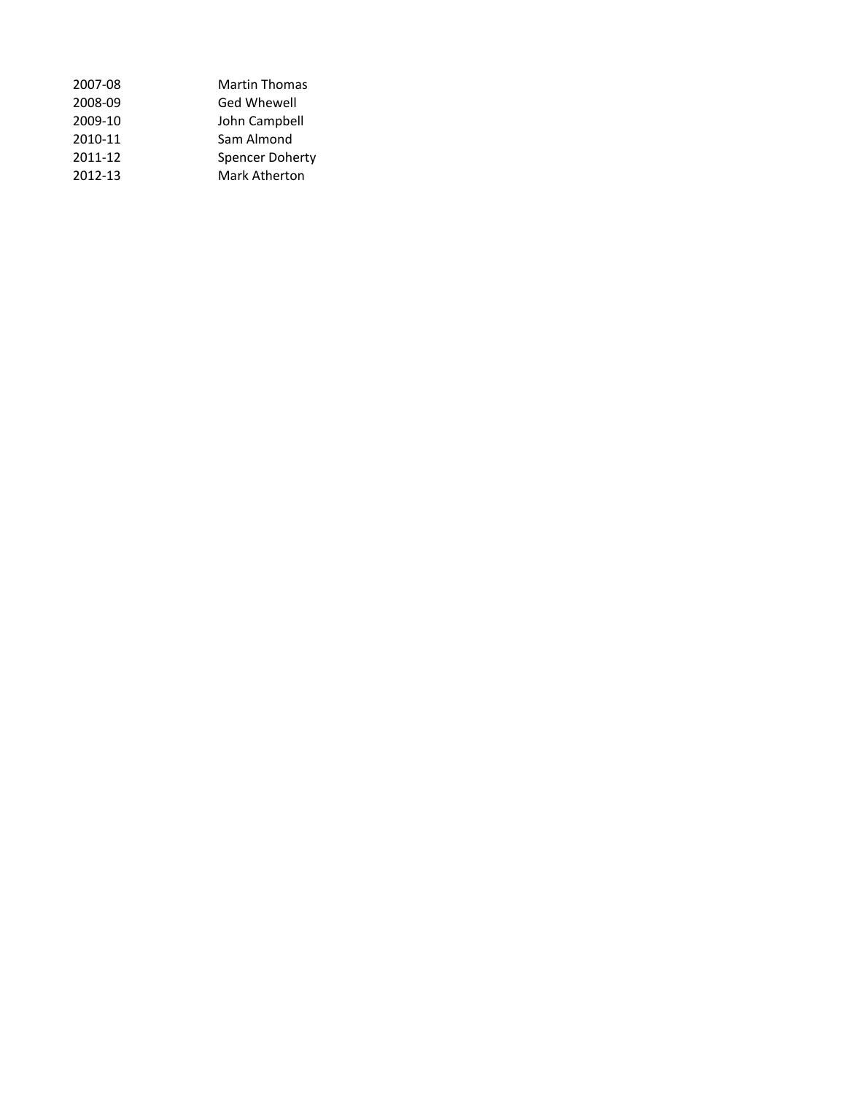| 2007-08 | <b>Martin Thomas</b> |
|---------|----------------------|
| 2008-09 | Ged Whewell          |
| 2009-10 | John Campbell        |
| 2010-11 | Sam Almond           |
| 2011-12 | Spencer Doherty      |
| 2012-13 | Mark Atherton        |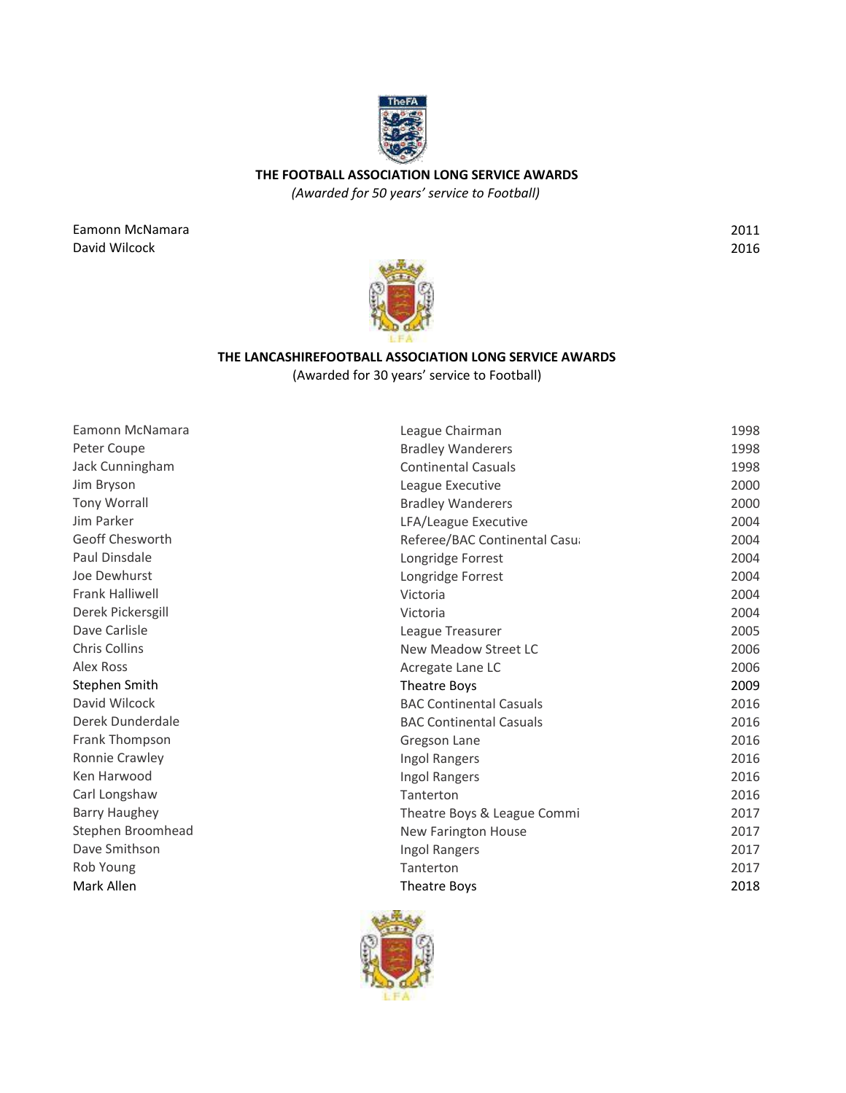

**THE FOOTBALL ASSOCIATION LONG SERVICE AWARDS**

*(Awarded for 50 years' service to Football)*

Eamonn McNamara David Wilcock

2011 2016



# **THE LANCASHIREFOOTBALL ASSOCIATION LONG SERVICE AWARDS** (Awarded for 30 years' service to Football)

| Eamonn McNamara        | League Chairman                | 1998 |
|------------------------|--------------------------------|------|
| Peter Coupe            | <b>Bradley Wanderers</b>       | 1998 |
| Jack Cunningham        | <b>Continental Casuals</b>     | 1998 |
| Jim Bryson             | League Executive               | 2000 |
| <b>Tony Worrall</b>    | <b>Bradley Wanderers</b>       | 2000 |
| Jim Parker             | LFA/League Executive           | 2004 |
| Geoff Chesworth        | Referee/BAC Continental Casu   | 2004 |
| Paul Dinsdale          | Longridge Forrest              | 2004 |
| Joe Dewhurst           | Longridge Forrest              | 2004 |
| <b>Frank Halliwell</b> | Victoria                       | 2004 |
| Derek Pickersgill      | Victoria                       | 2004 |
| Dave Carlisle          | League Treasurer               | 2005 |
| <b>Chris Collins</b>   | New Meadow Street LC           | 2006 |
| <b>Alex Ross</b>       | Acregate Lane LC               | 2006 |
| Stephen Smith          | Theatre Boys                   | 2009 |
| David Wilcock          | <b>BAC Continental Casuals</b> | 2016 |
| Derek Dunderdale       | <b>BAC Continental Casuals</b> | 2016 |
| Frank Thompson         | Gregson Lane                   | 2016 |
| <b>Ronnie Crawley</b>  | Ingol Rangers                  | 2016 |
| Ken Harwood            | Ingol Rangers                  | 2016 |
| Carl Longshaw          | Tanterton                      | 2016 |
| <b>Barry Haughey</b>   | Theatre Boys & League Commi    | 2017 |
| Stephen Broomhead      | <b>New Farington House</b>     | 2017 |
| Dave Smithson          | Ingol Rangers                  | 2017 |
| Rob Young              | Tanterton                      | 2017 |
| Mark Allen             | <b>Theatre Boys</b>            | 2018 |

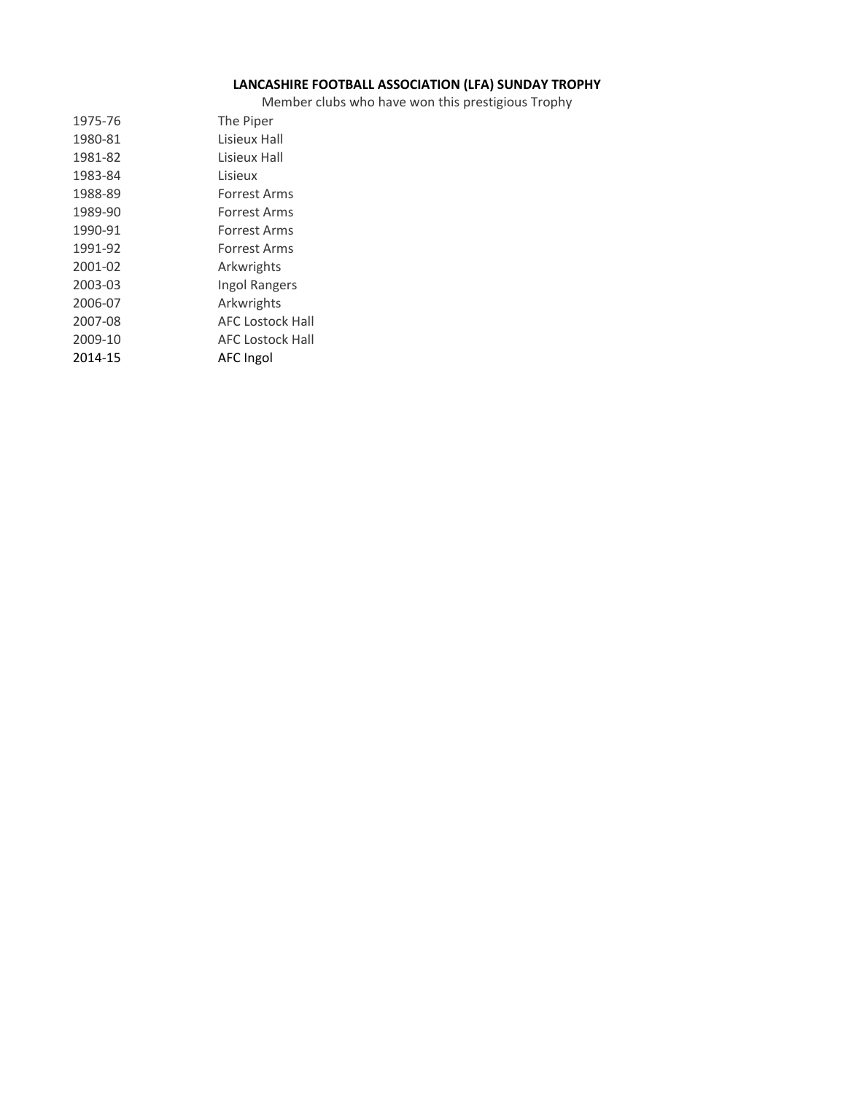# **LANCASHIRE FOOTBALL ASSOCIATION (LFA) SUNDAY TROPHY**

Member clubs who have won this prestigious Trophy

| 1975-76 | The Piper               |
|---------|-------------------------|
| 1980-81 | Lisieux Hall            |
| 1981-82 | Lisieux Hall            |
| 1983-84 | Lisieux                 |
| 1988-89 | Forrest Arms            |
| 1989-90 | Forrest Arms            |
| 1990-91 | Forrest Arms            |
| 1991-92 | Forrest Arms            |
| 2001-02 | Arkwrights              |
| 2003-03 | <b>Ingol Rangers</b>    |
| 2006-07 | Arkwrights              |
| 2007-08 | AFC Lostock Hall        |
| 2009-10 | <b>AFC Lostock Hall</b> |
| 2014-15 | AFC Ingol               |